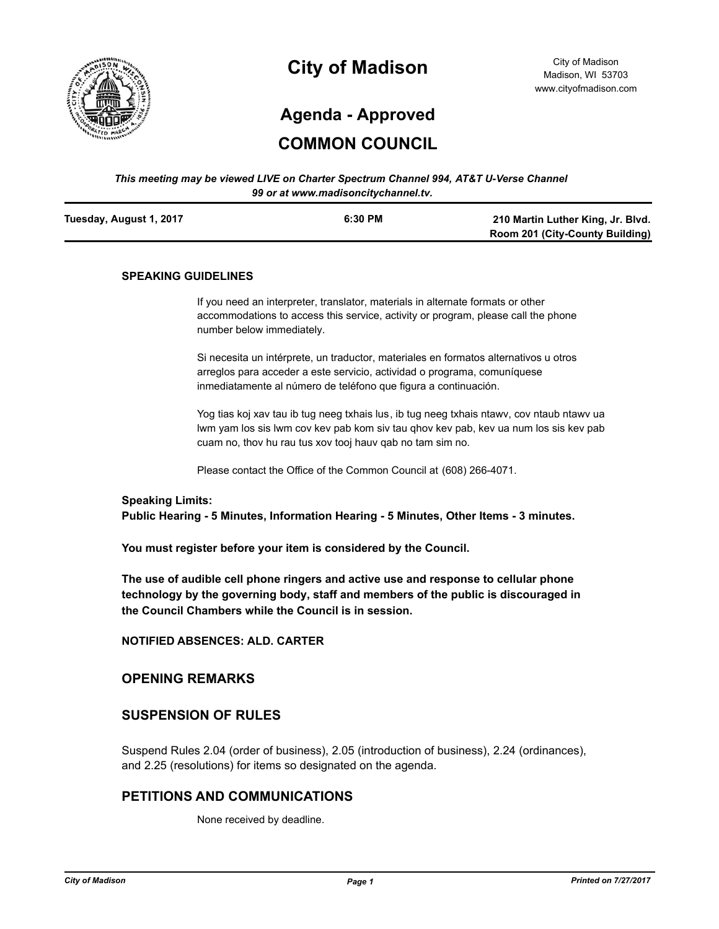

# **City of Madison**

City of Madison Madison, WI 53703 www.cityofmadison.com

# **Agenda - Approved**

# **COMMON COUNCIL**

#### *This meeting may be viewed LIVE on Charter Spectrum Channel 994, AT&T U-Verse Channel 99 or at www.madisoncitychannel.tv.*

| Tuesday, August 1, 2017 | 6:30 PM | 210 Martin Luther King, Jr. Blvd. |
|-------------------------|---------|-----------------------------------|
|                         |         | Room 201 (City-County Building)   |

#### **SPEAKING GUIDELINES**

If you need an interpreter, translator, materials in alternate formats or other accommodations to access this service, activity or program, please call the phone number below immediately.

Si necesita un intérprete, un traductor, materiales en formatos alternativos u otros arreglos para acceder a este servicio, actividad o programa, comuníquese inmediatamente al número de teléfono que figura a continuación.

Yog tias koj xav tau ib tug neeg txhais lus, ib tug neeg txhais ntawv, cov ntaub ntawv ua lwm yam los sis lwm cov kev pab kom siv tau qhov kev pab, kev ua num los sis kev pab cuam no, thov hu rau tus xov tooj hauv qab no tam sim no.

Please contact the Office of the Common Council at (608) 266-4071.

#### **Speaking Limits:**

**Public Hearing - 5 Minutes, Information Hearing - 5 Minutes, Other Items - 3 minutes.**

**You must register before your item is considered by the Council.**

**The use of audible cell phone ringers and active use and response to cellular phone technology by the governing body, staff and members of the public is discouraged in the Council Chambers while the Council is in session.**

**NOTIFIED ABSENCES: ALD. CARTER**

#### **OPENING REMARKS**

# **SUSPENSION OF RULES**

Suspend Rules 2.04 (order of business), 2.05 (introduction of business), 2.24 (ordinances), and 2.25 (resolutions) for items so designated on the agenda.

# **PETITIONS AND COMMUNICATIONS**

None received by deadline.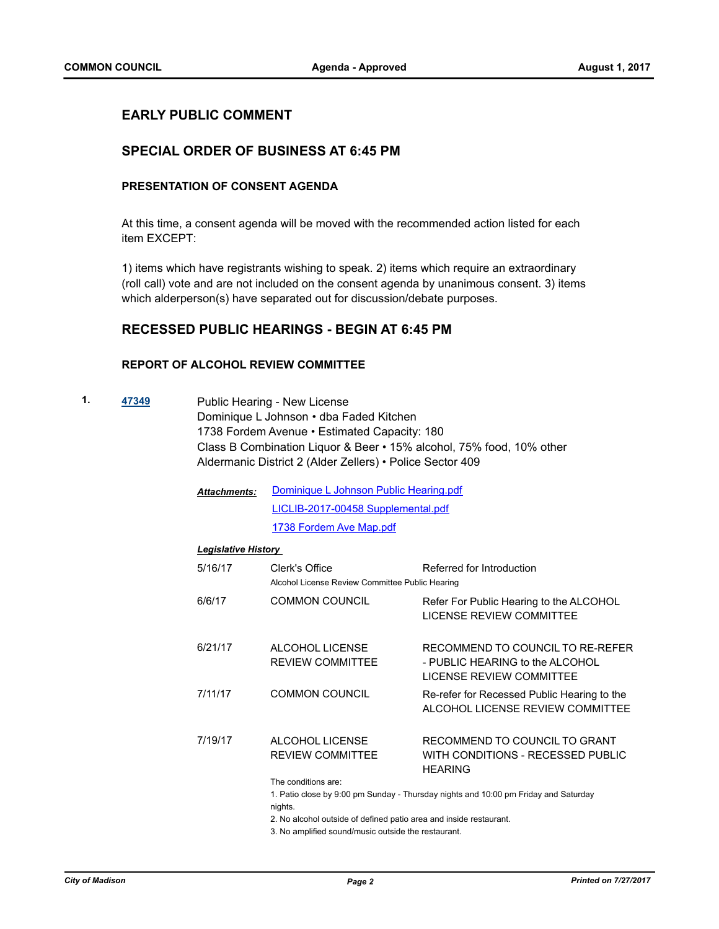# **EARLY PUBLIC COMMENT**

# **SPECIAL ORDER OF BUSINESS AT 6:45 PM**

# **PRESENTATION OF CONSENT AGENDA**

At this time, a consent agenda will be moved with the recommended action listed for each item EXCEPT:

1) items which have registrants wishing to speak. 2) items which require an extraordinary (roll call) vote and are not included on the consent agenda by unanimous consent. 3) items which alderperson(s) have separated out for discussion/debate purposes.

# **RECESSED PUBLIC HEARINGS - BEGIN AT 6:45 PM**

### **REPORT OF ALCOHOL REVIEW COMMITTEE**

- **1. [47349](http://madison.legistar.com/gateway.aspx?m=l&id=/matter.aspx?key=51329)** Public Hearing New License Dominique L Johnson • dba Faded Kitchen 1738 Fordem Avenue • Estimated Capacity: 180 Class B Combination Liquor & Beer • 15% alcohol, 75% food, 10% other Aldermanic District 2 (Alder Zellers) • Police Sector 409
	- [Dominique L Johnson Public Hearing.pdf](http://madison.legistar.com/gateway.aspx?M=F&ID=b209bb6d-37e3-4953-9579-ca81fafd45c4.pdf) [LICLIB-2017-00458 Supplemental.pdf](http://madison.legistar.com/gateway.aspx?M=F&ID=3ca753df-bfbe-42af-857f-3d3d39314e54.pdf) [1738 Fordem Ave Map.pdf](http://madison.legistar.com/gateway.aspx?M=F&ID=c4251f9f-af43-4f28-ae4d-0ed994b62c91.pdf) *Attachments:*

#### *Legislative History*

| 5/16/17 | Clerk's Office<br>Alcohol License Review Committee Public Hearing | Referred for Introduction                                                                       |
|---------|-------------------------------------------------------------------|-------------------------------------------------------------------------------------------------|
| 6/6/17  | <b>COMMON COUNCIL</b>                                             | Refer For Public Hearing to the ALCOHOL<br>LICENSE REVIEW COMMITTEE                             |
| 6/21/17 | ALCOHOL LICENSE<br><b>REVIEW COMMITTEE</b>                        | RECOMMEND TO COUNCIL TO RE-REFER<br>- PUBLIC HEARING to the ALCOHOL<br>LICENSE REVIEW COMMITTEE |
| 7/11/17 | COMMON COUNCIL                                                    | Re-refer for Recessed Public Hearing to the<br>ALCOHOL LICENSE REVIEW COMMITTEE                 |
| 7/19/17 | ALCOHOL LICENSE<br><b>REVIEW COMMITTEE</b>                        | RECOMMEND TO COUNCIL TO GRANT<br>WITH CONDITIONS - RECESSED PUBLIC<br><b>HEARING</b>            |
|         | The conditions are:<br>nights.                                    | 1. Patio close by 9:00 pm Sunday - Thursday nights and 10:00 pm Friday and Saturday             |

2. No alcohol outside of defined patio area and inside restaurant.

3. No amplified sound/music outside the restaurant.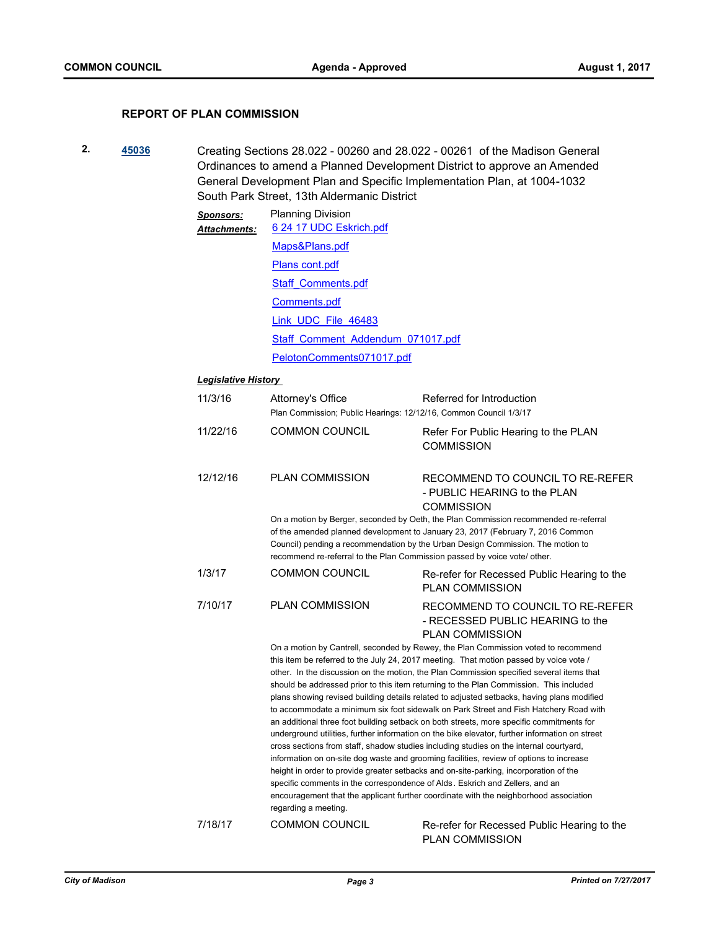# **REPORT OF PLAN COMMISSION**

**2. [45036](http://madison.legistar.com/gateway.aspx?m=l&id=/matter.aspx?key=49156)** Creating Sections 28.022 - 00260 and 28.022 - 00261 of the Madison General Ordinances to amend a Planned Development District to approve an Amended General Development Plan and Specific Implementation Plan, at 1004-1032 South Park Street, 13th Aldermanic District

| Sponsors:<br><b>Attachments:</b> | <b>Planning Division</b><br>6 24 17 UDC Eskrich.pdf |  |  |
|----------------------------------|-----------------------------------------------------|--|--|
|                                  | Maps&Plans.pdf                                      |  |  |
|                                  | Plans cont.pdf                                      |  |  |
|                                  | Staff Comments.pdf                                  |  |  |
|                                  | Comments.pdf                                        |  |  |
|                                  | Link UDC File 46483                                 |  |  |
|                                  | Staff Comment Addendum 071017.pdf                   |  |  |
|                                  | PelotonComments071017.pdf                           |  |  |

# *Legislative History*

| 11/3/16  | Attorney's Office<br>Plan Commission; Public Hearings: 12/12/16, Common Council 1/3/17 | Referred for Introduction                                                                                                                                                                                                                                                                                                                                                                                                                                                                                                                                                                                                                                                                                                                                                                                                                                                                                                                                                                                                                                                                                                                                                                                      |
|----------|----------------------------------------------------------------------------------------|----------------------------------------------------------------------------------------------------------------------------------------------------------------------------------------------------------------------------------------------------------------------------------------------------------------------------------------------------------------------------------------------------------------------------------------------------------------------------------------------------------------------------------------------------------------------------------------------------------------------------------------------------------------------------------------------------------------------------------------------------------------------------------------------------------------------------------------------------------------------------------------------------------------------------------------------------------------------------------------------------------------------------------------------------------------------------------------------------------------------------------------------------------------------------------------------------------------|
| 11/22/16 | <b>COMMON COUNCIL</b>                                                                  | Refer For Public Hearing to the PLAN<br><b>COMMISSION</b>                                                                                                                                                                                                                                                                                                                                                                                                                                                                                                                                                                                                                                                                                                                                                                                                                                                                                                                                                                                                                                                                                                                                                      |
| 12/12/16 | <b>PLAN COMMISSION</b>                                                                 | RECOMMEND TO COUNCIL TO RE-REFER<br>- PUBLIC HEARING to the PLAN<br><b>COMMISSION</b>                                                                                                                                                                                                                                                                                                                                                                                                                                                                                                                                                                                                                                                                                                                                                                                                                                                                                                                                                                                                                                                                                                                          |
|          | recommend re-referral to the Plan Commission passed by voice vote/ other.              | On a motion by Berger, seconded by Oeth, the Plan Commission recommended re-referral<br>of the amended planned development to January 23, 2017 (February 7, 2016 Common<br>Council) pending a recommendation by the Urban Design Commission. The motion to                                                                                                                                                                                                                                                                                                                                                                                                                                                                                                                                                                                                                                                                                                                                                                                                                                                                                                                                                     |
| 1/3/17   | <b>COMMON COUNCIL</b>                                                                  | Re-refer for Recessed Public Hearing to the<br><b>PLAN COMMISSION</b>                                                                                                                                                                                                                                                                                                                                                                                                                                                                                                                                                                                                                                                                                                                                                                                                                                                                                                                                                                                                                                                                                                                                          |
| 7/10/17  | <b>PLAN COMMISSION</b>                                                                 | RECOMMEND TO COUNCIL TO RE-REFER<br>- RECESSED PUBLIC HEARING to the<br><b>PLAN COMMISSION</b>                                                                                                                                                                                                                                                                                                                                                                                                                                                                                                                                                                                                                                                                                                                                                                                                                                                                                                                                                                                                                                                                                                                 |
|          | regarding a meeting.                                                                   | On a motion by Cantrell, seconded by Rewey, the Plan Commission voted to recommend<br>this item be referred to the July 24, 2017 meeting. That motion passed by voice vote /<br>other. In the discussion on the motion, the Plan Commission specified several items that<br>should be addressed prior to this item returning to the Plan Commission. This included<br>plans showing revised building details related to adjusted setbacks, having plans modified<br>to accommodate a minimum six foot sidewalk on Park Street and Fish Hatchery Road with<br>an additional three foot building setback on both streets, more specific commitments for<br>underground utilities, further information on the bike elevator, further information on street<br>cross sections from staff, shadow studies including studies on the internal courtyard,<br>information on on-site dog waste and grooming facilities, review of options to increase<br>height in order to provide greater setbacks and on-site-parking, incorporation of the<br>specific comments in the correspondence of Alds. Eskrich and Zellers, and an<br>encouragement that the applicant further coordinate with the neighborhood association |
| 7/18/17  | <b>COMMON COUNCIL</b>                                                                  | Re-refer for Recessed Public Hearing to the                                                                                                                                                                                                                                                                                                                                                                                                                                                                                                                                                                                                                                                                                                                                                                                                                                                                                                                                                                                                                                                                                                                                                                    |

PLAN COMMISSION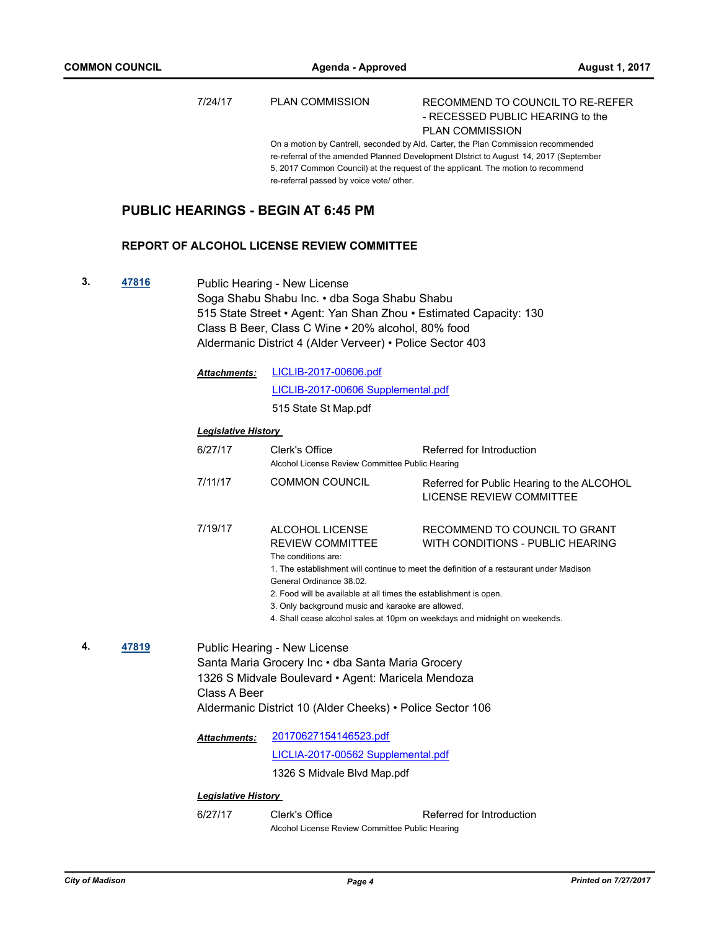7/24/17 PLAN COMMISSION RECOMMEND TO COUNCIL TO RE-REFER

- RECESSED PUBLIC HEARING to the PLAN COMMISSION

On a motion by Cantrell, seconded by Ald. Carter, the Plan Commission recommended re-referral of the amended Planned Development DIstrict to August 14, 2017 (September 5, 2017 Common Council) at the request of the applicant. The motion to recommend re-referral passed by voice vote/ other.

# **PUBLIC HEARINGS - BEGIN AT 6:45 PM**

#### **REPORT OF ALCOHOL LICENSE REVIEW COMMITTEE**

**3. [47816](http://madison.legistar.com/gateway.aspx?m=l&id=/matter.aspx?key=51764)** Public Hearing - New License Soga Shabu Shabu Inc. • dba Soga Shabu Shabu 515 State Street • Agent: Yan Shan Zhou • Estimated Capacity: 130 Class B Beer, Class C Wine • 20% alcohol, 80% food Aldermanic District 4 (Alder Verveer) • Police Sector 403

|    |       | <b>Attachments:</b>        | LICLIB-2017-00606.pdf                                                                                                                                                                                                                                                                                 |                                                                                                                                                              |
|----|-------|----------------------------|-------------------------------------------------------------------------------------------------------------------------------------------------------------------------------------------------------------------------------------------------------------------------------------------------------|--------------------------------------------------------------------------------------------------------------------------------------------------------------|
|    |       |                            | LICLIB-2017-00606 Supplemental.pdf                                                                                                                                                                                                                                                                    |                                                                                                                                                              |
|    |       |                            | 515 State St Map.pdf                                                                                                                                                                                                                                                                                  |                                                                                                                                                              |
|    |       | <b>Legislative History</b> |                                                                                                                                                                                                                                                                                                       |                                                                                                                                                              |
|    |       | 6/27/17                    | Clerk's Office<br>Alcohol License Review Committee Public Hearing                                                                                                                                                                                                                                     | Referred for Introduction                                                                                                                                    |
|    |       | 7/11/17                    | <b>COMMON COUNCIL</b>                                                                                                                                                                                                                                                                                 | Referred for Public Hearing to the ALCOHOL<br>LICENSE REVIEW COMMITTEE                                                                                       |
|    |       | 7/19/17                    | ALCOHOL LICENSE<br><b>REVIEW COMMITTEE</b><br>The conditions are:<br>General Ordinance 38.02.<br>2. Food will be available at all times the establishment is open.<br>3. Only background music and karaoke are allowed.<br>4. Shall cease alcohol sales at 10pm on weekdays and midnight on weekends. | RECOMMEND TO COUNCIL TO GRANT<br>WITH CONDITIONS - PUBLIC HEARING<br>1. The establishment will continue to meet the definition of a restaurant under Madison |
| 4. | 47819 | Class A Beer               | Public Hearing - New License<br>Santa Maria Grocery Inc . dba Santa Maria Grocery<br>1326 S Midvale Boulevard • Agent: Maricela Mendoza<br>Aldermanic District 10 (Alder Cheeks) • Police Sector 106                                                                                                  |                                                                                                                                                              |
|    |       | <b>Attachments:</b>        | 20170627154146523.pdf<br>LICLIA-2017-00562 Supplemental.pdf<br>1326 S Midvale Blvd Map.pdf                                                                                                                                                                                                            |                                                                                                                                                              |

#### *Legislative History*

6/27/17 Clerk's Office Referred for Introduction Alcohol License Review Committee Public Hearing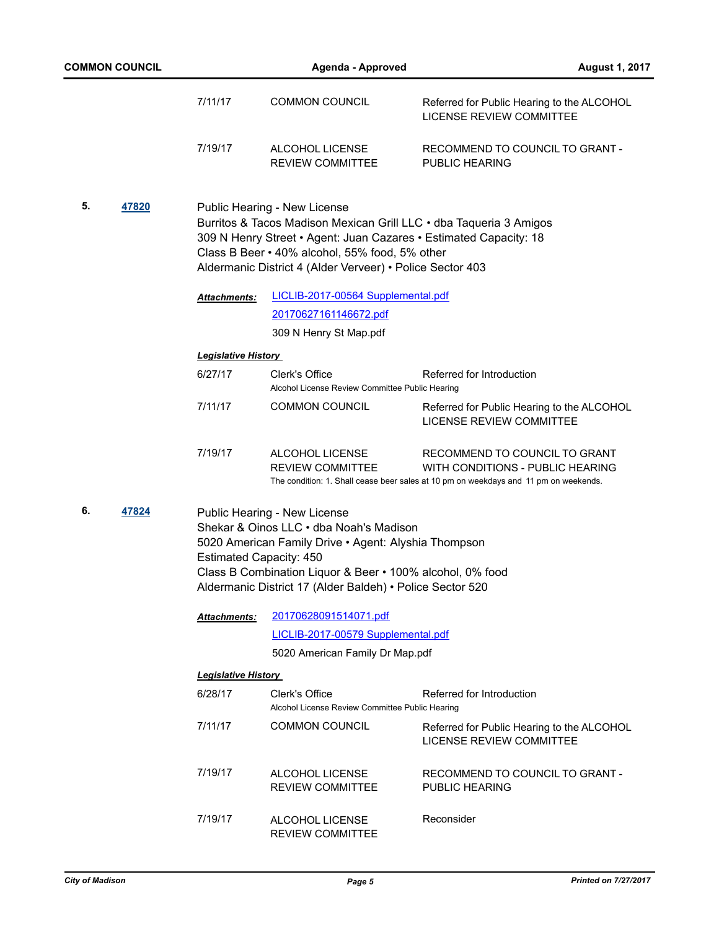| <b>COMMON COUNCIL</b> |       | <b>Agenda - Approved</b>       |                                                                                                                                                                                                                                                           | <b>August 1, 2017</b>                                                                                                                                     |
|-----------------------|-------|--------------------------------|-----------------------------------------------------------------------------------------------------------------------------------------------------------------------------------------------------------------------------------------------------------|-----------------------------------------------------------------------------------------------------------------------------------------------------------|
|                       |       | 7/11/17                        | <b>COMMON COUNCIL</b>                                                                                                                                                                                                                                     | Referred for Public Hearing to the ALCOHOL<br>LICENSE REVIEW COMMITTEE                                                                                    |
|                       |       | 7/19/17                        | ALCOHOL LICENSE<br><b>REVIEW COMMITTEE</b>                                                                                                                                                                                                                | RECOMMEND TO COUNCIL TO GRANT -<br>PUBLIC HEARING                                                                                                         |
| 5.<br>47820           |       |                                | Public Hearing - New License<br>Class B Beer • 40% alcohol, 55% food, 5% other<br>Aldermanic District 4 (Alder Verveer) • Police Sector 403                                                                                                               | Burritos & Tacos Madison Mexican Grill LLC • dba Taqueria 3 Amigos<br>309 N Henry Street • Agent: Juan Cazares • Estimated Capacity: 18                   |
|                       |       | <b>Attachments:</b>            | LICLIB-2017-00564 Supplemental.pdf                                                                                                                                                                                                                        |                                                                                                                                                           |
|                       |       |                                | 20170627161146672.pdf                                                                                                                                                                                                                                     |                                                                                                                                                           |
|                       |       |                                | 309 N Henry St Map.pdf                                                                                                                                                                                                                                    |                                                                                                                                                           |
|                       |       | <b>Legislative History</b>     |                                                                                                                                                                                                                                                           |                                                                                                                                                           |
|                       |       | 6/27/17                        | Clerk's Office<br>Alcohol License Review Committee Public Hearing                                                                                                                                                                                         | Referred for Introduction                                                                                                                                 |
|                       |       | 7/11/17                        | <b>COMMON COUNCIL</b>                                                                                                                                                                                                                                     | Referred for Public Hearing to the ALCOHOL<br>LICENSE REVIEW COMMITTEE                                                                                    |
|                       |       | 7/19/17                        | ALCOHOL LICENSE<br><b>REVIEW COMMITTEE</b>                                                                                                                                                                                                                | RECOMMEND TO COUNCIL TO GRANT<br>WITH CONDITIONS - PUBLIC HEARING<br>The condition: 1. Shall cease beer sales at 10 pm on weekdays and 11 pm on weekends. |
| 6.                    | 47824 | <b>Estimated Capacity: 450</b> | Public Hearing - New License<br>Shekar & Oinos LLC . dba Noah's Madison<br>5020 American Family Drive • Agent: Alyshia Thompson<br>Class B Combination Liquor & Beer • 100% alcohol, 0% food<br>Aldermanic District 17 (Alder Baldeh) • Police Sector 520 |                                                                                                                                                           |
|                       |       | Attachments:                   | 20170628091514071.pdf<br>LICLIB-2017-00579 Supplemental.pdf                                                                                                                                                                                               |                                                                                                                                                           |
|                       |       |                                | 5020 American Family Dr Map.pdf                                                                                                                                                                                                                           |                                                                                                                                                           |
|                       |       | <b>Legislative History</b>     |                                                                                                                                                                                                                                                           |                                                                                                                                                           |
|                       |       | 6/28/17                        | Clerk's Office                                                                                                                                                                                                                                            | Referred for Introduction                                                                                                                                 |
|                       |       |                                | Alcohol License Review Committee Public Hearing                                                                                                                                                                                                           |                                                                                                                                                           |
|                       |       | 7/11/17                        | <b>COMMON COUNCIL</b>                                                                                                                                                                                                                                     | Referred for Public Hearing to the ALCOHOL<br><b>LICENSE REVIEW COMMITTEE</b>                                                                             |
|                       |       | 7/19/17                        | ALCOHOL LICENSE<br><b>REVIEW COMMITTEE</b>                                                                                                                                                                                                                | RECOMMEND TO COUNCIL TO GRANT -<br>PUBLIC HEARING                                                                                                         |
|                       |       | 7/19/17                        | ALCOHOL LICENSE<br>REVIEW COMMITTEE                                                                                                                                                                                                                       | Reconsider                                                                                                                                                |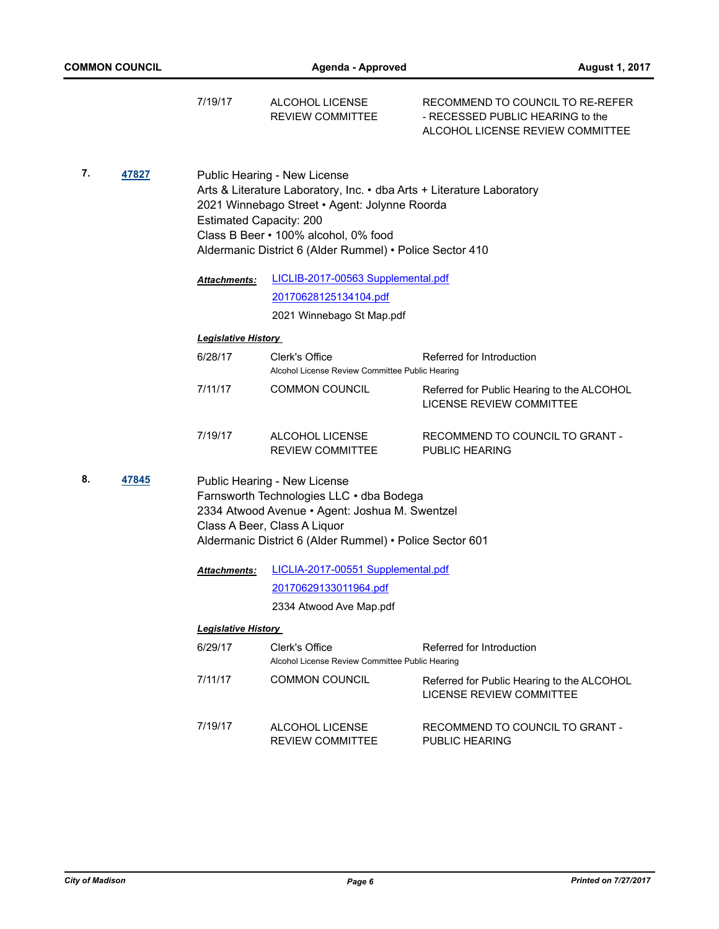|    |       | 7/19/17                        | <b>ALCOHOL LICENSE</b><br>REVIEW COMMITTEE                                                                                                                                                                                                                 | RECOMMEND TO COUNCIL TO RE-REFER<br>- RECESSED PUBLIC HEARING to the<br>ALCOHOL LICENSE REVIEW COMMITTEE |
|----|-------|--------------------------------|------------------------------------------------------------------------------------------------------------------------------------------------------------------------------------------------------------------------------------------------------------|----------------------------------------------------------------------------------------------------------|
| 7. | 47827 | <b>Estimated Capacity: 200</b> | Public Hearing - New License<br>Arts & Literature Laboratory, Inc. • dba Arts + Literature Laboratory<br>2021 Winnebago Street • Agent: Jolynne Roorda<br>Class B Beer . 100% alcohol, 0% food<br>Aldermanic District 6 (Alder Rummel) • Police Sector 410 |                                                                                                          |
|    |       | Attachments:                   | LICLIB-2017-00563 Supplemental.pdf                                                                                                                                                                                                                         |                                                                                                          |
|    |       |                                | 20170628125134104.pdf                                                                                                                                                                                                                                      |                                                                                                          |
|    |       |                                | 2021 Winnebago St Map.pdf                                                                                                                                                                                                                                  |                                                                                                          |
|    |       | <b>Legislative History</b>     |                                                                                                                                                                                                                                                            |                                                                                                          |
|    |       | 6/28/17                        | Clerk's Office<br>Alcohol License Review Committee Public Hearing                                                                                                                                                                                          | Referred for Introduction                                                                                |
|    |       | 7/11/17                        | <b>COMMON COUNCIL</b>                                                                                                                                                                                                                                      | Referred for Public Hearing to the ALCOHOL<br><b>LICENSE REVIEW COMMITTEE</b>                            |
|    |       | 7/19/17                        | ALCOHOL LICENSE<br><b>REVIEW COMMITTEE</b>                                                                                                                                                                                                                 | RECOMMEND TO COUNCIL TO GRANT -<br><b>PUBLIC HEARING</b>                                                 |
| 8. | 47845 |                                | Public Hearing - New License<br>Farnsworth Technologies LLC . dba Bodega<br>2334 Atwood Avenue · Agent: Joshua M. Swentzel<br>Class A Beer, Class A Liquor<br>Aldermanic District 6 (Alder Rummel) · Police Sector 601                                     |                                                                                                          |
|    |       | Attachments:                   | LICLIA-2017-00551 Supplemental.pdf                                                                                                                                                                                                                         |                                                                                                          |
|    |       |                                | 20170629133011964.pdf                                                                                                                                                                                                                                      |                                                                                                          |
|    |       |                                | 2334 Atwood Ave Map.pdf                                                                                                                                                                                                                                    |                                                                                                          |
|    |       | <b>Legislative History</b>     |                                                                                                                                                                                                                                                            |                                                                                                          |
|    |       | 6/29/17                        | Clerk's Office<br>Alcohol License Review Committee Public Hearing                                                                                                                                                                                          | Referred for Introduction                                                                                |
|    |       | 7/11/17                        | COMMON COUNCIL                                                                                                                                                                                                                                             | Referred for Public Hearing to the ALCOHOL<br>LICENSE REVIEW COMMITTEE                                   |
|    |       | 7/19/17                        | ALCOHOL LICENSE                                                                                                                                                                                                                                            | RECOMMEND TO COUNCIL TO GRANT -                                                                          |

PUBLIC HEARING

REVIEW COMMITTEE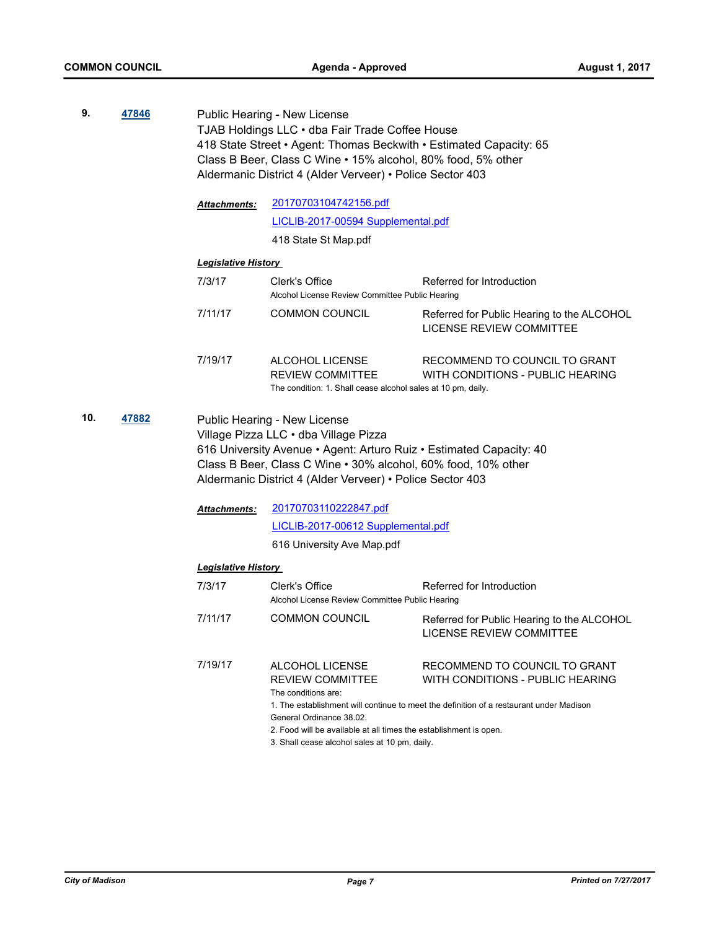**9. [47846](http://madison.legistar.com/gateway.aspx?m=l&id=/matter.aspx?key=51794)** Public Hearing - New License TJAB Holdings LLC • dba Fair Trade Coffee House 418 State Street • Agent: Thomas Beckwith • Estimated Capacity: 65 Class B Beer, Class C Wine • 15% alcohol, 80% food, 5% other Aldermanic District 4 (Alder Verveer) • Police Sector 403 [20170703104742156.pdf](http://madison.legistar.com/gateway.aspx?M=F&ID=cbb8d153-5690-4be2-8f5f-2f02d17129cd.pdf) [LICLIB-2017-00594 Supplemental.pdf](http://madison.legistar.com/gateway.aspx?M=F&ID=b5224e47-7c7f-426f-8725-ae34d05879f8.pdf) 418 State St Map.pdf *Attachments: Legislative History*  7/3/17 Clerk's Office Referred for Introduction Alcohol License Review Committee Public Hearing 7/11/17 COMMON COUNCIL Referred for Public Hearing to the ALCOHOL LICENSE REVIEW COMMITTEE 7/19/17 ALCOHOL LICENSE REVIEW COMMITTEE RECOMMEND TO COUNCIL TO GRANT WITH CONDITIONS - PUBLIC HEARING The condition: 1. Shall cease alcohol sales at 10 pm, daily. **10. [47882](http://madison.legistar.com/gateway.aspx?m=l&id=/matter.aspx?key=51830)** Public Hearing - New License Village Pizza LLC • dba Village Pizza 616 University Avenue • Agent: Arturo Ruiz • Estimated Capacity: 40 Class B Beer, Class C Wine • 30% alcohol, 60% food, 10% other Aldermanic District 4 (Alder Verveer) • Police Sector 403 [20170703110222847.pdf](http://madison.legistar.com/gateway.aspx?M=F&ID=6a1edb7a-fff8-4521-b259-46cc04d0eb1c.pdf) [LICLIB-2017-00612 Supplemental.pdf](http://madison.legistar.com/gateway.aspx?M=F&ID=a37c0cf8-9255-4c14-9da5-34027a78a423.pdf) 616 University Ave Map.pdf *Attachments: Legislative History*  7/3/17 Clerk's Office Referred for Introduction Alcohol License Review Committee Public Hearing 7/11/17 COMMON COUNCIL Referred for Public Hearing to the ALCOHOL LICENSE REVIEW COMMITTEE 7/19/17 ALCOHOL LICENSE REVIEW COMMITTEE RECOMMEND TO COUNCIL TO GRANT WITH CONDITIONS - PUBLIC HEARING The conditions are: 1. The establishment will continue to meet the definition of a restaurant under Madison General Ordinance 38.02. 2. Food will be available at all times the establishment is open.

3. Shall cease alcohol sales at 10 pm, daily.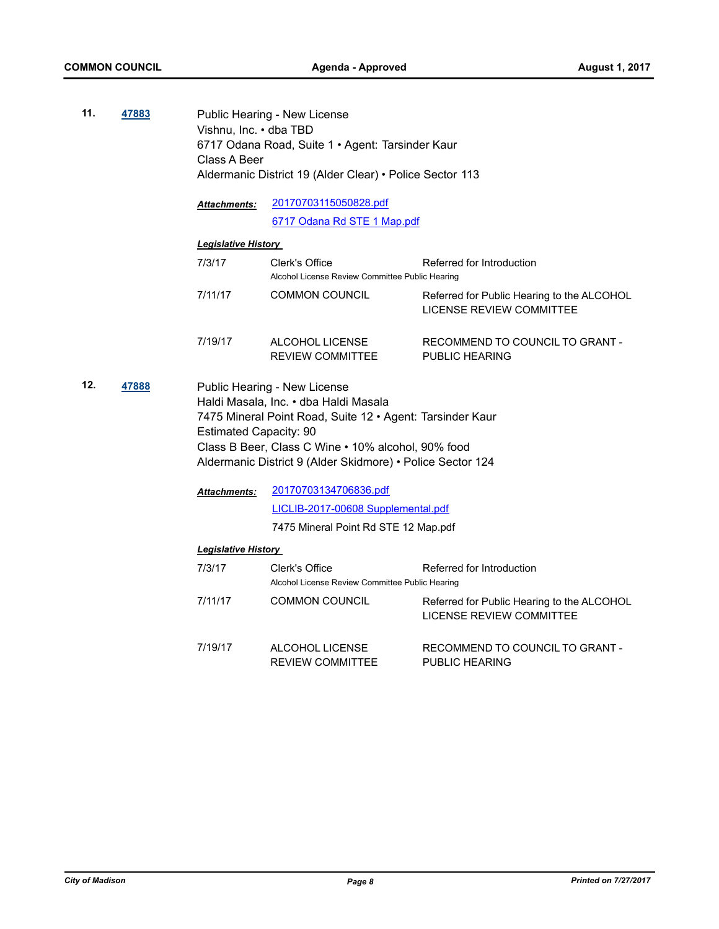**11. [47883](http://madison.legistar.com/gateway.aspx?m=l&id=/matter.aspx?key=51831)** Public Hearing - New License Vishnu, Inc. • dba TBD 6717 Odana Road, Suite 1 • Agent: Tarsinder Kaur Class A Beer Aldermanic District 19 (Alder Clear) • Police Sector 113 [20170703115050828.pdf](http://madison.legistar.com/gateway.aspx?M=F&ID=f118b246-c258-42b0-8ac9-af050c1345ff.pdf) [6717 Odana Rd STE 1 Map.pdf](http://madison.legistar.com/gateway.aspx?M=F&ID=f2632434-7598-4c49-b2e7-3623c246a1f6.pdf) *Attachments: Legislative History*  7/3/17 Clerk's Office Referred for Introduction Alcohol License Review Committee Public Hearing 7/11/17 COMMON COUNCIL Referred for Public Hearing to the ALCOHOL LICENSE REVIEW COMMITTEE 7/19/17 ALCOHOL LICENSE REVIEW COMMITTEE RECOMMEND TO COUNCIL TO GRANT - PUBLIC HEARING **12. [47888](http://madison.legistar.com/gateway.aspx?m=l&id=/matter.aspx?key=51836)** Public Hearing - New License Haldi Masala, Inc. • dba Haldi Masala 7475 Mineral Point Road, Suite 12 • Agent: Tarsinder Kaur Estimated Capacity: 90 Class B Beer, Class C Wine • 10% alcohol, 90% food Aldermanic District 9 (Alder Skidmore) • Police Sector 124 [20170703134706836.pdf](http://madison.legistar.com/gateway.aspx?M=F&ID=735d72e5-b541-481a-aefe-0969a84faab1.pdf) [LICLIB-2017-00608 Supplemental.pdf](http://madison.legistar.com/gateway.aspx?M=F&ID=f61592e8-2f6d-4c4b-9db9-fa99704f0f7a.pdf) 7475 Mineral Point Rd STE 12 Map.pdf *Attachments: Legislative History*  7/3/17 Clerk's Office Referred for Introduction Alcohol License Review Committee Public Hearing 7/11/17 COMMON COUNCIL Referred for Public Hearing to the ALCOHOL LICENSE REVIEW COMMITTEE 7/19/17 ALCOHOL LICENSE REVIEW COMMITTEE RECOMMEND TO COUNCIL TO GRANT - PUBLIC HEARING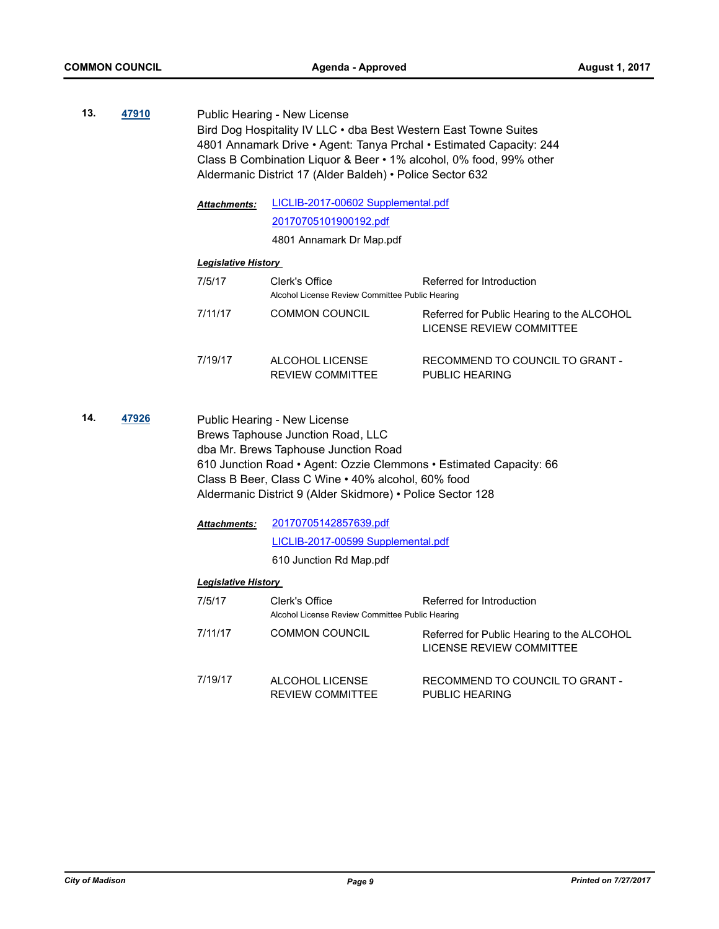**13. [47910](http://madison.legistar.com/gateway.aspx?m=l&id=/matter.aspx?key=51855)** Public Hearing - New License Bird Dog Hospitality IV LLC • dba Best Western East Towne Suites 4801 Annamark Drive • Agent: Tanya Prchal • Estimated Capacity: 244 Class B Combination Liquor & Beer • 1% alcohol, 0% food, 99% other Aldermanic District 17 (Alder Baldeh) • Police Sector 632

> [LICLIB-2017-00602 Supplemental.pdf](http://madison.legistar.com/gateway.aspx?M=F&ID=57bb989b-4cc5-4ed6-b7ba-40501ebc62bb.pdf) [20170705101900192.pdf](http://madison.legistar.com/gateway.aspx?M=F&ID=06ebdd60-412c-4d3c-95fb-8b34b7fa1645.pdf) *Attachments:*

> > 4801 Annamark Dr Map.pdf

#### *Legislative History*

| 7/5/17  | Clerk's Office<br>Alcohol License Review Committee Public Hearing | Referred for Introduction                                              |
|---------|-------------------------------------------------------------------|------------------------------------------------------------------------|
| 7/11/17 | <b>COMMON COUNCIL</b>                                             | Referred for Public Hearing to the ALCOHOL<br>LICENSE REVIEW COMMITTEE |
| 7/19/17 | ALCOHOL LICENSE<br><b>REVIEW COMMITTEE</b>                        | RECOMMEND TO COUNCIL TO GRANT -<br>PUBLIC HEARING                      |

**14. [47926](http://madison.legistar.com/gateway.aspx?m=l&id=/matter.aspx?key=51868)** Public Hearing - New License Brews Taphouse Junction Road, LLC dba Mr. Brews Taphouse Junction Road 610 Junction Road • Agent: Ozzie Clemmons • Estimated Capacity: 66 Class B Beer, Class C Wine • 40% alcohol, 60% food Aldermanic District 9 (Alder Skidmore) • Police Sector 128

> [20170705142857639.pdf](http://madison.legistar.com/gateway.aspx?M=F&ID=8fcd0346-04e9-4e58-b4fd-1b6f44eaafb1.pdf) [LICLIB-2017-00599 Supplemental.pdf](http://madison.legistar.com/gateway.aspx?M=F&ID=e7be15fa-c99b-469d-a79d-793c604b8191.pdf) 610 Junction Rd Map.pdf *Attachments:*

| 7/5/17  | Clerk's Office<br>Alcohol License Review Committee Public Hearing | Referred for Introduction                                              |
|---------|-------------------------------------------------------------------|------------------------------------------------------------------------|
| 7/11/17 | <b>COMMON COUNCIL</b>                                             | Referred for Public Hearing to the ALCOHOL<br>LICENSE REVIEW COMMITTEE |
| 7/19/17 | ALCOHOL LICENSE<br><b>REVIEW COMMITTEE</b>                        | RECOMMEND TO COUNCIL TO GRANT -<br>PUBLIC HEARING                      |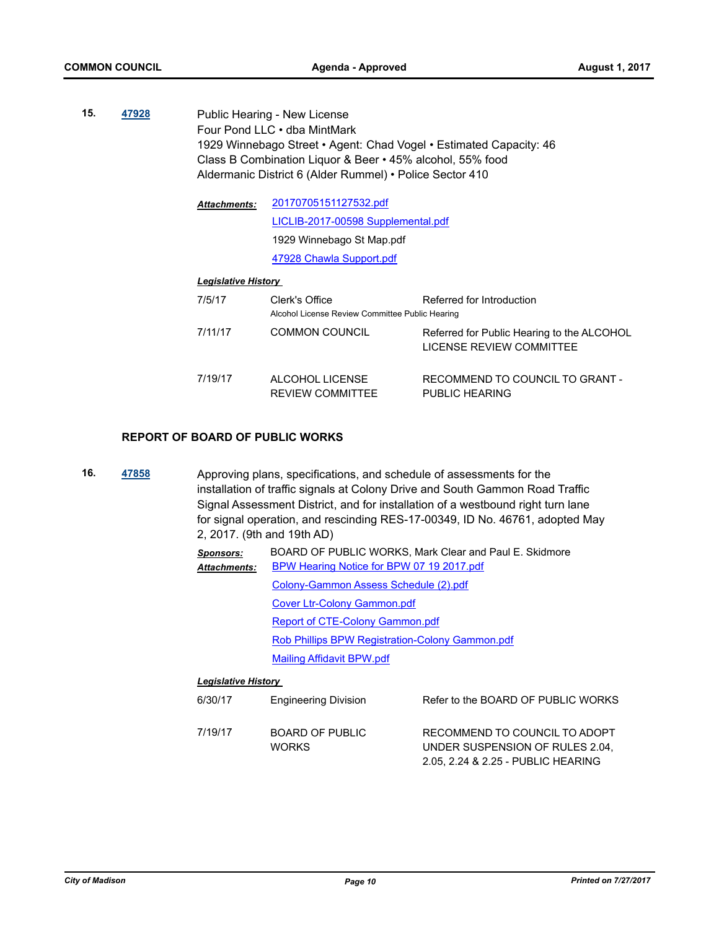**15. [47928](http://madison.legistar.com/gateway.aspx?m=l&id=/matter.aspx?key=51870)** Public Hearing - New License Four Pond LLC • dba MintMark 1929 Winnebago Street • Agent: Chad Vogel • Estimated Capacity: 46 Class B Combination Liquor & Beer • 45% alcohol, 55% food Aldermanic District 6 (Alder Rummel) • Police Sector 410

> [20170705151127532.pdf](http://madison.legistar.com/gateway.aspx?M=F&ID=5b263c80-5e3b-482d-96f2-23efb3966f69.pdf) [LICLIB-2017-00598 Supplemental.pdf](http://madison.legistar.com/gateway.aspx?M=F&ID=cd0f316d-9b7b-4d37-884a-8ec68e984516.pdf) 1929 Winnebago St Map.pdf [47928 Chawla Support.pdf](http://madison.legistar.com/gateway.aspx?M=F&ID=f22b56f9-645f-4715-b24b-3d07d634779c.pdf) *Attachments:*

#### *Legislative History*

| 7/5/17  | Clerk's Office<br>Alcohol License Review Committee Public Hearing | Referred for Introduction                                              |
|---------|-------------------------------------------------------------------|------------------------------------------------------------------------|
| 7/11/17 | <b>COMMON COUNCIL</b>                                             | Referred for Public Hearing to the ALCOHOL<br>LICENSE REVIEW COMMITTEE |
| 7/19/17 | ALCOHOL LICENSE<br><b>REVIEW COMMITTEE</b>                        | RECOMMEND TO COUNCIL TO GRANT -<br>PUBLIC HEARING                      |

#### **REPORT OF BOARD OF PUBLIC WORKS**

**16. [47858](http://madison.legistar.com/gateway.aspx?m=l&id=/matter.aspx?key=51806)** Approving plans, specifications, and schedule of assessments for the installation of traffic signals at Colony Drive and South Gammon Road Traffic Signal Assessment District, and for installation of a westbound right turn lane for signal operation, and rescinding RES-17-00349, ID No. 46761, adopted May 2, 2017. (9th and 19th AD)

> *Sponsors:* BOARD OF PUBLIC WORKS, Mark Clear and Paul E. Skidmore [BPW Hearing Notice for BPW 07 19 2017.pdf](http://madison.legistar.com/gateway.aspx?M=F&ID=f29fedfe-0e5c-42ee-a4f5-f3ffbf8e04ae.pdf) [Colony-Gammon Assess Schedule \(2\).pdf](http://madison.legistar.com/gateway.aspx?M=F&ID=45219605-9024-4029-9586-1c995e93382e.pdf) [Cover Ltr-Colony Gammon.pdf](http://madison.legistar.com/gateway.aspx?M=F&ID=f9675fa4-4745-4529-9367-d4e13627d174.pdf) [Report of CTE-Colony Gammon.pdf](http://madison.legistar.com/gateway.aspx?M=F&ID=01b86427-39b8-47da-a7df-679868ed1e6e.pdf) [Rob Phillips BPW Registration-Colony Gammon.pdf](http://madison.legistar.com/gateway.aspx?M=F&ID=68cacdb1-2ec0-4d94-8615-a80951ac21cc.pdf) [Mailing Affidavit BPW.pdf](http://madison.legistar.com/gateway.aspx?M=F&ID=943c8d46-2d3a-4ad2-bfc7-bf4085ffffea.pdf) *Attachments: Legislative History*  6/30/17 Engineering Division Refer to the BOARD OF PUBLIC WORKS

| 7/19/17 | BOARD OF PUBLIC | RECOMMEND TO COUNCIL TO ADOPT      |
|---------|-----------------|------------------------------------|
|         | <b>WORKS</b>    | UNDER SUSPENSION OF RULES 2.04.    |
|         |                 | 2.05, 2.24 & 2.25 - PUBLIC HEARING |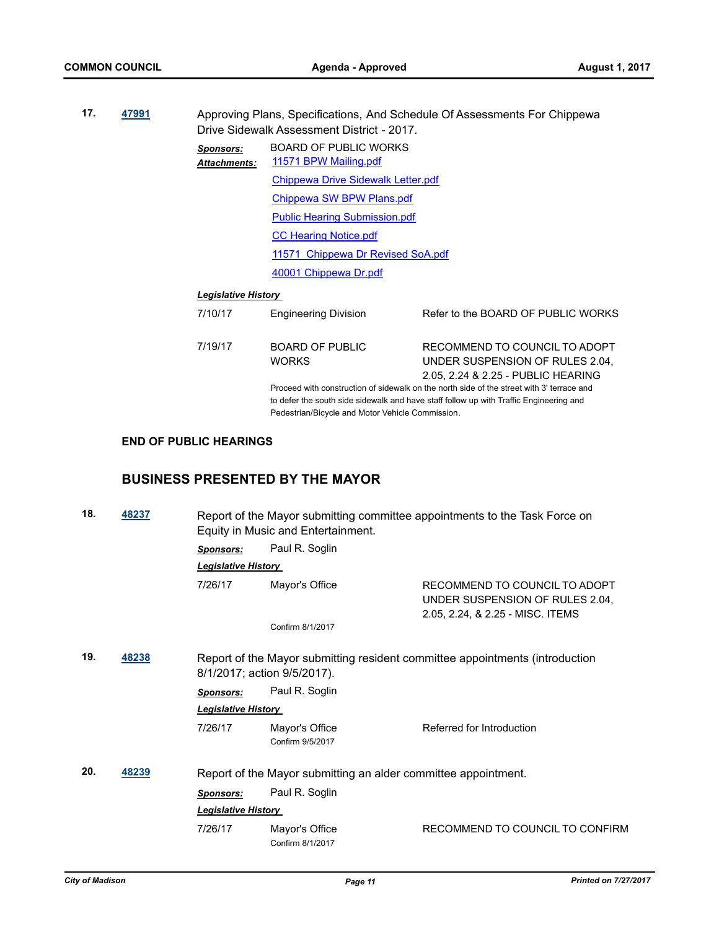| 17.<br>47991 |  | Approving Plans, Specifications, And Schedule Of Assessments For Chippewa<br>Drive Sidewalk Assessment District - 2017. |                                                       |                                                                                                                                                                                     |
|--------------|--|-------------------------------------------------------------------------------------------------------------------------|-------------------------------------------------------|-------------------------------------------------------------------------------------------------------------------------------------------------------------------------------------|
|              |  | Sponsors:<br><b>Attachments:</b>                                                                                        | <b>BOARD OF PUBLIC WORKS</b><br>11571 BPW Mailing.pdf |                                                                                                                                                                                     |
|              |  |                                                                                                                         | Chippewa Drive Sidewalk Letter.pdf                    |                                                                                                                                                                                     |
|              |  |                                                                                                                         | Chippewa SW BPW Plans.pdf                             |                                                                                                                                                                                     |
|              |  |                                                                                                                         | <b>Public Hearing Submission.pdf</b>                  |                                                                                                                                                                                     |
|              |  |                                                                                                                         | <b>CC Hearing Notice.pdf</b>                          |                                                                                                                                                                                     |
|              |  |                                                                                                                         | 11571 Chippewa Dr Revised SoA.pdf                     |                                                                                                                                                                                     |
|              |  |                                                                                                                         | 40001 Chippewa Dr.pdf                                 |                                                                                                                                                                                     |
|              |  | <b>Legislative History</b>                                                                                              |                                                       |                                                                                                                                                                                     |
|              |  | 7/10/17                                                                                                                 | <b>Engineering Division</b>                           | Refer to the BOARD OF PUBLIC WORKS                                                                                                                                                  |
|              |  | 7/19/17                                                                                                                 | <b>BOARD OF PUBLIC</b><br><b>WORKS</b>                | RECOMMEND TO COUNCIL TO ADOPT<br>UNDER SUSPENSION OF RULES 2.04.<br>2.05, 2.24 & 2.25 - PUBLIC HEARING                                                                              |
|              |  |                                                                                                                         |                                                       | Proceed with construction of sidewalk on the north side of the street with 3' terrace and<br>to defer the south side sidewalk and have staff follow up with Traffic Engineering and |

Pedestrian/Bicycle and Motor Vehicle Commission.

# **END OF PUBLIC HEARINGS**

# **BUSINESS PRESENTED BY THE MAYOR**

| 18. | 48237 |                                                                                                             | Equity in Music and Entertainment.                             | Report of the Mayor submitting committee appointments to the Task Force on                           |
|-----|-------|-------------------------------------------------------------------------------------------------------------|----------------------------------------------------------------|------------------------------------------------------------------------------------------------------|
|     |       | Sponsors:                                                                                                   | Paul R. Soglin                                                 |                                                                                                      |
|     |       | <b>Legislative History</b>                                                                                  |                                                                |                                                                                                      |
|     |       | 7/26/17                                                                                                     | Mayor's Office                                                 | RECOMMEND TO COUNCIL TO ADOPT<br>UNDER SUSPENSION OF RULES 2.04,<br>2.05, 2.24, & 2.25 - MISC. ITEMS |
|     |       |                                                                                                             | Confirm 8/1/2017                                               |                                                                                                      |
| 19. | 48238 | Report of the Mayor submitting resident committee appointments (introduction<br>8/1/2017; action 9/5/2017). |                                                                |                                                                                                      |
|     |       | <b>Sponsors:</b>                                                                                            | Paul R. Soglin                                                 |                                                                                                      |
|     |       | <b>Legislative History</b>                                                                                  |                                                                |                                                                                                      |
|     |       | 7/26/17                                                                                                     | Mayor's Office<br>Confirm 9/5/2017                             | Referred for Introduction                                                                            |
| 20. | 48239 |                                                                                                             | Report of the Mayor submitting an alder committee appointment. |                                                                                                      |
|     |       | <b>Sponsors:</b>                                                                                            | Paul R. Soglin                                                 |                                                                                                      |
|     |       | <b>Legislative History</b>                                                                                  |                                                                |                                                                                                      |
|     |       | 7/26/17                                                                                                     | Mayor's Office<br>Confirm 8/1/2017                             | RECOMMEND TO COUNCIL TO CONFIRM                                                                      |
|     |       |                                                                                                             |                                                                |                                                                                                      |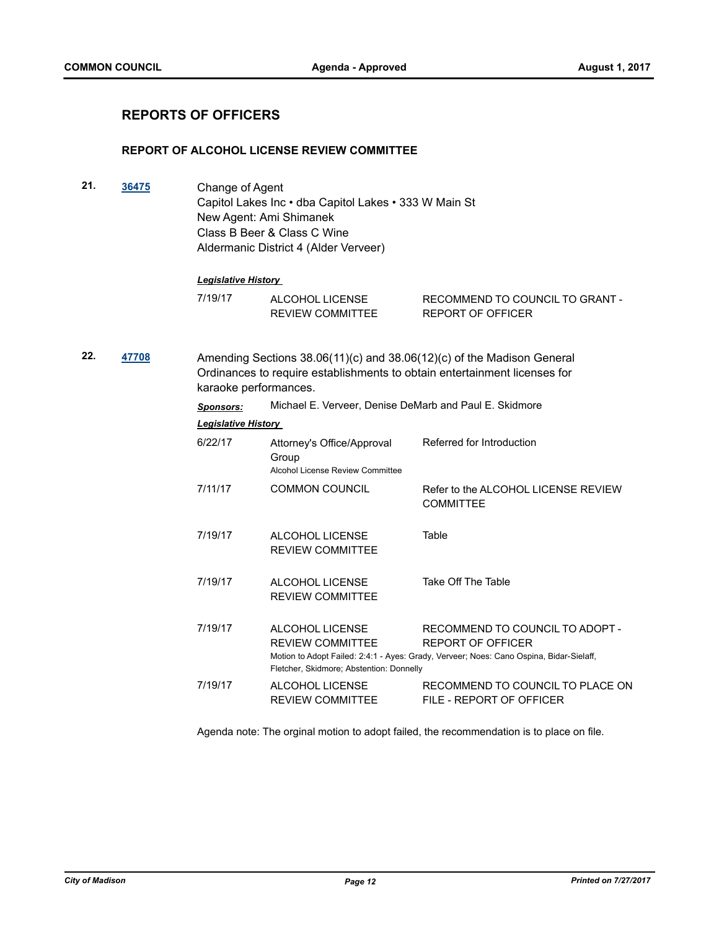# **REPORTS OF OFFICERS**

#### **REPORT OF ALCOHOL LICENSE REVIEW COMMITTEE**

**21. [36475](http://madison.legistar.com/gateway.aspx?m=l&id=/matter.aspx?key=39424)** Change of Agent Capitol Lakes Inc • dba Capitol Lakes • 333 W Main St New Agent: Ami Shimanek Class B Beer & Class C Wine Aldermanic District 4 (Alder Verveer)

#### *Legislative History*

| 7/19/17 | ALCOHOL LICENSE         | RECOMMEND TO COUNCIL TO GRANT - |
|---------|-------------------------|---------------------------------|
|         | <b>REVIEW COMMITTEE</b> | REPORT OF OFFICER               |

**22. [47708](http://madison.legistar.com/gateway.aspx?m=l&id=/matter.aspx?key=51658)** Amending Sections 38.06(11)(c) and 38.06(12)(c) of the Madison General Ordinances to require establishments to obtain entertainment licenses for karaoke performances.

> *Sponsors:* Michael E. Verveer, Denise DeMarb and Paul E. Skidmore *Legislative History*

| 6/22/17 | Attorney's Office/Approval<br>Group<br>Alcohol License Review Committee                | Referred for Introduction                                                                                                                       |
|---------|----------------------------------------------------------------------------------------|-------------------------------------------------------------------------------------------------------------------------------------------------|
| 7/11/17 | <b>COMMON COUNCIL</b>                                                                  | Refer to the ALCOHOL LICENSE REVIEW<br><b>COMMITTEE</b>                                                                                         |
| 7/19/17 | ALCOHOL LICENSE<br><b>REVIEW COMMITTEE</b>                                             | Table                                                                                                                                           |
| 7/19/17 | ALCOHOL LICENSE<br><b>REVIEW COMMITTEE</b>                                             | Take Off The Table                                                                                                                              |
| 7/19/17 | ALCOHOL LICENSE<br><b>REVIEW COMMITTEE</b><br>Fletcher, Skidmore; Abstention: Donnelly | RECOMMEND TO COUNCIL TO ADOPT -<br>REPORT OF OFFICER<br>Motion to Adopt Failed: 2:4:1 - Ayes: Grady, Verveer; Noes: Cano Ospina, Bidar-Sielaff, |
| 7/19/17 | ALCOHOL LICENSE<br><b>REVIEW COMMITTEE</b>                                             | RECOMMEND TO COUNCIL TO PLACE ON<br>FILE - REPORT OF OFFICER                                                                                    |

Agenda note: The orginal motion to adopt failed, the recommendation is to place on file.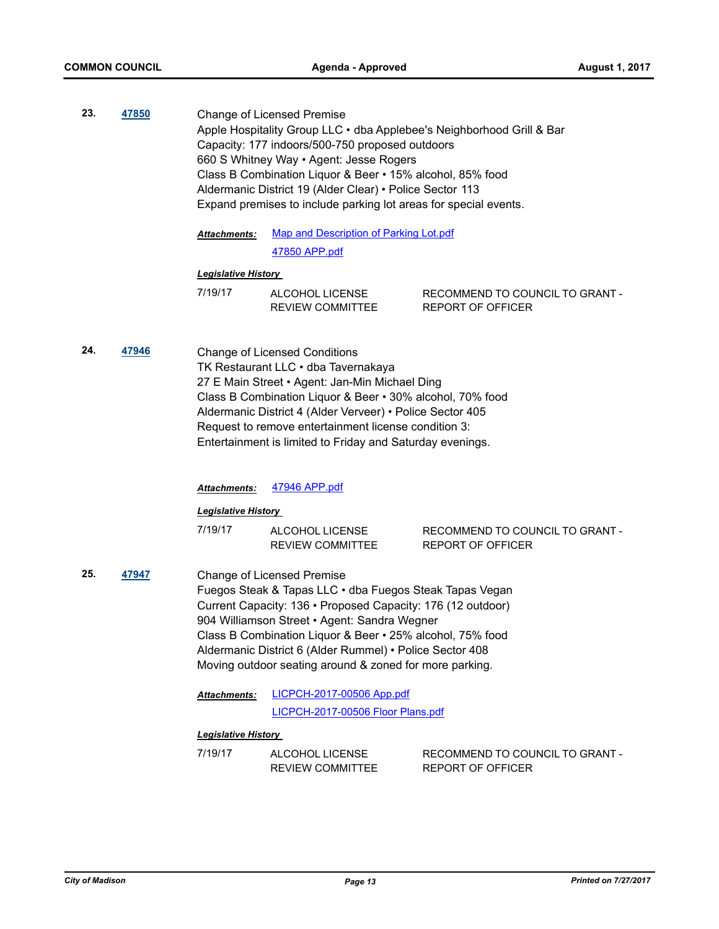**23. [47850](http://madison.legistar.com/gateway.aspx?m=l&id=/matter.aspx?key=51798)** Change of Licensed Premise Apple Hospitality Group LLC • dba Applebee's Neighborhood Grill & Bar Capacity: 177 indoors/500-750 proposed outdoors 660 S Whitney Way • Agent: Jesse Rogers Class B Combination Liquor & Beer • 15% alcohol, 85% food Aldermanic District 19 (Alder Clear) • Police Sector 113 Expand premises to include parking lot areas for special events.

> [Map and Description of Parking Lot.pdf](http://madison.legistar.com/gateway.aspx?M=F&ID=60e16428-80f7-43c0-a193-cefa7d71e7b7.pdf) [47850 APP.pdf](http://madison.legistar.com/gateway.aspx?M=F&ID=ae1d99bc-ae17-4448-a5ca-7ebf3f58df9b.pdf) *Attachments:*

#### *Legislative History*

| 7/19/17 | ALCOHOL LICENSE         | RECOMMEND TO COUNCIL TO GRANT - |  |
|---------|-------------------------|---------------------------------|--|
|         | <b>REVIEW COMMITTEE</b> | REPORT OF OFFICER               |  |

**24. [47946](http://madison.legistar.com/gateway.aspx?m=l&id=/matter.aspx?key=51886)** Change of Licensed Conditions TK Restaurant LLC • dba Tavernakaya 27 E Main Street • Agent: Jan-Min Michael Ding Class B Combination Liquor & Beer • 30% alcohol, 70% food Aldermanic District 4 (Alder Verveer) • Police Sector 405 Request to remove entertainment license condition 3: Entertainment is limited to Friday and Saturday evenings.

#### *Attachments:* [47946 APP.pdf](http://madison.legistar.com/gateway.aspx?M=F&ID=9f19e0bb-058e-4f4a-b3ba-764966cf6fbf.pdf)

#### *Legislative History*

| 7/19/17 | ALCOHOL LICENSE         | RECOMMEND TO COUNCIL TO GRANT - |
|---------|-------------------------|---------------------------------|
|         | <b>REVIEW COMMITTEE</b> | REPORT OF OFFICER               |

- **25. [47947](http://madison.legistar.com/gateway.aspx?m=l&id=/matter.aspx?key=51887)** Change of Licensed Premise Fuegos Steak & Tapas LLC • dba Fuegos Steak Tapas Vegan Current Capacity: 136 • Proposed Capacity: 176 (12 outdoor) 904 Williamson Street • Agent: Sandra Wegner Class B Combination Liquor & Beer • 25% alcohol, 75% food Aldermanic District 6 (Alder Rummel) • Police Sector 408 Moving outdoor seating around & zoned for more parking.
	- [LICPCH-2017-00506 App.pdf](http://madison.legistar.com/gateway.aspx?M=F&ID=fb06a0fd-694e-4a85-9bf4-3af32e1f56f8.pdf) [LICPCH-2017-00506 Floor Plans.pdf](http://madison.legistar.com/gateway.aspx?M=F&ID=04af4626-92df-4cdb-915b-daf5aefe3b94.pdf) *Attachments:*

| 7/19/17 | ALCOHOL LICENSE         | RECOMMEND TO COUNCIL TO GRANT - |
|---------|-------------------------|---------------------------------|
|         | <b>REVIEW COMMITTEE</b> | REPORT OF OFFICER               |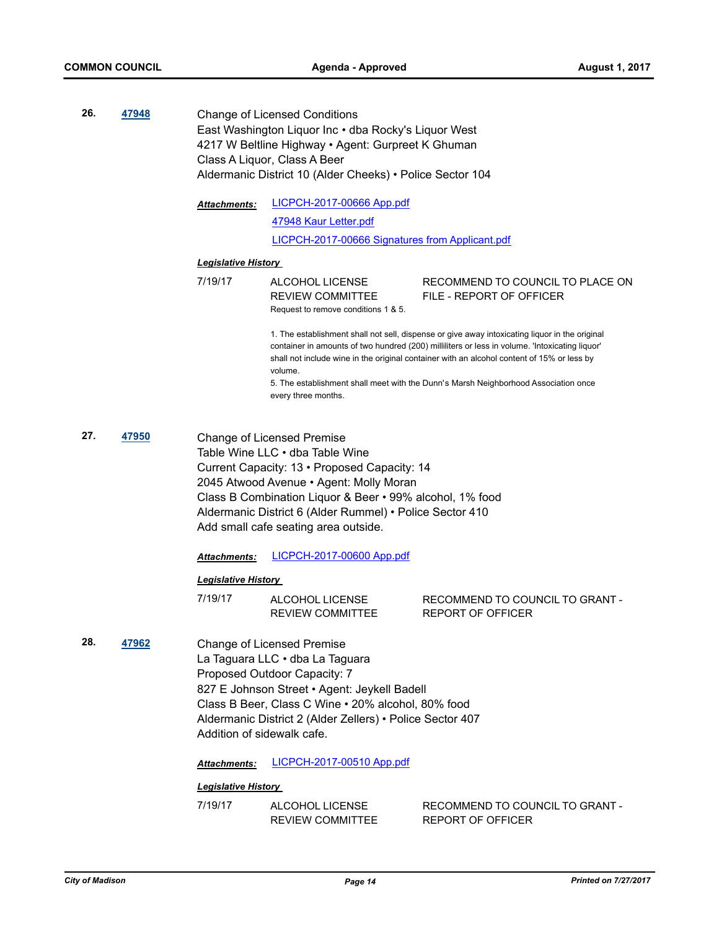- **26. [47948](http://madison.legistar.com/gateway.aspx?m=l&id=/matter.aspx?key=51888)** Change of Licensed Conditions East Washington Liquor Inc • dba Rocky's Liquor West 4217 W Beltline Highway • Agent: Gurpreet K Ghuman Class A Liquor, Class A Beer Aldermanic District 10 (Alder Cheeks) • Police Sector 104
	- [LICPCH-2017-00666 App.pdf](http://madison.legistar.com/gateway.aspx?M=F&ID=ed820bff-340d-47d3-8852-012d4f541c78.pdf) [47948 Kaur Letter.pdf](http://madison.legistar.com/gateway.aspx?M=F&ID=d9c5c0c9-271a-4896-ab37-ab85ce347111.pdf) [LICPCH-2017-00666 Signatures from Applicant.pdf](http://madison.legistar.com/gateway.aspx?M=F&ID=0a93beda-5271-475c-9a12-57c93bca0224.pdf) *Attachments:*

#### *Legislative History*

7/19/17 ALCOHOL LICENSE REVIEW COMMITTEE RECOMMEND TO COUNCIL TO PLACE ON FILE - REPORT OF OFFICER Request to remove conditions 1 & 5.

> 1. The establishment shall not sell, dispense or give away intoxicating liquor in the original container in amounts of two hundred (200) milliliters or less in volume. 'Intoxicating liquor' shall not include wine in the original container with an alcohol content of 15% or less by volume.

5. The establishment shall meet with the Dunn's Marsh Neighborhood Association once every three months.

**27. [47950](http://madison.legistar.com/gateway.aspx?m=l&id=/matter.aspx?key=51890)** Change of Licensed Premise Table Wine LLC • dba Table Wine Current Capacity: 13 • Proposed Capacity: 14 2045 Atwood Avenue • Agent: Molly Moran Class B Combination Liquor & Beer • 99% alcohol, 1% food Aldermanic District 6 (Alder Rummel) • Police Sector 410 Add small cafe seating area outside.

*Attachments:* [LICPCH-2017-00600 App.pdf](http://madison.legistar.com/gateway.aspx?M=F&ID=6704d2b6-47bd-42ff-8154-4471d61b0480.pdf)

#### *Legislative History*

| 7/19/17 | ALCOHOL LICENSE         | RECOMMEND TO COUNCIL TO GRANT - |
|---------|-------------------------|---------------------------------|
|         | <b>REVIEW COMMITTEE</b> | REPORT OF OFFICER               |

**28. [47962](http://madison.legistar.com/gateway.aspx?m=l&id=/matter.aspx?key=51900)** Change of Licensed Premise La Taguara LLC • dba La Taguara Proposed Outdoor Capacity: 7 827 E Johnson Street • Agent: Jeykell Badell Class B Beer, Class C Wine • 20% alcohol, 80% food Aldermanic District 2 (Alder Zellers) • Police Sector 407 Addition of sidewalk cafe.

*Attachments:* [LICPCH-2017-00510 App.pdf](http://madison.legistar.com/gateway.aspx?M=F&ID=3288af7f-7978-4e7f-8468-5eeff2790e15.pdf)

| 7/19/17 | ALCOHOL LICENSE         | RECOMMEND TO COUNCIL TO GRANT - |  |  |
|---------|-------------------------|---------------------------------|--|--|
|         | <b>REVIEW COMMITTEE</b> | REPORT OF OFFICER               |  |  |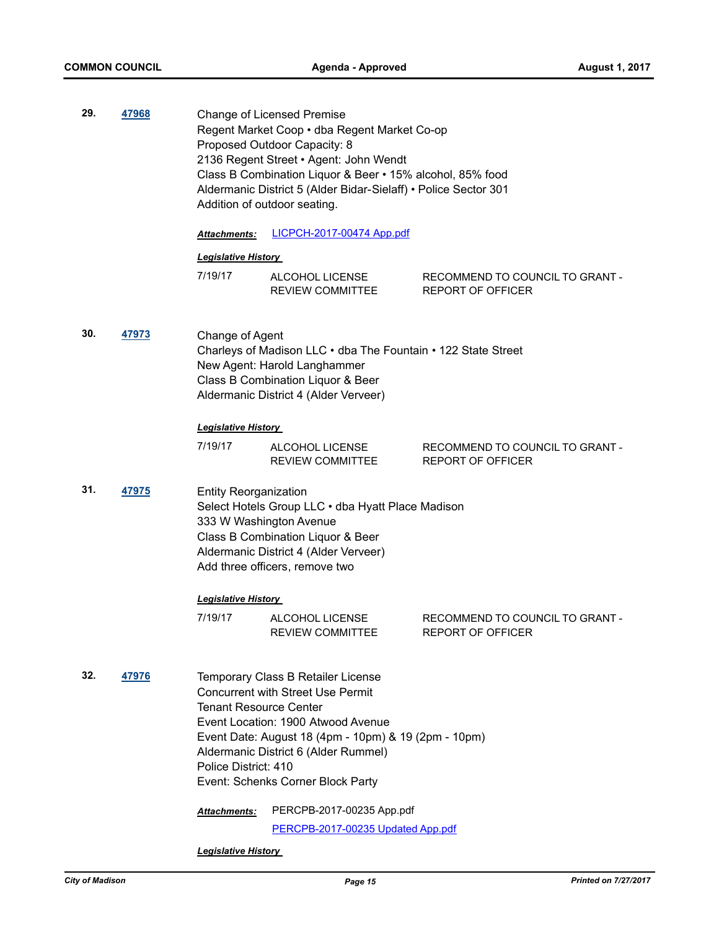| 29. | 47968 |                                                                       | Change of Licensed Premise<br>Regent Market Coop · dba Regent Market Co-op<br>Proposed Outdoor Capacity: 8<br>2136 Regent Street • Agent: John Wendt<br>Class B Combination Liquor & Beer • 15% alcohol, 85% food<br>Aldermanic District 5 (Alder Bidar-Sielaff) • Police Sector 301<br>Addition of outdoor seating. |                                                             |
|-----|-------|-----------------------------------------------------------------------|----------------------------------------------------------------------------------------------------------------------------------------------------------------------------------------------------------------------------------------------------------------------------------------------------------------------|-------------------------------------------------------------|
|     |       | <b>Attachments:</b>                                                   | LICPCH-2017-00474 App.pdf                                                                                                                                                                                                                                                                                            |                                                             |
|     |       | <b>Legislative History</b>                                            |                                                                                                                                                                                                                                                                                                                      |                                                             |
|     |       | 7/19/17                                                               | ALCOHOL LICENSE<br><b>REVIEW COMMITTEE</b>                                                                                                                                                                                                                                                                           | RECOMMEND TO COUNCIL TO GRANT -<br><b>REPORT OF OFFICER</b> |
| 30. | 47973 | Change of Agent                                                       | Charleys of Madison LLC · dba The Fountain · 122 State Street<br>New Agent: Harold Langhammer<br>Class B Combination Liquor & Beer<br>Aldermanic District 4 (Alder Verveer)                                                                                                                                          |                                                             |
|     |       | <b>Legislative History</b>                                            |                                                                                                                                                                                                                                                                                                                      |                                                             |
|     |       | 7/19/17                                                               | ALCOHOL LICENSE<br><b>REVIEW COMMITTEE</b>                                                                                                                                                                                                                                                                           | RECOMMEND TO COUNCIL TO GRANT -<br><b>REPORT OF OFFICER</b> |
| 31. | 47975 | <b>Entity Reorganization</b>                                          | Select Hotels Group LLC . dba Hyatt Place Madison<br>333 W Washington Avenue<br>Class B Combination Liquor & Beer<br>Aldermanic District 4 (Alder Verveer)<br>Add three officers, remove two                                                                                                                         |                                                             |
|     |       | <b>Legislative History</b>                                            |                                                                                                                                                                                                                                                                                                                      |                                                             |
|     |       | 7/19/17                                                               | ALCOHOL LICENSE<br>REVIEW COMMITTEE                                                                                                                                                                                                                                                                                  | RECOMMEND TO COUNCIL TO GRANT -<br>REPORT OF OFFICER        |
| 32. | 47976 | <b>Tenant Resource Center</b><br>Police District: 410<br>Attachments: | Temporary Class B Retailer License<br><b>Concurrent with Street Use Permit</b><br>Event Location: 1900 Atwood Avenue<br>Event Date: August 18 (4pm - 10pm) & 19 (2pm - 10pm)<br>Aldermanic District 6 (Alder Rummel)<br>Event: Schenks Corner Block Party<br>PERCPB-2017-00235 App.pdf                               |                                                             |
|     |       | PERCPB-2017-00235 Updated App.pdf                                     |                                                                                                                                                                                                                                                                                                                      |                                                             |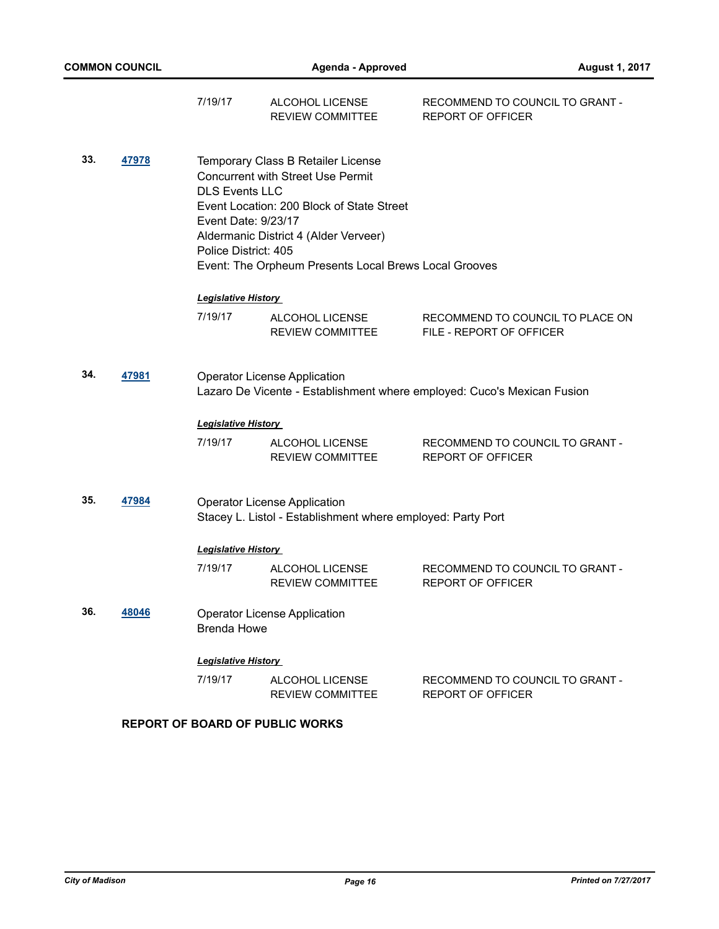|     |       | 7/19/17                                                              | ALCOHOL LICENSE<br><b>REVIEW COMMITTEE</b>                                                                                                                                                                                    | RECOMMEND TO COUNCIL TO GRANT -<br><b>REPORT OF OFFICER</b>             |
|-----|-------|----------------------------------------------------------------------|-------------------------------------------------------------------------------------------------------------------------------------------------------------------------------------------------------------------------------|-------------------------------------------------------------------------|
| 33. | 47978 | <b>DLS Events LLC</b><br>Event Date: 9/23/17<br>Police District: 405 | Temporary Class B Retailer License<br><b>Concurrent with Street Use Permit</b><br>Event Location: 200 Block of State Street<br>Aldermanic District 4 (Alder Verveer)<br>Event: The Orpheum Presents Local Brews Local Grooves |                                                                         |
|     |       | <b>Legislative History</b>                                           |                                                                                                                                                                                                                               |                                                                         |
|     |       | 7/19/17                                                              | ALCOHOL LICENSE<br>REVIEW COMMITTEE                                                                                                                                                                                           | RECOMMEND TO COUNCIL TO PLACE ON<br>FILE - REPORT OF OFFICER            |
| 34. | 47981 |                                                                      | <b>Operator License Application</b>                                                                                                                                                                                           | Lazaro De Vicente - Establishment where employed: Cuco's Mexican Fusion |
|     |       | <b>Legislative History</b>                                           |                                                                                                                                                                                                                               |                                                                         |
|     |       | 7/19/17                                                              | ALCOHOL LICENSE<br><b>REVIEW COMMITTEE</b>                                                                                                                                                                                    | RECOMMEND TO COUNCIL TO GRANT -<br><b>REPORT OF OFFICER</b>             |
| 35. | 47984 |                                                                      | <b>Operator License Application</b><br>Stacey L. Listol - Establishment where employed: Party Port                                                                                                                            |                                                                         |
|     |       | <b>Legislative History</b>                                           |                                                                                                                                                                                                                               |                                                                         |
|     |       | 7/19/17                                                              | ALCOHOL LICENSE<br><b>REVIEW COMMITTEE</b>                                                                                                                                                                                    | RECOMMEND TO COUNCIL TO GRANT -<br><b>REPORT OF OFFICER</b>             |
| 36. | 48046 | <b>Brenda Howe</b>                                                   | <b>Operator License Application</b>                                                                                                                                                                                           |                                                                         |
|     |       | <b>Legislative History</b>                                           |                                                                                                                                                                                                                               |                                                                         |
|     |       | 7/19/17                                                              | ALCOHOL LICENSE<br>REVIEW COMMITTEE                                                                                                                                                                                           | RECOMMEND TO COUNCIL TO GRANT -<br><b>REPORT OF OFFICER</b>             |
|     |       |                                                                      | <b>REPORT OF BOARD OF PUBLIC WORKS</b>                                                                                                                                                                                        |                                                                         |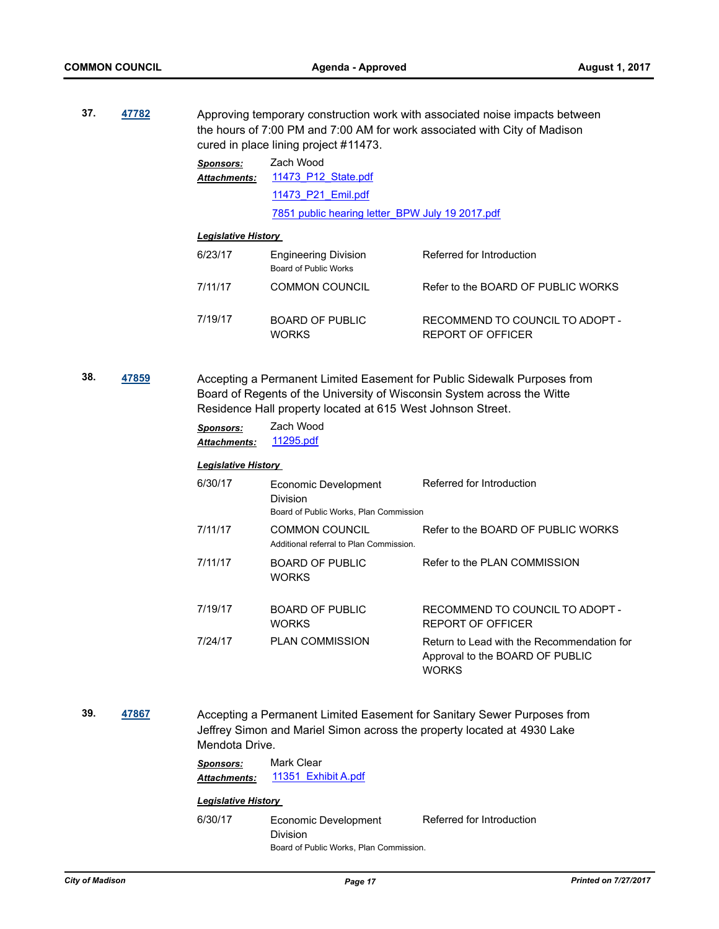**37. [47782](http://madison.legistar.com/gateway.aspx?m=l&id=/matter.aspx?key=51732)** Approving temporary construction work with associated noise impacts between the hours of 7:00 PM and 7:00 AM for work associated with City of Madison cured in place lining project #11473.

| Sponsors:    | Zach Wood                                       |  |  |  |
|--------------|-------------------------------------------------|--|--|--|
| Attachments: | 11473 P12 State.pdf                             |  |  |  |
|              | 11473 P21 Emil.pdf                              |  |  |  |
|              | 7851 public hearing letter BPW July 19 2017.pdf |  |  |  |

#### *Legislative History*

| 6/23/17 | <b>Engineering Division</b><br>Board of Public Works | Referred for Introduction                            |
|---------|------------------------------------------------------|------------------------------------------------------|
| 7/11/17 | <b>COMMON COUNCIL</b>                                | Refer to the BOARD OF PUBLIC WORKS                   |
| 7/19/17 | <b>BOARD OF PUBLIC</b><br><b>WORKS</b>               | RECOMMEND TO COUNCIL TO ADOPT -<br>REPORT OF OFFICER |

**38. [47859](http://madison.legistar.com/gateway.aspx?m=l&id=/matter.aspx?key=51807)** Accepting a Permanent Limited Easement for Public Sidewalk Purposes from Board of Regents of the University of Wisconsin System across the Witte Residence Hall property located at 615 West Johnson Street.

| Sponsors:           | Zach Wood |
|---------------------|-----------|
| <b>Attachments:</b> | 11295.pdf |

# *Legislative History*

| 6/30/17 | Economic Development<br>Division<br>Board of Public Works, Plan Commission | Referred for Introduction                                                                     |
|---------|----------------------------------------------------------------------------|-----------------------------------------------------------------------------------------------|
| 7/11/17 | <b>COMMON COUNCIL</b><br>Additional referral to Plan Commission.           | Refer to the BOARD OF PUBLIC WORKS                                                            |
| 7/11/17 | <b>BOARD OF PUBLIC</b><br><b>WORKS</b>                                     | Refer to the PLAN COMMISSION                                                                  |
| 7/19/17 | BOARD OF PUBLIC<br><b>WORKS</b>                                            | RECOMMEND TO COUNCIL TO ADOPT -<br>REPORT OF OFFICER                                          |
| 7/24/17 | <b>PLAN COMMISSION</b>                                                     | Return to Lead with the Recommendation for<br>Approval to the BOARD OF PUBLIC<br><b>WORKS</b> |

**39. [47867](http://madison.legistar.com/gateway.aspx?m=l&id=/matter.aspx?key=51815)** Accepting a Permanent Limited Easement for Sanitary Sewer Purposes from Jeffrey Simon and Mariel Simon across the property located at 4930 Lake Mendota Drive.

| Sponsors:           | Mark Clear |                     |  |
|---------------------|------------|---------------------|--|
| <b>Attachments:</b> |            | 11351 Exhibit A.pdf |  |

# *Legislative History*

6/30/17 Economic Development Division Referred for Introduction Board of Public Works, Plan Commission.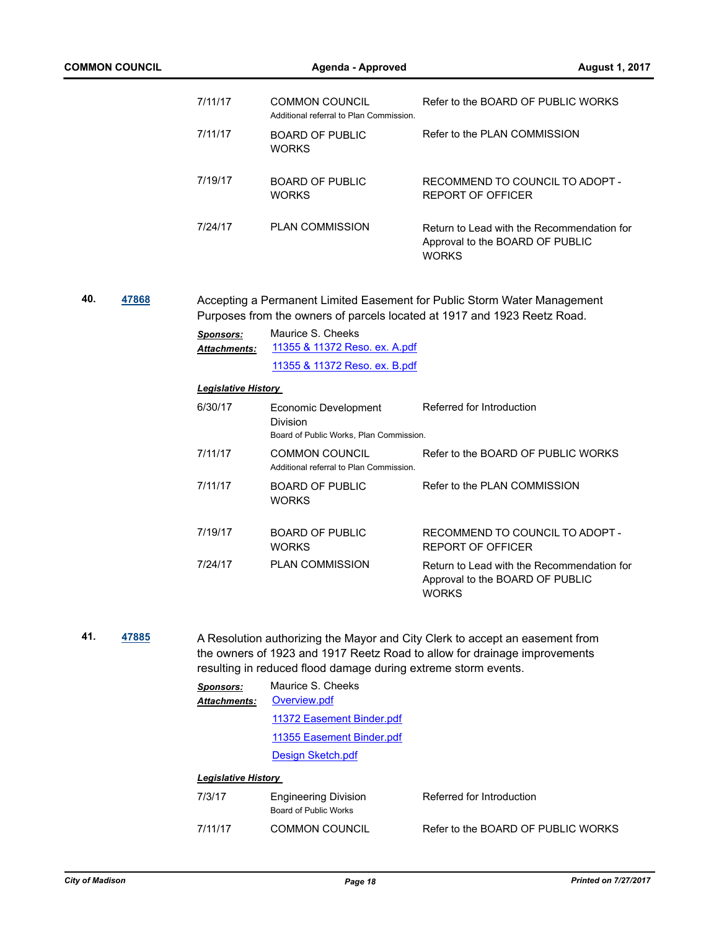|              | <b>COMMON COUNCIL</b> |                                       | <b>Agenda - Approved</b>                                                    | <b>August 1, 2017</b>                                                                                                                                     |
|--------------|-----------------------|---------------------------------------|-----------------------------------------------------------------------------|-----------------------------------------------------------------------------------------------------------------------------------------------------------|
|              |                       | 7/11/17                               | <b>COMMON COUNCIL</b><br>Additional referral to Plan Commission.            | Refer to the BOARD OF PUBLIC WORKS                                                                                                                        |
|              |                       | 7/11/17                               | <b>BOARD OF PUBLIC</b><br><b>WORKS</b>                                      | Refer to the PLAN COMMISSION                                                                                                                              |
|              |                       | 7/19/17                               | <b>BOARD OF PUBLIC</b><br><b>WORKS</b>                                      | RECOMMEND TO COUNCIL TO ADOPT -<br><b>REPORT OF OFFICER</b>                                                                                               |
|              |                       | 7/24/17                               | <b>PLAN COMMISSION</b>                                                      | Return to Lead with the Recommendation for<br>Approval to the BOARD OF PUBLIC<br><b>WORKS</b>                                                             |
| 40.          | 47868                 |                                       |                                                                             | Accepting a Permanent Limited Easement for Public Storm Water Management<br>Purposes from the owners of parcels located at 1917 and 1923 Reetz Road.      |
|              |                       | <b>Sponsors:</b><br>Attachments:      | Maurice S. Cheeks<br>11355 & 11372 Reso. ex. A.pdf                          |                                                                                                                                                           |
|              |                       |                                       | 11355 & 11372 Reso. ex. B.pdf                                               |                                                                                                                                                           |
|              |                       | <b>Legislative History</b><br>6/30/17 |                                                                             | Referred for Introduction                                                                                                                                 |
|              |                       |                                       | Economic Development<br>Division<br>Board of Public Works, Plan Commission. |                                                                                                                                                           |
|              |                       | 7/11/17                               | <b>COMMON COUNCIL</b><br>Additional referral to Plan Commission.            | Refer to the BOARD OF PUBLIC WORKS                                                                                                                        |
|              |                       | 7/11/17                               | <b>BOARD OF PUBLIC</b><br><b>WORKS</b>                                      | Refer to the PLAN COMMISSION                                                                                                                              |
|              |                       | 7/19/17                               | <b>BOARD OF PUBLIC</b><br><b>WORKS</b>                                      | RECOMMEND TO COUNCIL TO ADOPT -<br><b>REPORT OF OFFICER</b>                                                                                               |
|              |                       | 7/24/17                               | <b>PLAN COMMISSION</b>                                                      | Return to Lead with the Recommendation for<br>Approval to the BOARD OF PUBLIC<br><b>WORKS</b>                                                             |
| 41.<br>47885 |                       |                                       | resulting in reduced flood damage during extreme storm events.              | A Resolution authorizing the Mayor and City Clerk to accept an easement from<br>the owners of 1923 and 1917 Reetz Road to allow for drainage improvements |
|              |                       | <b>Sponsors:</b><br>Attachments:      | Maurice S. Cheeks<br>Overview.pdf                                           |                                                                                                                                                           |
|              |                       |                                       | 11372 Easement Binder.pdf                                                   |                                                                                                                                                           |
|              |                       |                                       | 11355 Easement Binder.pdf                                                   |                                                                                                                                                           |
|              |                       |                                       | Design Sketch.pdf                                                           |                                                                                                                                                           |
|              |                       | <b>Legislative History</b>            |                                                                             |                                                                                                                                                           |
|              |                       | 7/3/17                                | <b>Engineering Division</b><br>Board of Public Works                        | Referred for Introduction                                                                                                                                 |
|              |                       | 7/11/17                               | <b>COMMON COUNCIL</b>                                                       | Refer to the BOARD OF PUBLIC WORKS                                                                                                                        |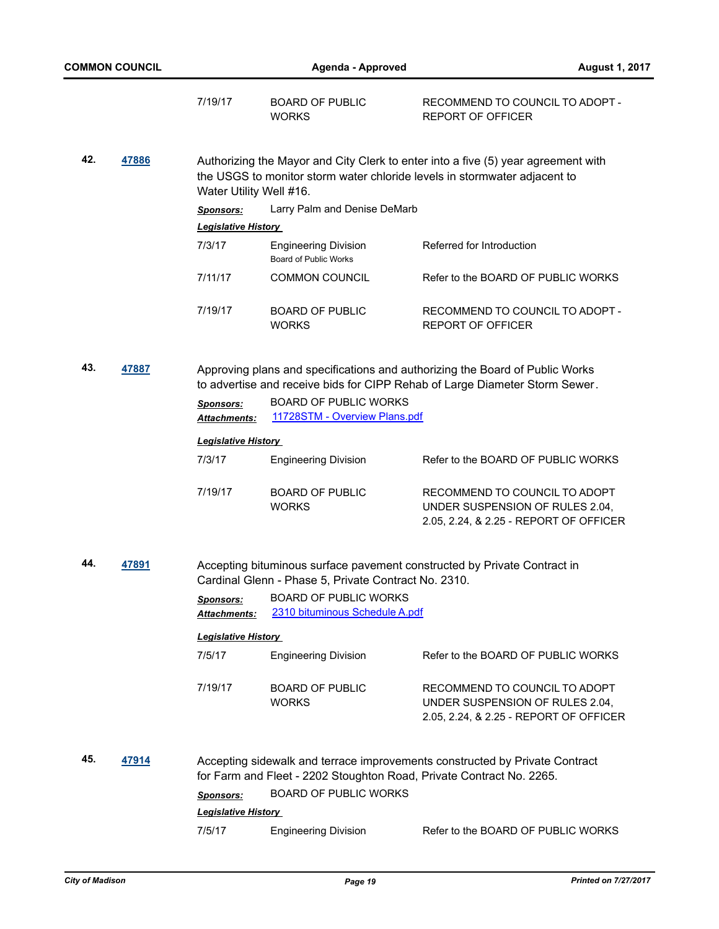|              | <b>COMMON COUNCIL</b>   |                                                                                                                                                                                                                                | Agenda - Approved                                                                                                                                              | <b>August 1, 2017</b>                                                                                                                                       |
|--------------|-------------------------|--------------------------------------------------------------------------------------------------------------------------------------------------------------------------------------------------------------------------------|----------------------------------------------------------------------------------------------------------------------------------------------------------------|-------------------------------------------------------------------------------------------------------------------------------------------------------------|
|              |                         | 7/19/17                                                                                                                                                                                                                        | <b>BOARD OF PUBLIC</b><br><b>WORKS</b>                                                                                                                         | RECOMMEND TO COUNCIL TO ADOPT -<br><b>REPORT OF OFFICER</b>                                                                                                 |
| 42.<br>47886 | Water Utility Well #16. |                                                                                                                                                                                                                                | Authorizing the Mayor and City Clerk to enter into a five (5) year agreement with<br>the USGS to monitor storm water chloride levels in stormwater adjacent to |                                                                                                                                                             |
|              |                         | <b>Sponsors:</b>                                                                                                                                                                                                               | Larry Palm and Denise DeMarb                                                                                                                                   |                                                                                                                                                             |
|              |                         | <b>Legislative History</b>                                                                                                                                                                                                     |                                                                                                                                                                |                                                                                                                                                             |
|              |                         | 7/3/17                                                                                                                                                                                                                         | <b>Engineering Division</b><br>Board of Public Works                                                                                                           | Referred for Introduction                                                                                                                                   |
|              |                         | 7/11/17                                                                                                                                                                                                                        | <b>COMMON COUNCIL</b>                                                                                                                                          | Refer to the BOARD OF PUBLIC WORKS                                                                                                                          |
|              |                         | 7/19/17                                                                                                                                                                                                                        | <b>BOARD OF PUBLIC</b><br><b>WORKS</b>                                                                                                                         | RECOMMEND TO COUNCIL TO ADOPT -<br><b>REPORT OF OFFICER</b>                                                                                                 |
| 43.          | 47887                   |                                                                                                                                                                                                                                |                                                                                                                                                                | Approving plans and specifications and authorizing the Board of Public Works<br>to advertise and receive bids for CIPP Rehab of Large Diameter Storm Sewer. |
|              |                         | Sponsors:<br>Attachments:                                                                                                                                                                                                      | <b>BOARD OF PUBLIC WORKS</b><br>11728STM - Overview Plans.pdf                                                                                                  |                                                                                                                                                             |
|              |                         | <b>Legislative History</b>                                                                                                                                                                                                     |                                                                                                                                                                |                                                                                                                                                             |
|              |                         | 7/3/17                                                                                                                                                                                                                         | <b>Engineering Division</b>                                                                                                                                    | Refer to the BOARD OF PUBLIC WORKS                                                                                                                          |
|              |                         | 7/19/17                                                                                                                                                                                                                        | <b>BOARD OF PUBLIC</b><br><b>WORKS</b>                                                                                                                         | RECOMMEND TO COUNCIL TO ADOPT<br>UNDER SUSPENSION OF RULES 2.04,<br>2.05, 2.24, & 2.25 - REPORT OF OFFICER                                                  |
| 44.          | 47891                   |                                                                                                                                                                                                                                | Cardinal Glenn - Phase 5, Private Contract No. 2310.                                                                                                           | Accepting bituminous surface pavement constructed by Private Contract in                                                                                    |
|              |                         | <b>Sponsors:</b><br><b>Attachments:</b>                                                                                                                                                                                        | <b>BOARD OF PUBLIC WORKS</b><br>2310 bituminous Schedule A.pdf                                                                                                 |                                                                                                                                                             |
|              |                         | <b>Legislative History</b>                                                                                                                                                                                                     |                                                                                                                                                                |                                                                                                                                                             |
|              |                         | 7/5/17                                                                                                                                                                                                                         | <b>Engineering Division</b>                                                                                                                                    | Refer to the BOARD OF PUBLIC WORKS                                                                                                                          |
|              |                         | 7/19/17                                                                                                                                                                                                                        | <b>BOARD OF PUBLIC</b><br><b>WORKS</b>                                                                                                                         | RECOMMEND TO COUNCIL TO ADOPT<br>UNDER SUSPENSION OF RULES 2.04,<br>2.05, 2.24, & 2.25 - REPORT OF OFFICER                                                  |
| 45.<br>47914 |                         | Accepting sidewalk and terrace improvements constructed by Private Contract<br>for Farm and Fleet - 2202 Stoughton Road, Private Contract No. 2265.<br><b>BOARD OF PUBLIC WORKS</b><br>Sponsors:<br><b>Legislative History</b> |                                                                                                                                                                |                                                                                                                                                             |
|              |                         | 7/5/17                                                                                                                                                                                                                         | <b>Engineering Division</b>                                                                                                                                    | Refer to the BOARD OF PUBLIC WORKS                                                                                                                          |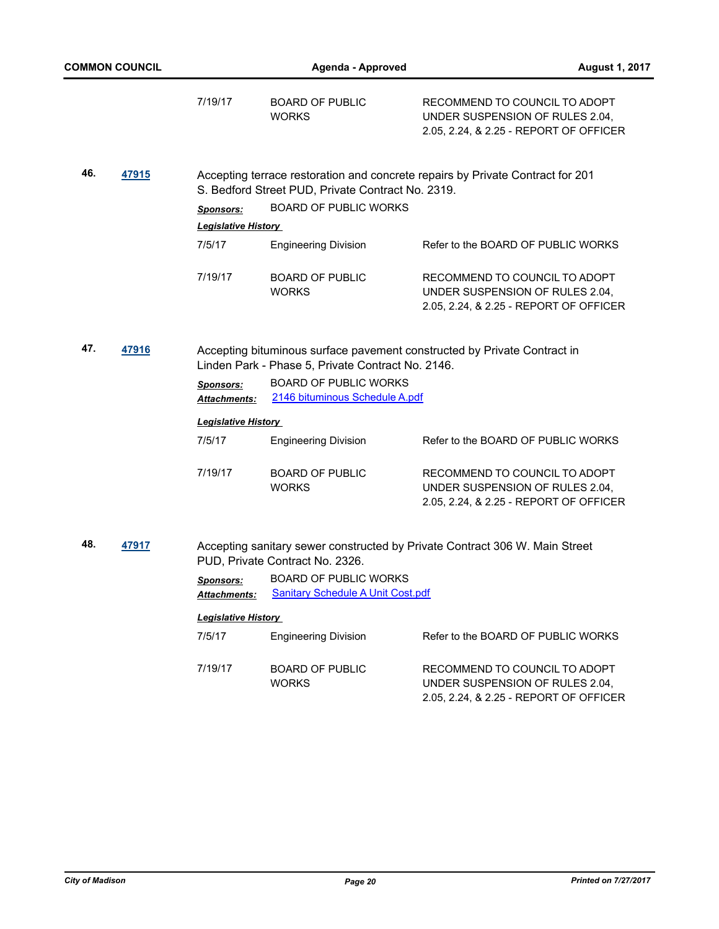|              | <b>COMMON COUNCIL</b> |                                         | <b>Agenda - Approved</b>                                                                                                      | <b>August 1, 2017</b>                                                                                      |
|--------------|-----------------------|-----------------------------------------|-------------------------------------------------------------------------------------------------------------------------------|------------------------------------------------------------------------------------------------------------|
|              |                       | 7/19/17                                 | <b>BOARD OF PUBLIC</b><br><b>WORKS</b>                                                                                        | RECOMMEND TO COUNCIL TO ADOPT<br>UNDER SUSPENSION OF RULES 2.04,<br>2.05, 2.24, & 2.25 - REPORT OF OFFICER |
| 46.<br>47915 |                       |                                         | S. Bedford Street PUD, Private Contract No. 2319.                                                                             | Accepting terrace restoration and concrete repairs by Private Contract for 201                             |
|              |                       | <b>Sponsors:</b>                        | <b>BOARD OF PUBLIC WORKS</b>                                                                                                  |                                                                                                            |
|              |                       | <b>Legislative History</b>              |                                                                                                                               |                                                                                                            |
|              |                       | 7/5/17                                  | <b>Engineering Division</b>                                                                                                   | Refer to the BOARD OF PUBLIC WORKS                                                                         |
|              |                       | 7/19/17                                 | <b>BOARD OF PUBLIC</b><br><b>WORKS</b>                                                                                        | RECOMMEND TO COUNCIL TO ADOPT<br>UNDER SUSPENSION OF RULES 2.04,<br>2.05, 2.24, & 2.25 - REPORT OF OFFICER |
| 47.<br>47916 |                       |                                         | Accepting bituminous surface pavement constructed by Private Contract in<br>Linden Park - Phase 5, Private Contract No. 2146. |                                                                                                            |
|              |                       | <b>Sponsors:</b><br><b>Attachments:</b> | <b>BOARD OF PUBLIC WORKS</b><br>2146 bituminous Schedule A.pdf                                                                |                                                                                                            |
|              |                       | <b>Legislative History</b>              |                                                                                                                               |                                                                                                            |
|              |                       | 7/5/17                                  | <b>Engineering Division</b>                                                                                                   | Refer to the BOARD OF PUBLIC WORKS                                                                         |
|              |                       | 7/19/17                                 | <b>BOARD OF PUBLIC</b><br><b>WORKS</b>                                                                                        | RECOMMEND TO COUNCIL TO ADOPT<br>UNDER SUSPENSION OF RULES 2.04,<br>2.05, 2.24, & 2.25 - REPORT OF OFFICER |
| 48.          | 47917                 |                                         | PUD, Private Contract No. 2326.                                                                                               | Accepting sanitary sewer constructed by Private Contract 306 W. Main Street                                |
|              |                       | <b>Sponsors:</b><br>Attachments:        | <b>BOARD OF PUBLIC WORKS</b><br><b>Sanitary Schedule A Unit Cost.pdf</b>                                                      |                                                                                                            |
|              |                       | <b>Legislative History</b>              |                                                                                                                               |                                                                                                            |
|              |                       | 7/5/17                                  | <b>Engineering Division</b>                                                                                                   | Refer to the BOARD OF PUBLIC WORKS                                                                         |
|              |                       | 7/19/17                                 | <b>BOARD OF PUBLIC</b><br><b>WORKS</b>                                                                                        | RECOMMEND TO COUNCIL TO ADOPT<br>UNDER SUSPENSION OF RULES 2.04,<br>2.05, 2.24, & 2.25 - REPORT OF OFFICER |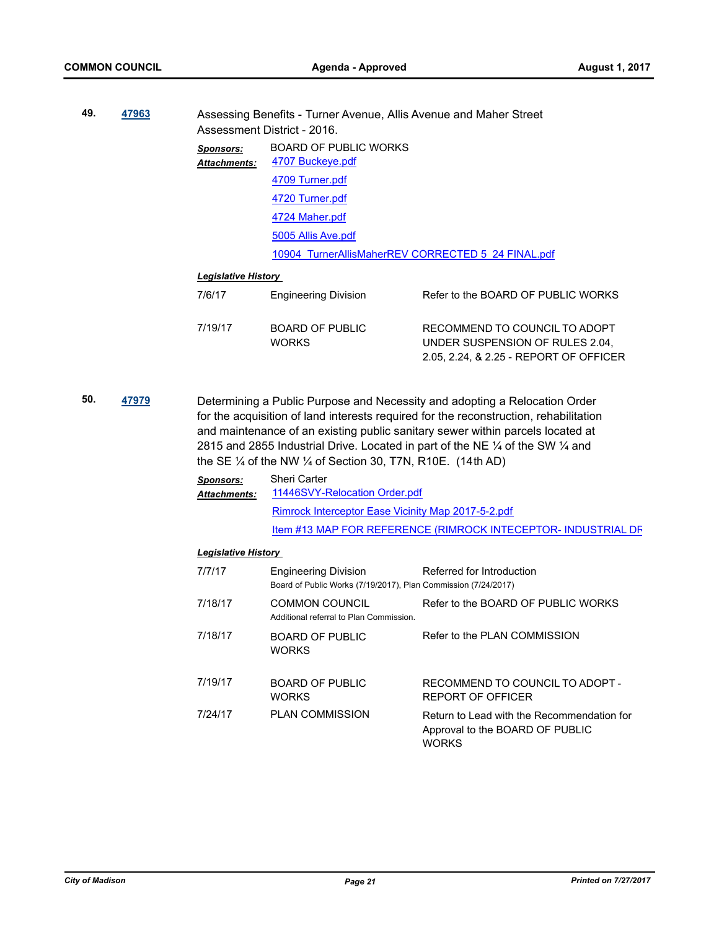| 49. | 47963 |                            | Assessing Benefits - Turner Avenue, Allis Avenue and Maher Street<br>Assessment District - 2016. |                                                                                                                                                                                                                                                       |
|-----|-------|----------------------------|--------------------------------------------------------------------------------------------------|-------------------------------------------------------------------------------------------------------------------------------------------------------------------------------------------------------------------------------------------------------|
|     |       | Sponsors:<br>Attachments:  | <b>BOARD OF PUBLIC WORKS</b><br>4707 Buckeye.pdf                                                 |                                                                                                                                                                                                                                                       |
|     |       |                            | 4709 Turner.pdf                                                                                  |                                                                                                                                                                                                                                                       |
|     |       |                            | 4720 Turner.pdf                                                                                  |                                                                                                                                                                                                                                                       |
|     |       |                            | 4724 Maher.pdf                                                                                   |                                                                                                                                                                                                                                                       |
|     |       |                            | 5005 Allis Ave.pdf                                                                               |                                                                                                                                                                                                                                                       |
|     |       |                            |                                                                                                  | 10904 TurnerAllisMaherREV CORRECTED 5 24 FINAL.pdf                                                                                                                                                                                                    |
|     |       | <b>Legislative History</b> |                                                                                                  |                                                                                                                                                                                                                                                       |
|     |       | 7/6/17                     | <b>Engineering Division</b>                                                                      | Refer to the BOARD OF PUBLIC WORKS                                                                                                                                                                                                                    |
|     |       | 7/19/17                    | BOARD OF PUBLIC<br><b>WORKS</b>                                                                  | RECOMMEND TO COUNCIL TO ADOPT<br>UNDER SUSPENSION OF RULES 2.04.<br>2.05, 2.24, & 2.25 - REPORT OF OFFICER                                                                                                                                            |
| 50. | 47979 |                            |                                                                                                  | Determining a Public Purpose and Necessity and adopting a Relocation Order<br>for the acquisition of land interests required for the reconstruction, rehabilitation<br>and maintenance of an evicting public sanitary sewer within parcels located at |

and maintenance of an existing public sanitary sewer within parcels located at 2815 and 2855 Industrial Drive. Located in part of the NE ¼ of the SW ¼ and the SE ¼ of the NW ¼ of Section 30, T7N, R10E. (14th AD)

| <b>Sponsors:</b><br><b>Attachments:</b> | Sheri Carter<br>11446SVY-Relocation Order.pdf                |  |  |  |  |
|-----------------------------------------|--------------------------------------------------------------|--|--|--|--|
|                                         | Rimrock Interceptor Ease Vicinity Map 2017-5-2.pdf           |  |  |  |  |
|                                         | Item #13 MAP FOR REFERENCE (RIMROCK INTECEPTOR-INDUSTRIAL DF |  |  |  |  |

| 7/7/17  | <b>Engineering Division</b><br>Board of Public Works (7/19/2017), Plan Commission (7/24/2017) | Referred for Introduction                                                                     |
|---------|-----------------------------------------------------------------------------------------------|-----------------------------------------------------------------------------------------------|
| 7/18/17 | COMMON COUNCIL<br>Additional referral to Plan Commission.                                     | Refer to the BOARD OF PUBLIC WORKS                                                            |
| 7/18/17 | BOARD OF PUBLIC<br><b>WORKS</b>                                                               | Refer to the PLAN COMMISSION                                                                  |
| 7/19/17 | BOARD OF PUBLIC<br><b>WORKS</b>                                                               | RECOMMEND TO COUNCIL TO ADOPT -<br>REPORT OF OFFICER                                          |
| 7/24/17 | <b>PLAN COMMISSION</b>                                                                        | Return to Lead with the Recommendation for<br>Approval to the BOARD OF PUBLIC<br><b>WORKS</b> |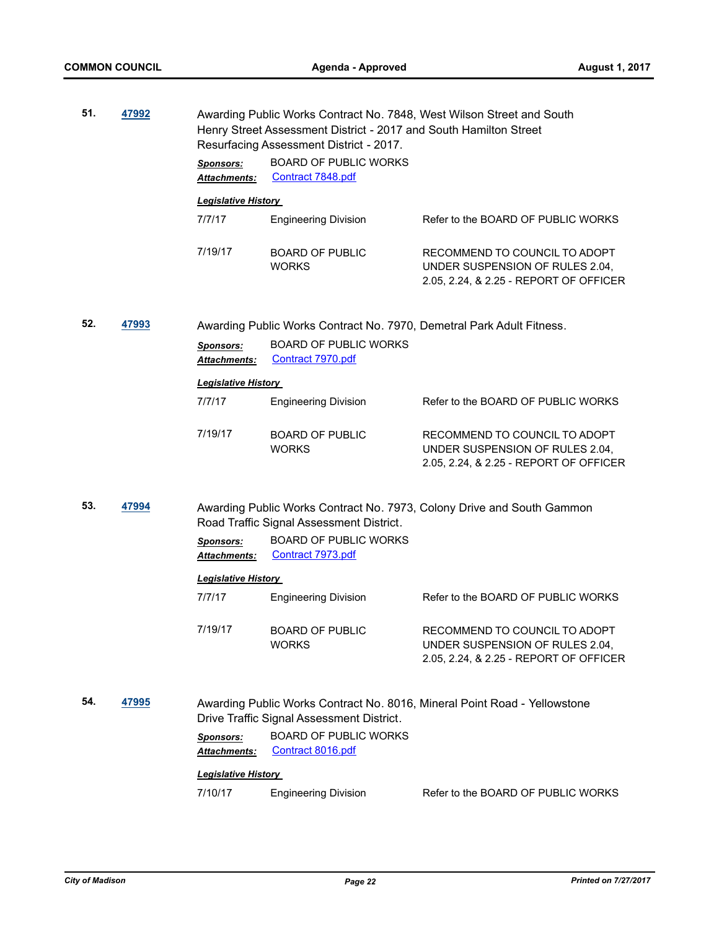| 51. | 47992 | Awarding Public Works Contract No. 7848, West Wilson Street and South<br>Henry Street Assessment District - 2017 and South Hamilton Street<br>Resurfacing Assessment District - 2017. |                                                                       |                                                                                                            |
|-----|-------|---------------------------------------------------------------------------------------------------------------------------------------------------------------------------------------|-----------------------------------------------------------------------|------------------------------------------------------------------------------------------------------------|
|     |       | <b>Sponsors:</b><br>Attachments:                                                                                                                                                      | <b>BOARD OF PUBLIC WORKS</b><br>Contract 7848.pdf                     |                                                                                                            |
|     |       | <b>Legislative History</b>                                                                                                                                                            |                                                                       |                                                                                                            |
|     |       | 7/7/17                                                                                                                                                                                | <b>Engineering Division</b>                                           | Refer to the BOARD OF PUBLIC WORKS                                                                         |
|     |       | 7/19/17                                                                                                                                                                               | <b>BOARD OF PUBLIC</b><br><b>WORKS</b>                                | RECOMMEND TO COUNCIL TO ADOPT<br>UNDER SUSPENSION OF RULES 2.04,<br>2.05, 2.24, & 2.25 - REPORT OF OFFICER |
| 52. | 47993 |                                                                                                                                                                                       | Awarding Public Works Contract No. 7970, Demetral Park Adult Fitness. |                                                                                                            |
|     |       | Sponsors:<br>Attachments:                                                                                                                                                             | <b>BOARD OF PUBLIC WORKS</b><br>Contract 7970.pdf                     |                                                                                                            |
|     |       | <b>Legislative History</b>                                                                                                                                                            |                                                                       |                                                                                                            |
|     |       | 7/7/17                                                                                                                                                                                | <b>Engineering Division</b>                                           | Refer to the BOARD OF PUBLIC WORKS                                                                         |
|     |       | 7/19/17                                                                                                                                                                               | <b>BOARD OF PUBLIC</b><br><b>WORKS</b>                                | RECOMMEND TO COUNCIL TO ADOPT<br>UNDER SUSPENSION OF RULES 2.04,<br>2.05, 2.24, & 2.25 - REPORT OF OFFICER |
| 53. | 47994 |                                                                                                                                                                                       | Road Traffic Signal Assessment District.                              | Awarding Public Works Contract No. 7973, Colony Drive and South Gammon                                     |
|     |       | <b>Sponsors:</b><br>Attachments:                                                                                                                                                      | <b>BOARD OF PUBLIC WORKS</b><br>Contract 7973.pdf                     |                                                                                                            |
|     |       | <b>Legislative History</b>                                                                                                                                                            |                                                                       |                                                                                                            |
|     |       | 7/7/17                                                                                                                                                                                | <b>Engineering Division</b>                                           | Refer to the BOARD OF PUBLIC WORKS                                                                         |
|     |       | 7/19/17                                                                                                                                                                               | BOARD OF PUBLIC<br><b>WORKS</b>                                       | RECOMMEND TO COUNCIL TO ADOPT<br>UNDER SUSPENSION OF RULES 2.04,<br>2.05, 2.24, & 2.25 - REPORT OF OFFICER |
| 54. | 47995 |                                                                                                                                                                                       | Drive Traffic Signal Assessment District.                             | Awarding Public Works Contract No. 8016, Mineral Point Road - Yellowstone                                  |
|     |       | <b>Sponsors:</b><br>Attachments:                                                                                                                                                      | <b>BOARD OF PUBLIC WORKS</b><br>Contract 8016.pdf                     |                                                                                                            |
|     |       | <b>Legislative History</b>                                                                                                                                                            |                                                                       |                                                                                                            |
|     |       | 7/10/17                                                                                                                                                                               | <b>Engineering Division</b>                                           | Refer to the BOARD OF PUBLIC WORKS                                                                         |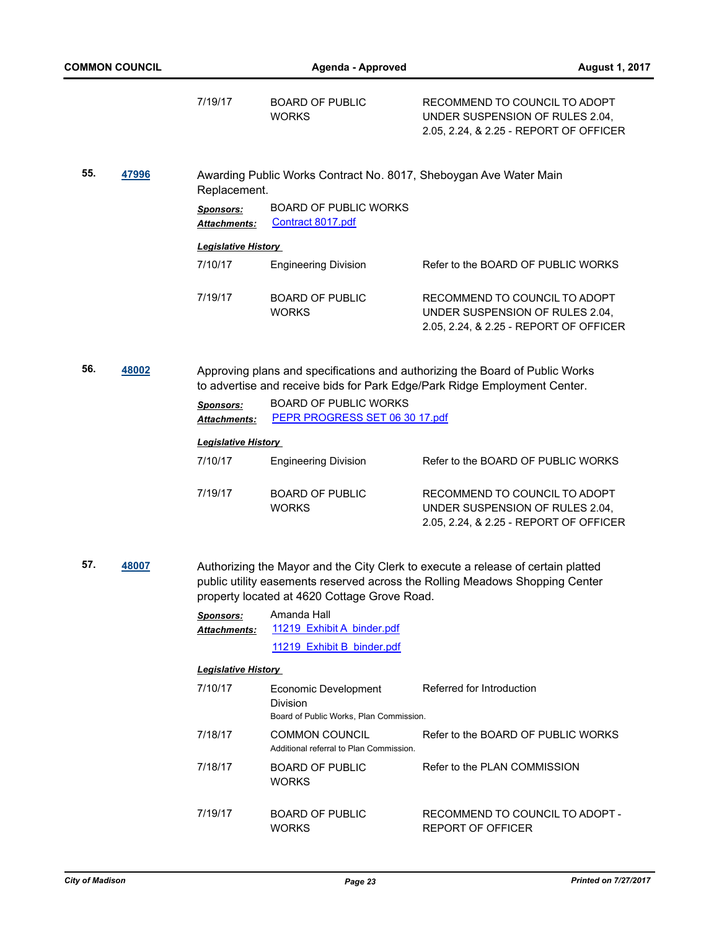| <b>COMMON COUNCIL</b> |                                  |                                                                | Agenda - Approved                                                                  | <b>August 1, 2017</b>                                                                                                                                            |  |
|-----------------------|----------------------------------|----------------------------------------------------------------|------------------------------------------------------------------------------------|------------------------------------------------------------------------------------------------------------------------------------------------------------------|--|
|                       |                                  | 7/19/17                                                        | <b>BOARD OF PUBLIC</b><br><b>WORKS</b>                                             | RECOMMEND TO COUNCIL TO ADOPT<br>UNDER SUSPENSION OF RULES 2.04,<br>2.05, 2.24, & 2.25 - REPORT OF OFFICER                                                       |  |
| 55.                   | 47996                            | Replacement.                                                   |                                                                                    | Awarding Public Works Contract No. 8017, Sheboygan Ave Water Main                                                                                                |  |
|                       |                                  | Sponsors:<br>Attachments:                                      | <b>BOARD OF PUBLIC WORKS</b><br>Contract 8017.pdf                                  |                                                                                                                                                                  |  |
|                       |                                  | <b>Legislative History</b>                                     |                                                                                    |                                                                                                                                                                  |  |
|                       |                                  | 7/10/17                                                        | <b>Engineering Division</b>                                                        | Refer to the BOARD OF PUBLIC WORKS                                                                                                                               |  |
|                       |                                  | 7/19/17                                                        | <b>BOARD OF PUBLIC</b><br><b>WORKS</b>                                             | RECOMMEND TO COUNCIL TO ADOPT<br>UNDER SUSPENSION OF RULES 2.04,<br>2.05, 2.24, & 2.25 - REPORT OF OFFICER                                                       |  |
| 56.                   | 48002                            |                                                                |                                                                                    | Approving plans and specifications and authorizing the Board of Public Works<br>to advertise and receive bids for Park Edge/Park Ridge Employment Center.        |  |
|                       | <b>Sponsors:</b><br>Attachments: | <b>BOARD OF PUBLIC WORKS</b><br>PEPR PROGRESS SET 06 30 17.pdf |                                                                                    |                                                                                                                                                                  |  |
|                       |                                  | <b>Legislative History</b>                                     |                                                                                    |                                                                                                                                                                  |  |
|                       |                                  | 7/10/17                                                        | <b>Engineering Division</b>                                                        | Refer to the BOARD OF PUBLIC WORKS                                                                                                                               |  |
|                       |                                  | 7/19/17                                                        | <b>BOARD OF PUBLIC</b><br><b>WORKS</b>                                             | RECOMMEND TO COUNCIL TO ADOPT<br>UNDER SUSPENSION OF RULES 2.04,<br>2.05, 2.24, & 2.25 - REPORT OF OFFICER                                                       |  |
| 57.<br>48007          |                                  |                                                                | property located at 4620 Cottage Grove Road.                                       | Authorizing the Mayor and the City Clerk to execute a release of certain platted<br>public utility easements reserved across the Rolling Meadows Shopping Center |  |
|                       |                                  | <b>Sponsors:</b><br>Attachments:                               | Amanda Hall<br>11219 Exhibit A binder.pdf                                          |                                                                                                                                                                  |  |
|                       |                                  |                                                                | 11219 Exhibit B binder.pdf                                                         |                                                                                                                                                                  |  |
|                       |                                  | <b>Legislative History</b>                                     |                                                                                    |                                                                                                                                                                  |  |
|                       |                                  | 7/10/17                                                        | Economic Development<br><b>Division</b><br>Board of Public Works, Plan Commission. | Referred for Introduction                                                                                                                                        |  |
|                       |                                  | 7/18/17                                                        | <b>COMMON COUNCIL</b><br>Additional referral to Plan Commission.                   | Refer to the BOARD OF PUBLIC WORKS                                                                                                                               |  |
|                       |                                  | 7/18/17                                                        | <b>BOARD OF PUBLIC</b><br><b>WORKS</b>                                             | Refer to the PLAN COMMISSION                                                                                                                                     |  |
|                       |                                  | 7/19/17                                                        | <b>BOARD OF PUBLIC</b><br><b>WORKS</b>                                             | RECOMMEND TO COUNCIL TO ADOPT -<br><b>REPORT OF OFFICER</b>                                                                                                      |  |
|                       |                                  |                                                                |                                                                                    |                                                                                                                                                                  |  |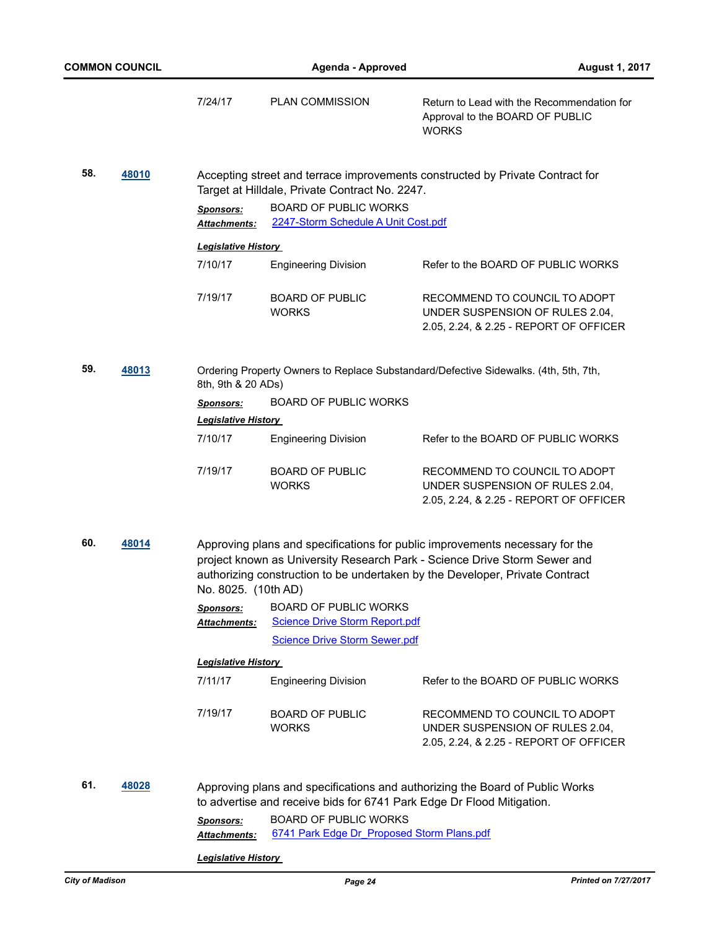|              | <b>COMMON COUNCIL</b> |                                                                                                                                                                                                                                                                  | <b>Agenda - Approved</b>                                                      | <b>August 1, 2017</b>                                                                                                                                 |  |
|--------------|-----------------------|------------------------------------------------------------------------------------------------------------------------------------------------------------------------------------------------------------------------------------------------------------------|-------------------------------------------------------------------------------|-------------------------------------------------------------------------------------------------------------------------------------------------------|--|
|              |                       | 7/24/17                                                                                                                                                                                                                                                          | PLAN COMMISSION                                                               | Return to Lead with the Recommendation for<br>Approval to the BOARD OF PUBLIC<br><b>WORKS</b>                                                         |  |
| 58.<br>48010 |                       | Target at Hilldale, Private Contract No. 2247.                                                                                                                                                                                                                   | Accepting street and terrace improvements constructed by Private Contract for |                                                                                                                                                       |  |
|              |                       | <b>Sponsors:</b><br>Attachments:                                                                                                                                                                                                                                 | <b>BOARD OF PUBLIC WORKS</b><br>2247-Storm Schedule A Unit Cost.pdf           |                                                                                                                                                       |  |
|              |                       | <b>Legislative History</b>                                                                                                                                                                                                                                       |                                                                               |                                                                                                                                                       |  |
|              |                       | 7/10/17                                                                                                                                                                                                                                                          | <b>Engineering Division</b>                                                   | Refer to the BOARD OF PUBLIC WORKS                                                                                                                    |  |
|              |                       | 7/19/17                                                                                                                                                                                                                                                          | <b>BOARD OF PUBLIC</b><br><b>WORKS</b>                                        | RECOMMEND TO COUNCIL TO ADOPT<br>UNDER SUSPENSION OF RULES 2.04,<br>2.05, 2.24, & 2.25 - REPORT OF OFFICER                                            |  |
| 59.          | 48013                 | 8th, 9th & 20 ADs)                                                                                                                                                                                                                                               |                                                                               | Ordering Property Owners to Replace Substandard/Defective Sidewalks. (4th, 5th, 7th,                                                                  |  |
|              |                       | <b>Sponsors:</b>                                                                                                                                                                                                                                                 | <b>BOARD OF PUBLIC WORKS</b>                                                  |                                                                                                                                                       |  |
|              |                       | <b>Legislative History</b>                                                                                                                                                                                                                                       |                                                                               |                                                                                                                                                       |  |
|              |                       | 7/10/17                                                                                                                                                                                                                                                          | <b>Engineering Division</b>                                                   | Refer to the BOARD OF PUBLIC WORKS                                                                                                                    |  |
|              |                       | 7/19/17                                                                                                                                                                                                                                                          | <b>BOARD OF PUBLIC</b><br><b>WORKS</b>                                        | RECOMMEND TO COUNCIL TO ADOPT<br>UNDER SUSPENSION OF RULES 2.04,<br>2.05, 2.24, & 2.25 - REPORT OF OFFICER                                            |  |
| 60.          | 48014                 | Approving plans and specifications for public improvements necessary for the<br>project known as University Research Park - Science Drive Storm Sewer and<br>authorizing construction to be undertaken by the Developer, Private Contract<br>No. 8025. (10th AD) |                                                                               |                                                                                                                                                       |  |
|              |                       | <b>Sponsors:</b><br><b>Attachments:</b>                                                                                                                                                                                                                          | <b>BOARD OF PUBLIC WORKS</b><br><b>Science Drive Storm Report.pdf</b>         |                                                                                                                                                       |  |
|              |                       |                                                                                                                                                                                                                                                                  | <b>Science Drive Storm Sewer.pdf</b>                                          |                                                                                                                                                       |  |
|              |                       | <b>Legislative History</b>                                                                                                                                                                                                                                       |                                                                               |                                                                                                                                                       |  |
|              |                       | 7/11/17                                                                                                                                                                                                                                                          | <b>Engineering Division</b>                                                   | Refer to the BOARD OF PUBLIC WORKS                                                                                                                    |  |
|              |                       | 7/19/17                                                                                                                                                                                                                                                          | <b>BOARD OF PUBLIC</b><br><b>WORKS</b>                                        | RECOMMEND TO COUNCIL TO ADOPT<br>UNDER SUSPENSION OF RULES 2.04,<br>2.05, 2.24, & 2.25 - REPORT OF OFFICER                                            |  |
| 61.          | 48028                 |                                                                                                                                                                                                                                                                  |                                                                               | Approving plans and specifications and authorizing the Board of Public Works<br>to advertise and receive bids for 6741 Park Edge Dr Flood Mitigation. |  |
|              |                       | <b>Sponsors:</b><br>Attachments:                                                                                                                                                                                                                                 | <b>BOARD OF PUBLIC WORKS</b><br>6741 Park Edge Dr Proposed Storm Plans.pdf    |                                                                                                                                                       |  |
|              |                       | <b>Legislative History</b>                                                                                                                                                                                                                                       |                                                                               |                                                                                                                                                       |  |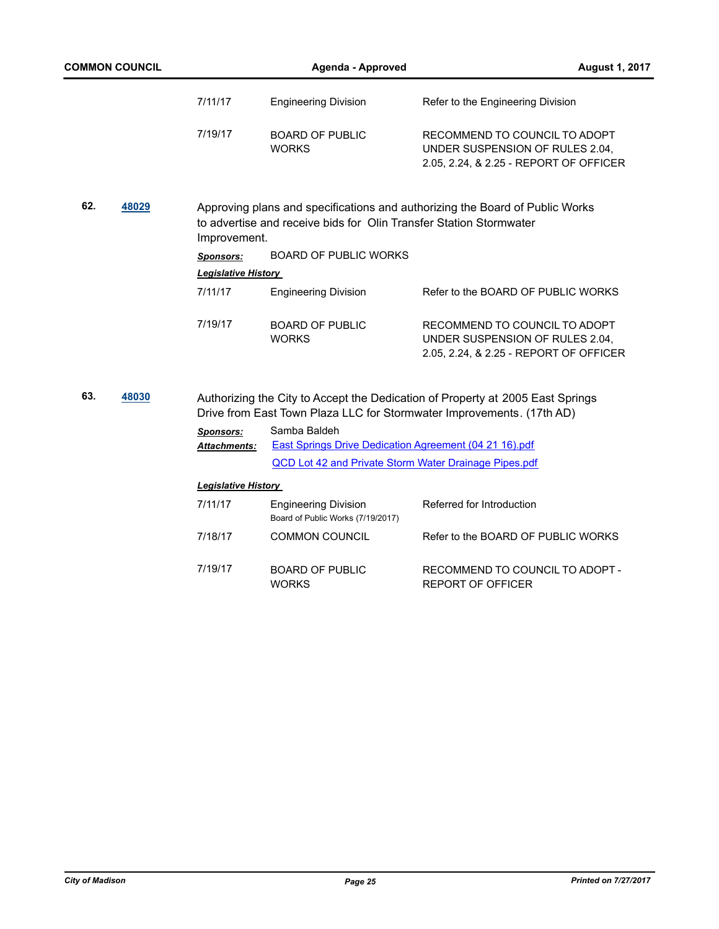| <b>COMMON COUNCIL</b> |       | <b>Agenda - Approved</b>   |                                                                    |                                                                                                                                                         | <b>August 1, 2017</b> |  |
|-----------------------|-------|----------------------------|--------------------------------------------------------------------|---------------------------------------------------------------------------------------------------------------------------------------------------------|-----------------------|--|
|                       |       | 7/11/17                    | <b>Engineering Division</b>                                        | Refer to the Engineering Division                                                                                                                       |                       |  |
|                       |       | 7/19/17                    | <b>BOARD OF PUBLIC</b><br><b>WORKS</b>                             | RECOMMEND TO COUNCIL TO ADOPT<br>UNDER SUSPENSION OF RULES 2.04,<br>2.05, 2.24, & 2.25 - REPORT OF OFFICER                                              |                       |  |
| 62.                   | 48029 | Improvement.               | to advertise and receive bids for Olin Transfer Station Stormwater | Approving plans and specifications and authorizing the Board of Public Works                                                                            |                       |  |
|                       |       | <b>Sponsors:</b>           | <b>BOARD OF PUBLIC WORKS</b>                                       |                                                                                                                                                         |                       |  |
|                       |       | <b>Legislative History</b> |                                                                    |                                                                                                                                                         |                       |  |
|                       |       | 7/11/17                    | <b>Engineering Division</b>                                        | Refer to the BOARD OF PUBLIC WORKS                                                                                                                      |                       |  |
|                       |       | 7/19/17                    | <b>BOARD OF PUBLIC</b><br><b>WORKS</b>                             | RECOMMEND TO COUNCIL TO ADOPT<br>UNDER SUSPENSION OF RULES 2.04,<br>2.05, 2.24, & 2.25 - REPORT OF OFFICER                                              |                       |  |
| 63.                   | 48030 | Sponsors:                  | Samba Baldeh                                                       | Authorizing the City to Accept the Dedication of Property at 2005 East Springs<br>Drive from East Town Plaza LLC for Stormwater Improvements. (17th AD) |                       |  |
|                       |       | <u> Attachments:</u>       | East Springs Drive Dedication Agreement (04 21 16).pdf             |                                                                                                                                                         |                       |  |
|                       |       |                            | <b>QCD Lot 42 and Private Storm Water Drainage Pipes.pdf</b>       |                                                                                                                                                         |                       |  |
|                       |       | <b>Legislative History</b> |                                                                    |                                                                                                                                                         |                       |  |
|                       |       | 7/11/17                    | <b>Engineering Division</b><br>Board of Public Works (7/19/2017)   | Referred for Introduction                                                                                                                               |                       |  |
|                       |       | 7/18/17                    | <b>COMMON COUNCIL</b>                                              | Refer to the BOARD OF PUBLIC WORKS                                                                                                                      |                       |  |
|                       |       | 7/19/17                    | <b>BOARD OF PUBLIC</b><br><b>WORKS</b>                             | RECOMMEND TO COUNCIL TO ADOPT -<br><b>REPORT OF OFFICER</b>                                                                                             |                       |  |
|                       |       |                            |                                                                    |                                                                                                                                                         |                       |  |
|                       |       |                            |                                                                    |                                                                                                                                                         |                       |  |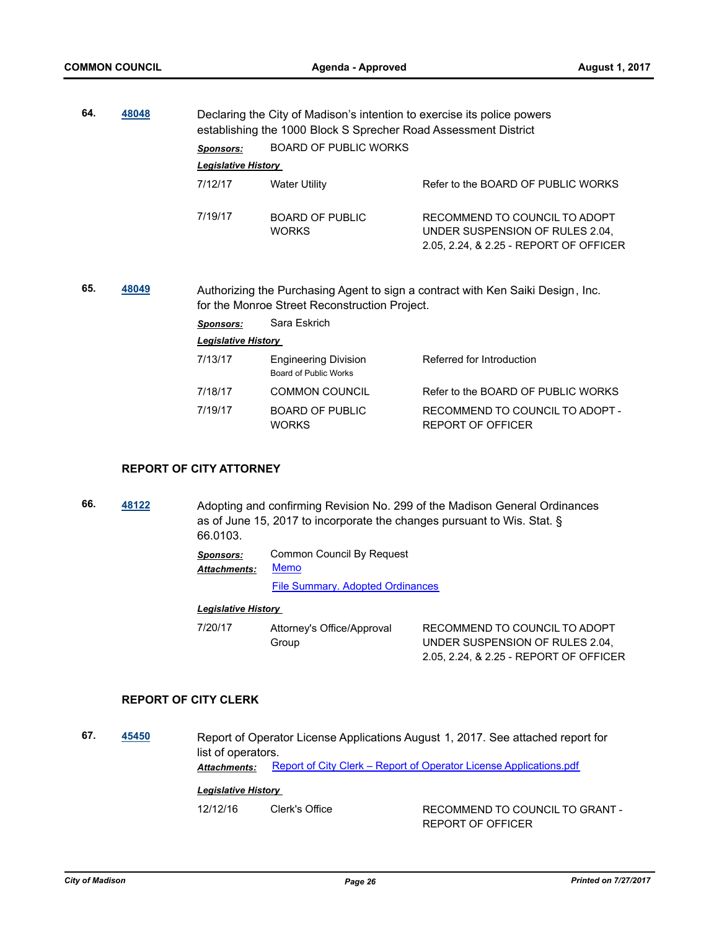|     |       | 48048<br>Declaring the City of Madison's intention to exercise its police powers<br>establishing the 1000 Block S Sprecher Road Assessment District |                                                             |                                                                                                            |
|-----|-------|-----------------------------------------------------------------------------------------------------------------------------------------------------|-------------------------------------------------------------|------------------------------------------------------------------------------------------------------------|
|     |       | Sponsors:                                                                                                                                           | <b>BOARD OF PUBLIC WORKS</b>                                |                                                                                                            |
|     |       | <b>Legislative History</b>                                                                                                                          |                                                             |                                                                                                            |
|     |       | 7/12/17                                                                                                                                             | <b>Water Utility</b>                                        | Refer to the BOARD OF PUBLIC WORKS                                                                         |
|     |       | 7/19/17                                                                                                                                             | <b>BOARD OF PUBLIC</b><br><b>WORKS</b>                      | RECOMMEND TO COUNCIL TO ADOPT<br>UNDER SUSPENSION OF RULES 2.04,<br>2.05, 2.24, & 2.25 - REPORT OF OFFICER |
| 65. |       |                                                                                                                                                     |                                                             |                                                                                                            |
|     | 48049 |                                                                                                                                                     | for the Monroe Street Reconstruction Project.               | Authorizing the Purchasing Agent to sign a contract with Ken Saiki Design, Inc.                            |
|     |       | <b>Sponsors:</b>                                                                                                                                    | Sara Eskrich                                                |                                                                                                            |
|     |       | <b>Legislative History</b>                                                                                                                          |                                                             |                                                                                                            |
|     |       | 7/13/17                                                                                                                                             | <b>Engineering Division</b><br><b>Board of Public Works</b> | Referred for Introduction                                                                                  |
|     |       | 7/18/17                                                                                                                                             | <b>COMMON COUNCIL</b>                                       | Refer to the BOARD OF PUBLIC WORKS                                                                         |

#### **REPORT OF CITY ATTORNEY**

**66. [48122](http://madison.legistar.com/gateway.aspx?m=l&id=/matter.aspx?key=52046)** Adopting and confirming Revision No. 299 of the Madison General Ordinances as of June 15, 2017 to incorporate the changes pursuant to Wis. Stat. § 66.0103.

> *Sponsors:* Common Council By Request [Memo](http://madison.legistar.com/gateway.aspx?M=F&ID=a36c90c7-5a1e-4f45-89c7-c677f380eb60.pdf) *Attachments:*

> > [File Summary. Adopted Ordinances](http://madison.legistar.com/gateway.aspx?M=F&ID=44785ba0-daef-4048-844c-e0c38c0c3920.pdf)

#### *Legislative History*

7/20/17 Attorney's Office/Approval Group RECOMMEND TO COUNCIL TO ADOPT UNDER SUSPENSION OF RULES 2.04, 2.05, 2.24, & 2.25 - REPORT OF OFFICER

#### **REPORT OF CITY CLERK**

**67. [45450](http://madison.legistar.com/gateway.aspx?m=l&id=/matter.aspx?key=49559)** Report of Operator License Applications August 1, 2017. See attached report for list of operators. Attachments: [Report of City Clerk – Report of Operator License Applications.pdf](http://madison.legistar.com/gateway.aspx?M=F&ID=f221f193-46fa-4bde-ac47-efe2cf9f3216.pdf)

#### *Legislative History*

12/12/16 Clerk's Office RECOMMEND TO COUNCIL TO GRANT -REPORT OF OFFICER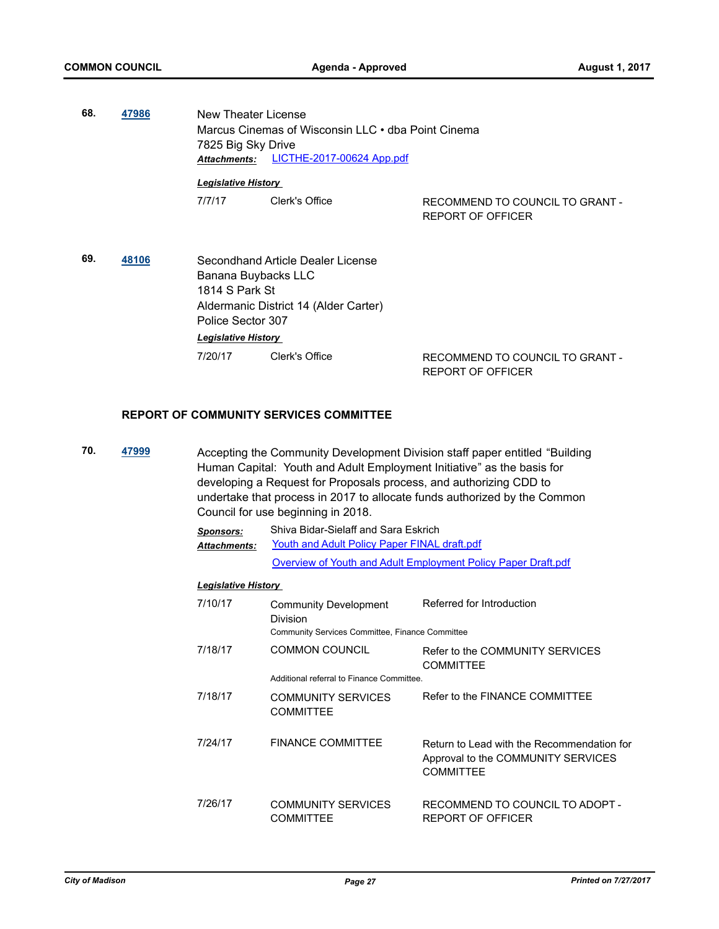**68. [47986](http://madison.legistar.com/gateway.aspx?m=l&id=/matter.aspx?key=51924)** New Theater License Marcus Cinemas of Wisconsin LLC • dba Point Cinema 7825 Big Sky Drive *Attachments:* [LICTHE-2017-00624 App.pdf](http://madison.legistar.com/gateway.aspx?M=F&ID=d195f180-6683-48e9-a3ad-6701430a4d51.pdf)

# *Legislative History*

7/7/17 Clerk's Office RECOMMEND TO COUNCIL TO GRANT -REPORT OF OFFICER

**69. [48106](http://madison.legistar.com/gateway.aspx?m=l&id=/matter.aspx?key=52030)** Secondhand Article Dealer License Banana Buybacks LLC 1814 S Park St Aldermanic District 14 (Alder Carter) Police Sector 307 *Legislative History* 

7/20/17 Clerk's Office RECOMMEND TO COUNCIL TO GRANT -REPORT OF OFFICER

#### **REPORT OF COMMUNITY SERVICES COMMITTEE**

**70. [47999](http://madison.legistar.com/gateway.aspx?m=l&id=/matter.aspx?key=51937)** Accepting the Community Development Division staff paper entitled "Building Human Capital: Youth and Adult Employment Initiative" as the basis for developing a Request for Proposals process, and authorizing CDD to undertake that process in 2017 to allocate funds authorized by the Common Council for use beginning in 2018.

| Sponsors:           | Shiva Bidar-Sielaff and Sara Eskrich                          |
|---------------------|---------------------------------------------------------------|
| <b>Attachments:</b> | Youth and Adult Policy Paper FINAL draft.pdf                  |
|                     | Overview of Youth and Adult Employment Policy Paper Draft.pdf |

| 7/10/17 | Community Development<br>Division<br>Community Services Committee, Finance Committee | Referred for Introduction                                                                            |
|---------|--------------------------------------------------------------------------------------|------------------------------------------------------------------------------------------------------|
| 7/18/17 | <b>COMMON COUNCIL</b>                                                                | Refer to the COMMUNITY SERVICES<br><b>COMMITTEE</b>                                                  |
|         | Additional referral to Finance Committee.                                            |                                                                                                      |
| 7/18/17 | COMMUNITY SERVICES<br><b>COMMITTEE</b>                                               | Refer to the FINANCE COMMITTEE                                                                       |
| 7/24/17 | <b>FINANCE COMMITTEE</b>                                                             | Return to Lead with the Recommendation for<br>Approval to the COMMUNITY SERVICES<br><b>COMMITTEE</b> |
| 7/26/17 | <b>COMMUNITY SERVICES</b><br><b>COMMITTEE</b>                                        | RECOMMEND TO COUNCIL TO ADOPT -<br>REPORT OF OFFICER                                                 |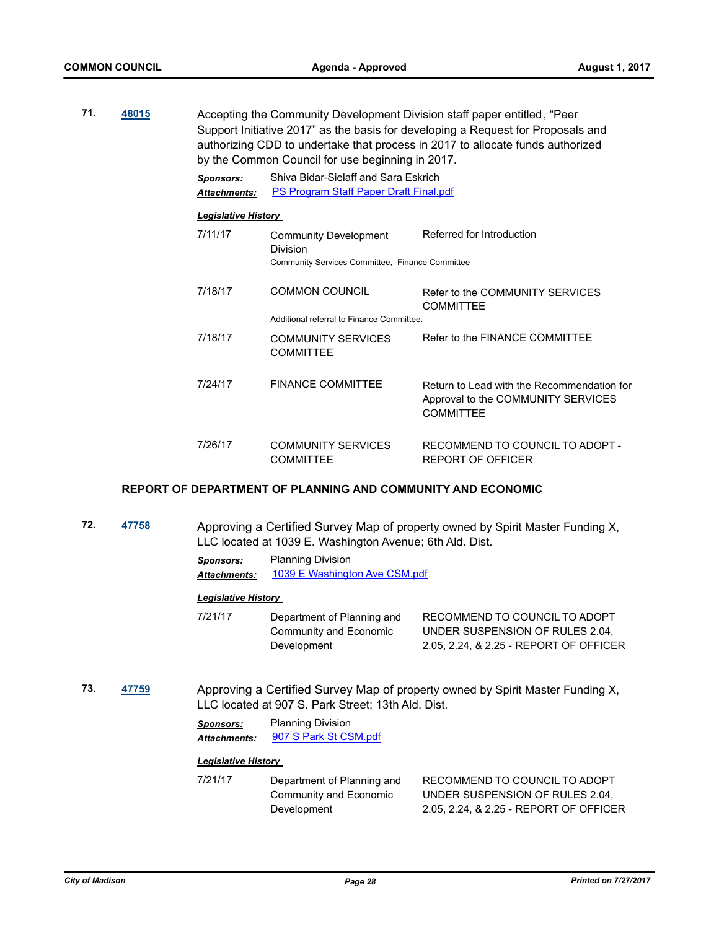| 71. | 48015 |                                         | by the Common Council for use beginning in 2017.                               | Accepting the Community Development Division staff paper entitled, "Peer<br>Support Initiative 2017" as the basis for developing a Request for Proposals and<br>authorizing CDD to undertake that process in 2017 to allocate funds authorized |
|-----|-------|-----------------------------------------|--------------------------------------------------------------------------------|------------------------------------------------------------------------------------------------------------------------------------------------------------------------------------------------------------------------------------------------|
|     |       | <b>Sponsors:</b><br><b>Attachments:</b> | Shiva Bidar-Sielaff and Sara Eskrich<br>PS Program Staff Paper Draft Final.pdf |                                                                                                                                                                                                                                                |
|     |       | <b>Legislative History</b>              |                                                                                |                                                                                                                                                                                                                                                |
|     |       | 7/11/17                                 | Community Development<br>Division                                              | Referred for Introduction                                                                                                                                                                                                                      |
|     |       |                                         | Community Services Committee, Finance Committee                                |                                                                                                                                                                                                                                                |
|     |       | 7/18/17                                 | <b>COMMON COUNCIL</b>                                                          | Refer to the COMMUNITY SERVICES<br><b>COMMITTEE</b>                                                                                                                                                                                            |
|     |       |                                         | Additional referral to Finance Committee.                                      |                                                                                                                                                                                                                                                |
|     |       | 7/18/17                                 | <b>COMMUNITY SERVICES</b><br><b>COMMITTEE</b>                                  | Refer to the FINANCE COMMITTEE                                                                                                                                                                                                                 |
|     |       | 7/24/17                                 | <b>FINANCE COMMITTEE</b>                                                       | Return to Lead with the Recommendation for<br>Approval to the COMMUNITY SERVICES<br><b>COMMITTEE</b>                                                                                                                                           |
|     |       | 7/26/17                                 | <b>COMMUNITY SERVICES</b><br><b>COMMITTEE</b>                                  | RECOMMEND TO COUNCIL TO ADOPT -<br>REPORT OF OFFICER                                                                                                                                                                                           |

#### **REPORT OF DEPARTMENT OF PLANNING AND COMMUNITY AND ECONOMIC**

**72. [47758](http://madison.legistar.com/gateway.aspx?m=l&id=/matter.aspx?key=51708)** Approving a Certified Survey Map of property owned by Spirit Master Funding X, LLC located at 1039 E. Washington Avenue; 6th Ald. Dist.

> *Sponsors:* Planning Division *Attachments:* [1039 E Washington Ave CSM.pdf](http://madison.legistar.com/gateway.aspx?M=F&ID=a42e5035-5296-451c-a120-5dc51ae59d6c.pdf)

#### *Legislative History*

| 7/21/17 | Department of Planning and | RECOMMEND TO COUNCIL TO ADOPT          |
|---------|----------------------------|----------------------------------------|
|         | Community and Economic     | UNDER SUSPENSION OF RULES 2.04,        |
|         | Development                | 2.05, 2.24, & 2.25 - REPORT OF OFFICER |

**73. [47759](http://madison.legistar.com/gateway.aspx?m=l&id=/matter.aspx?key=51709)** Approving a Certified Survey Map of property owned by Spirit Master Funding X, LLC located at 907 S. Park Street; 13th Ald. Dist.

> *Sponsors:* Planning Division *Attachments:* [907 S Park St CSM.pdf](http://madison.legistar.com/gateway.aspx?M=F&ID=798d1114-5671-4da1-a0c2-54a801686aa2.pdf)

#### *Legislative History*

7/21/17 Department of Planning and Community and Economic Development RECOMMEND TO COUNCIL TO ADOPT UNDER SUSPENSION OF RULES 2.04, 2.05, 2.24, & 2.25 - REPORT OF OFFICER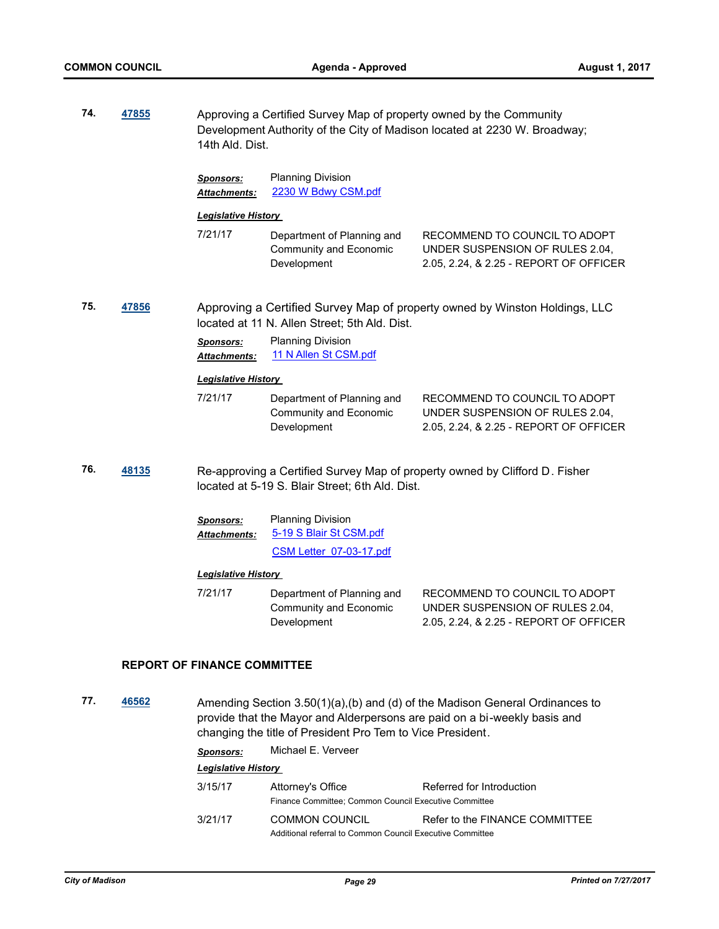| 74. | 47855                                                                                                                                                                                                                            | Approving a Certified Survey Map of property owned by the Community<br>Development Authority of the City of Madison located at 2230 W. Broadway;<br>14th Ald. Dist. |                                                                                |                                                                                                            |  |
|-----|----------------------------------------------------------------------------------------------------------------------------------------------------------------------------------------------------------------------------------|---------------------------------------------------------------------------------------------------------------------------------------------------------------------|--------------------------------------------------------------------------------|------------------------------------------------------------------------------------------------------------|--|
|     |                                                                                                                                                                                                                                  | <b>Sponsors:</b><br><b>Attachments:</b>                                                                                                                             | <b>Planning Division</b><br>2230 W Bdwy CSM.pdf                                |                                                                                                            |  |
|     |                                                                                                                                                                                                                                  | <b>Legislative History</b>                                                                                                                                          |                                                                                |                                                                                                            |  |
|     |                                                                                                                                                                                                                                  | 7/21/17                                                                                                                                                             | Department of Planning and<br>Community and Economic<br>Development            | RECOMMEND TO COUNCIL TO ADOPT<br>UNDER SUSPENSION OF RULES 2.04,<br>2.05, 2.24, & 2.25 - REPORT OF OFFICER |  |
| 75. | 47856                                                                                                                                                                                                                            | Approving a Certified Survey Map of property owned by Winston Holdings, LLC<br>located at 11 N. Allen Street; 5th Ald. Dist.                                        |                                                                                |                                                                                                            |  |
|     |                                                                                                                                                                                                                                  | <b>Sponsors:</b><br><b>Attachments:</b>                                                                                                                             | <b>Planning Division</b><br>11 N Allen St CSM.pdf                              |                                                                                                            |  |
|     |                                                                                                                                                                                                                                  | <b>Legislative History</b>                                                                                                                                          |                                                                                |                                                                                                            |  |
|     |                                                                                                                                                                                                                                  | 7/21/17                                                                                                                                                             | Department of Planning and<br>Community and Economic<br>Development            | RECOMMEND TO COUNCIL TO ADOPT<br>UNDER SUSPENSION OF RULES 2.04,<br>2.05, 2.24, & 2.25 - REPORT OF OFFICER |  |
| 76. | 48135                                                                                                                                                                                                                            |                                                                                                                                                                     | located at 5-19 S. Blair Street; 6th Ald. Dist.                                | Re-approving a Certified Survey Map of property owned by Clifford D. Fisher                                |  |
|     |                                                                                                                                                                                                                                  | <b>Sponsors:</b><br><u> Attachments:</u>                                                                                                                            | <b>Planning Division</b><br>5-19 S Blair St CSM.pdf<br>CSM Letter 07-03-17.pdf |                                                                                                            |  |
|     |                                                                                                                                                                                                                                  | <b>Legislative History</b>                                                                                                                                          |                                                                                |                                                                                                            |  |
|     |                                                                                                                                                                                                                                  | 7/21/17                                                                                                                                                             | Department of Planning and<br>Community and Economic<br>Development            | RECOMMEND TO COUNCIL TO ADOPT<br>UNDER SUSPENSION OF RULES 2.04,<br>2.05, 2.24, & 2.25 - REPORT OF OFFICER |  |
|     |                                                                                                                                                                                                                                  | <b>REPORT OF FINANCE COMMITTEE</b>                                                                                                                                  |                                                                                |                                                                                                            |  |
| 77. | 46562<br>Amending Section 3.50(1)(a),(b) and (d) of the Madison General Ordinances to<br>provide that the Mayor and Alderpersons are paid on a bi-weekly basis and<br>changing the title of President Pro Tem to Vice President. |                                                                                                                                                                     |                                                                                |                                                                                                            |  |
|     |                                                                                                                                                                                                                                  |                                                                                                                                                                     | $Mishool \sqsubset Mombor$                                                     |                                                                                                            |  |

*Sponsors:* Michael E. Verveer

| 3/15/17 | Attorney's Office<br>Finance Committee: Common Council Executive Committee         | Referred for Introduction      |
|---------|------------------------------------------------------------------------------------|--------------------------------|
| 3/21/17 | <b>COMMON COUNCIL</b><br>Additional referral to Common Council Executive Committee | Refer to the FINANCE COMMITTEE |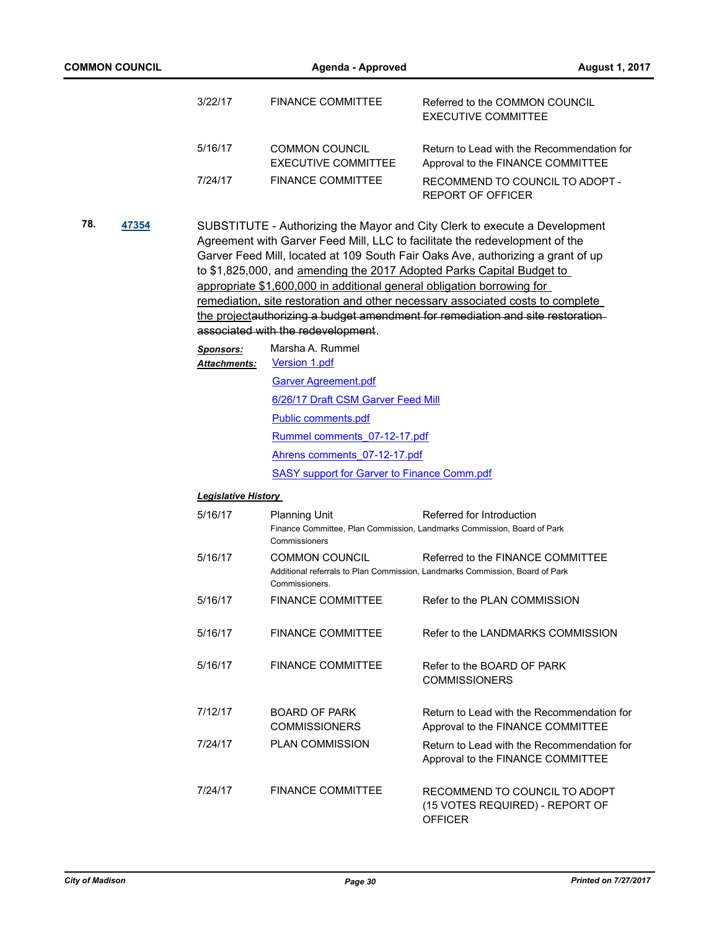|     |       | 3/22/17                          | <b>FINANCE COMMITTEE</b>                                                                                     | Referred to the COMMON COUNCIL<br><b>EXECUTIVE COMMITTEE</b>                                                                                                                                                                                                                                                                                                                                                                                                                               |  |  |
|-----|-------|----------------------------------|--------------------------------------------------------------------------------------------------------------|--------------------------------------------------------------------------------------------------------------------------------------------------------------------------------------------------------------------------------------------------------------------------------------------------------------------------------------------------------------------------------------------------------------------------------------------------------------------------------------------|--|--|
|     |       | 5/16/17                          | <b>COMMON COUNCIL</b><br><b>EXECUTIVE COMMITTEE</b>                                                          | Return to Lead with the Recommendation for<br>Approval to the FINANCE COMMITTEE                                                                                                                                                                                                                                                                                                                                                                                                            |  |  |
|     |       | 7/24/17                          | <b>FINANCE COMMITTEE</b>                                                                                     | RECOMMEND TO COUNCIL TO ADOPT -<br><b>REPORT OF OFFICER</b>                                                                                                                                                                                                                                                                                                                                                                                                                                |  |  |
| 78. | 47354 |                                  | appropriate \$1,600,000 in additional general obligation borrowing for<br>associated with the redevelopment. | SUBSTITUTE - Authorizing the Mayor and City Clerk to execute a Development<br>Agreement with Garver Feed Mill, LLC to facilitate the redevelopment of the<br>Garver Feed Mill, located at 109 South Fair Oaks Ave, authorizing a grant of up<br>to \$1,825,000, and amending the 2017 Adopted Parks Capital Budget to<br>remediation, site restoration and other necessary associated costs to complete<br>the projectauthorizing a budget amendment for remediation and site restoration- |  |  |
|     |       | <b>Sponsors:</b><br>Attachments: | Marsha A. Rummel<br>Version 1.pdf                                                                            |                                                                                                                                                                                                                                                                                                                                                                                                                                                                                            |  |  |
|     |       |                                  | <b>Garver Agreement.pdf</b>                                                                                  |                                                                                                                                                                                                                                                                                                                                                                                                                                                                                            |  |  |
|     |       |                                  | 6/26/17 Draft CSM Garver Feed Mill                                                                           |                                                                                                                                                                                                                                                                                                                                                                                                                                                                                            |  |  |
|     |       |                                  | Public comments.pdf                                                                                          |                                                                                                                                                                                                                                                                                                                                                                                                                                                                                            |  |  |
|     |       |                                  | Rummel comments 07-12-17.pdf                                                                                 |                                                                                                                                                                                                                                                                                                                                                                                                                                                                                            |  |  |
|     |       |                                  | Ahrens comments 07-12-17.pdf                                                                                 |                                                                                                                                                                                                                                                                                                                                                                                                                                                                                            |  |  |
|     |       |                                  | <b>SASY support for Garver to Finance Comm.pdf</b>                                                           |                                                                                                                                                                                                                                                                                                                                                                                                                                                                                            |  |  |
|     |       | <u> Legislative History</u>      |                                                                                                              |                                                                                                                                                                                                                                                                                                                                                                                                                                                                                            |  |  |
|     |       | 5/16/17                          | <b>Planning Unit</b>                                                                                         | Referred for Introduction                                                                                                                                                                                                                                                                                                                                                                                                                                                                  |  |  |
|     |       |                                  | Commissioners                                                                                                | Finance Committee, Plan Commission, Landmarks Commission, Board of Park                                                                                                                                                                                                                                                                                                                                                                                                                    |  |  |
|     |       | 5/16/17                          | <b>COMMON COUNCIL</b><br>Commissioners.                                                                      | Referred to the FINANCE COMMITTEE<br>Additional referrals to Plan Commission, Landmarks Commission, Board of Park                                                                                                                                                                                                                                                                                                                                                                          |  |  |
|     |       | 5/16/17                          | <b>FINANCE COMMITTEE</b>                                                                                     | Refer to the PLAN COMMISSION                                                                                                                                                                                                                                                                                                                                                                                                                                                               |  |  |
|     |       | 5/16/17                          | <b>FINANCE COMMITTEE</b>                                                                                     | Refer to the LANDMARKS COMMISSION                                                                                                                                                                                                                                                                                                                                                                                                                                                          |  |  |
|     |       | 5/16/17                          | <b>FINANCE COMMITTEE</b>                                                                                     | Refer to the BOARD OF PARK<br><b>COMMISSIONERS</b>                                                                                                                                                                                                                                                                                                                                                                                                                                         |  |  |
|     |       | 7/12/17                          | <b>BOARD OF PARK</b><br><b>COMMISSIONERS</b>                                                                 | Return to Lead with the Recommendation for<br>Approval to the FINANCE COMMITTEE                                                                                                                                                                                                                                                                                                                                                                                                            |  |  |
|     |       | 7/24/17                          | <b>PLAN COMMISSION</b>                                                                                       | Return to Lead with the Recommendation for<br>Approval to the FINANCE COMMITTEE                                                                                                                                                                                                                                                                                                                                                                                                            |  |  |
|     |       | 7/24/17                          | <b>FINANCE COMMITTEE</b>                                                                                     | RECOMMEND TO COUNCIL TO ADOPT<br>(15 VOTES REQUIRED) - REPORT OF<br><b>OFFICER</b>                                                                                                                                                                                                                                                                                                                                                                                                         |  |  |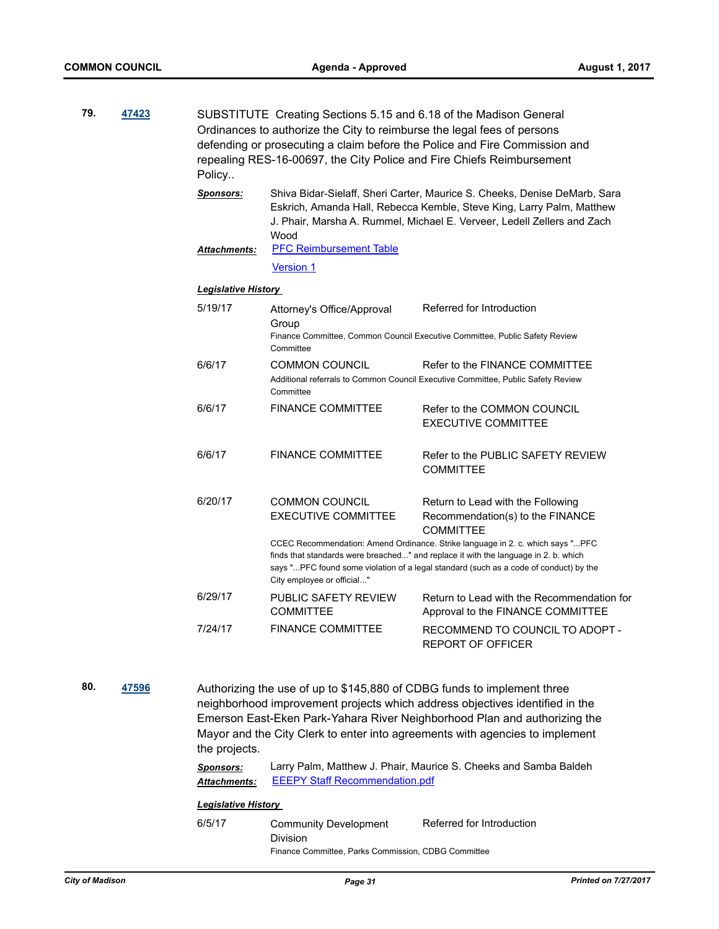| 79. | 47423 | Policy                                  | SUBSTITUTE Creating Sections 5.15 and 6.18 of the Madison General<br>Ordinances to authorize the City to reimburse the legal fees of persons | defending or prosecuting a claim before the Police and Fire Commission and<br>repealing RES-16-00697, the City Police and Fire Chiefs Reimbursement                                                                                                             |
|-----|-------|-----------------------------------------|----------------------------------------------------------------------------------------------------------------------------------------------|-----------------------------------------------------------------------------------------------------------------------------------------------------------------------------------------------------------------------------------------------------------------|
|     |       | <b>Sponsors:</b><br><b>Attachments:</b> | Wood<br><b>PFC Reimbursement Table</b>                                                                                                       | Shiva Bidar-Sielaff, Sheri Carter, Maurice S. Cheeks, Denise DeMarb, Sara<br>Eskrich, Amanda Hall, Rebecca Kemble, Steve King, Larry Palm, Matthew<br>J. Phair, Marsha A. Rummel, Michael E. Verveer, Ledell Zellers and Zach                                   |
|     |       |                                         | <b>Version 1</b>                                                                                                                             |                                                                                                                                                                                                                                                                 |
|     |       | <b>Legislative History</b>              |                                                                                                                                              |                                                                                                                                                                                                                                                                 |
|     |       | 5/19/17                                 | Attorney's Office/Approval<br>Group<br>Committee                                                                                             | Referred for Introduction<br>Finance Committee, Common Council Executive Committee, Public Safety Review                                                                                                                                                        |
|     |       | 6/6/17                                  | <b>COMMON COUNCIL</b><br>Committee                                                                                                           | Refer to the FINANCE COMMITTEE<br>Additional referrals to Common Council Executive Committee, Public Safety Review                                                                                                                                              |
|     |       | 6/6/17                                  | <b>FINANCE COMMITTEE</b>                                                                                                                     | Refer to the COMMON COUNCIL<br><b>EXECUTIVE COMMITTEE</b>                                                                                                                                                                                                       |
|     |       | 6/6/17                                  | <b>FINANCE COMMITTEE</b>                                                                                                                     | Refer to the PUBLIC SAFETY REVIEW<br><b>COMMITTEE</b>                                                                                                                                                                                                           |
|     |       | 6/20/17                                 | <b>COMMON COUNCIL</b><br><b>EXECUTIVE COMMITTEE</b>                                                                                          | Return to Lead with the Following<br>Recommendation(s) to the FINANCE<br><b>COMMITTEE</b>                                                                                                                                                                       |
|     |       |                                         | City employee or official"                                                                                                                   | CCEC Recommendation: Amend Ordinance. Strike language in 2. c. which says " PFC<br>finds that standards were breached" and replace it with the language in 2. b. which<br>says "PFC found some violation of a legal standard (such as a code of conduct) by the |
|     |       | 6/29/17                                 | PUBLIC SAFETY REVIEW<br><b>COMMITTEE</b>                                                                                                     | Return to Lead with the Recommendation for<br>Approval to the FINANCE COMMITTEE                                                                                                                                                                                 |
|     |       | 7/24/17                                 | <b>FINANCE COMMITTEE</b>                                                                                                                     | RECOMMEND TO COUNCIL TO ADOPT -<br><b>REPORT OF OFFICER</b>                                                                                                                                                                                                     |
|     |       |                                         |                                                                                                                                              |                                                                                                                                                                                                                                                                 |

**80. [47596](http://madison.legistar.com/gateway.aspx?m=l&id=/matter.aspx?key=51564)** Authorizing the use of up to \$145,880 of CDBG funds to implement three neighborhood improvement projects which address objectives identified in the Emerson East-Eken Park-Yahara River Neighborhood Plan and authorizing the Mayor and the City Clerk to enter into agreements with agencies to implement the projects.

> *Sponsors:* Larry Palm, Matthew J. Phair, Maurice S. Cheeks and Samba Baldeh *Attachments:* [EEEPY Staff Recommendation.pdf](http://madison.legistar.com/gateway.aspx?M=F&ID=0470ac88-596b-41a6-a9c4-56f6e3f2167e.pdf)

#### *Legislative History*

6/5/17 Community Development Division Referred for Introduction Finance Committee, Parks Commission, CDBG Committee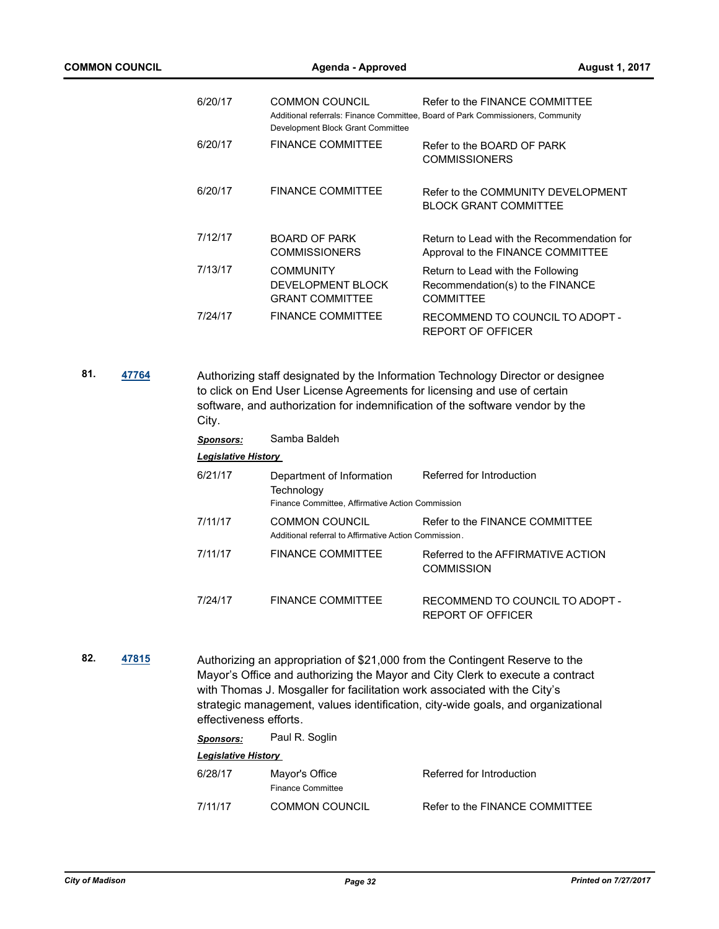| 6/20/17 | <b>COMMON COUNCIL</b><br>Development Block Grant Committee      | Refer to the FINANCE COMMITTEE<br>Additional referrals: Finance Committee, Board of Park Commissioners, Community |
|---------|-----------------------------------------------------------------|-------------------------------------------------------------------------------------------------------------------|
| 6/20/17 | <b>FINANCE COMMITTEE</b>                                        | Refer to the BOARD OF PARK<br><b>COMMISSIONERS</b>                                                                |
| 6/20/17 | <b>FINANCE COMMITTEE</b>                                        | Refer to the COMMUNITY DEVELOPMENT<br><b>BLOCK GRANT COMMITTEE</b>                                                |
| 7/12/17 | BOARD OF PARK<br><b>COMMISSIONERS</b>                           | Return to Lead with the Recommendation for<br>Approval to the FINANCE COMMITTEE                                   |
| 7/13/17 | <b>COMMUNITY</b><br>DEVELOPMENT BLOCK<br><b>GRANT COMMITTEE</b> | Return to Lead with the Following<br>Recommendation(s) to the FINANCE<br><b>COMMITTEE</b>                         |
| 7/24/17 | <b>FINANCE COMMITTEE</b>                                        | RECOMMEND TO COUNCIL TO ADOPT -<br>REPORT OF OFFICER                                                              |

**81. [47764](http://madison.legistar.com/gateway.aspx?m=l&id=/matter.aspx?key=51714)** Authorizing staff designated by the Information Technology Director or designee to click on End User License Agreements for licensing and use of certain software, and authorization for indemnification of the software vendor by the City.

*Sponsors:* Samba Baldeh

| <b>Legislative History</b> |                                                                                             |                                                      |  |  |
|----------------------------|---------------------------------------------------------------------------------------------|------------------------------------------------------|--|--|
| 6/21/17                    | Department of Information<br>Technology<br>Finance Committee, Affirmative Action Commission | Referred for Introduction                            |  |  |
| 7/11/17                    | <b>COMMON COUNCIL</b><br>Additional referral to Affirmative Action Commission.              | Refer to the FINANCE COMMITTEE                       |  |  |
| 7/11/17                    | <b>FINANCE COMMITTEE</b>                                                                    | Referred to the AFFIRMATIVE ACTION<br>COMMISSION     |  |  |
| 7/24/17                    | <b>FINANCE COMMITTEE</b>                                                                    | RECOMMEND TO COUNCIL TO ADOPT -<br>REPORT OF OFFICER |  |  |

**82. [47815](http://madison.legistar.com/gateway.aspx?m=l&id=/matter.aspx?key=51763)** Authorizing an appropriation of \$21,000 from the Contingent Reserve to the Mayor's Office and authorizing the Mayor and City Clerk to execute a contract with Thomas J. Mosgaller for facilitation work associated with the City's strategic management, values identification, city-wide goals, and organizational effectiveness efforts.

| <b>Sponsors:</b>           | Paul R. Soglin                      |                                |
|----------------------------|-------------------------------------|--------------------------------|
| <b>Legislative History</b> |                                     |                                |
| 6/28/17                    | Mayor's Office<br>Finance Committee | Referred for Introduction      |
| 7/11/17                    | <b>COMMON COUNCIL</b>               | Refer to the FINANCE COMMITTEE |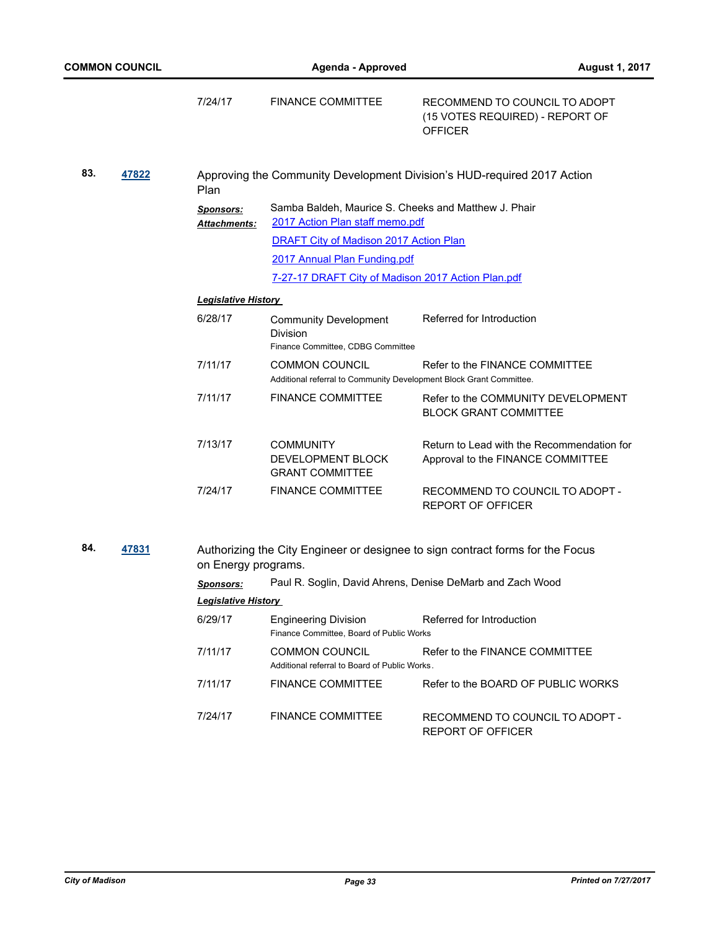|     |       | 7/24/17                                 | <b>FINANCE COMMITTEE</b>                                                                     | RECOMMEND TO COUNCIL TO ADOPT<br>(15 VOTES REQUIRED) - REPORT OF<br><b>OFFICER</b> |
|-----|-------|-----------------------------------------|----------------------------------------------------------------------------------------------|------------------------------------------------------------------------------------|
| 83. | 47822 | Plan                                    |                                                                                              | Approving the Community Development Division's HUD-required 2017 Action            |
|     |       | <b>Sponsors:</b><br><b>Attachments:</b> | Samba Baldeh, Maurice S. Cheeks and Matthew J. Phair<br>2017 Action Plan staff memo.pdf      |                                                                                    |
|     |       |                                         | DRAFT City of Madison 2017 Action Plan                                                       |                                                                                    |
|     |       |                                         | 2017 Annual Plan Funding.pdf                                                                 |                                                                                    |
|     |       |                                         | 7-27-17 DRAFT City of Madison 2017 Action Plan.pdf                                           |                                                                                    |
|     |       | <b>Legislative History</b>              |                                                                                              |                                                                                    |
|     |       | 6/28/17                                 | <b>Community Development</b><br>Division<br>Finance Committee, CDBG Committee                | Referred for Introduction                                                          |
|     |       | 7/11/17                                 | <b>COMMON COUNCIL</b><br>Additional referral to Community Development Block Grant Committee. | Refer to the FINANCE COMMITTEE                                                     |
|     |       | 7/11/17                                 | <b>FINANCE COMMITTEE</b>                                                                     | Refer to the COMMUNITY DEVELOPMENT<br><b>BLOCK GRANT COMMITTEE</b>                 |
|     |       | 7/13/17                                 | <b>COMMUNITY</b><br>DEVELOPMENT BLOCK<br><b>GRANT COMMITTEE</b>                              | Return to Lead with the Recommendation for<br>Approval to the FINANCE COMMITTEE    |
|     |       | 7/24/17                                 | <b>FINANCE COMMITTEE</b>                                                                     | RECOMMEND TO COUNCIL TO ADOPT -<br><b>REPORT OF OFFICER</b>                        |
| 84. | 47831 | on Energy programs.                     |                                                                                              | Authorizing the City Engineer or designee to sign contract forms for the Focus     |

| <b>Sponsors:</b>           | Paul R. Soglin, David Ahrens, Denise DeMarb and Zach Wood               |                                                      |  |
|----------------------------|-------------------------------------------------------------------------|------------------------------------------------------|--|
| <b>Legislative History</b> |                                                                         |                                                      |  |
| 6/29/17                    | <b>Engineering Division</b><br>Finance Committee, Board of Public Works | Referred for Introduction                            |  |
| 7/11/17                    | <b>COMMON COUNCIL</b><br>Additional referral to Board of Public Works.  | Refer to the FINANCE COMMITTEE                       |  |
| 7/11/17                    | <b>FINANCE COMMITTEE</b>                                                | Refer to the BOARD OF PUBLIC WORKS                   |  |
| 7/24/17                    | FINANCE COMMITTEE                                                       | RECOMMEND TO COUNCIL TO ADOPT -<br>REPORT OF OFFICER |  |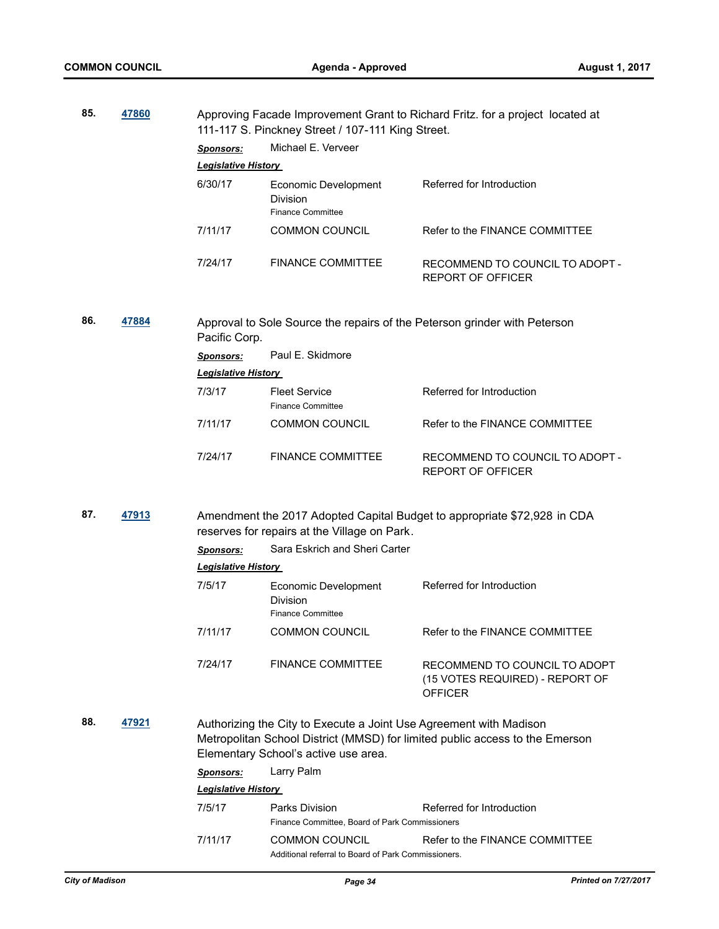| 85. | 47860 |                            | 111-117 S. Pinckney Street / 107-111 King Street.                                                          | Approving Facade Improvement Grant to Richard Fritz. for a project located at      |
|-----|-------|----------------------------|------------------------------------------------------------------------------------------------------------|------------------------------------------------------------------------------------|
|     |       | <b>Sponsors:</b>           | Michael E. Verveer                                                                                         |                                                                                    |
|     |       | <b>Legislative History</b> |                                                                                                            |                                                                                    |
|     |       | 6/30/17                    | Economic Development<br>Division<br><b>Finance Committee</b>                                               | Referred for Introduction                                                          |
|     |       | 7/11/17                    | <b>COMMON COUNCIL</b>                                                                                      | Refer to the FINANCE COMMITTEE                                                     |
|     |       | 7/24/17                    | <b>FINANCE COMMITTEE</b>                                                                                   | RECOMMEND TO COUNCIL TO ADOPT -<br><b>REPORT OF OFFICER</b>                        |
| 86. | 47884 | Pacific Corp.              |                                                                                                            | Approval to Sole Source the repairs of the Peterson grinder with Peterson          |
|     |       | <b>Sponsors:</b>           | Paul E. Skidmore                                                                                           |                                                                                    |
|     |       | <b>Legislative History</b> |                                                                                                            |                                                                                    |
|     |       | 7/3/17                     | <b>Fleet Service</b><br><b>Finance Committee</b>                                                           | Referred for Introduction                                                          |
|     |       | 7/11/17                    | <b>COMMON COUNCIL</b>                                                                                      | Refer to the FINANCE COMMITTEE                                                     |
|     |       | 7/24/17                    | <b>FINANCE COMMITTEE</b>                                                                                   | RECOMMEND TO COUNCIL TO ADOPT -<br><b>REPORT OF OFFICER</b>                        |
| 87. | 47913 |                            | reserves for repairs at the Village on Park.                                                               | Amendment the 2017 Adopted Capital Budget to appropriate \$72,928 in CDA           |
|     |       | <b>Sponsors:</b>           | Sara Eskrich and Sheri Carter                                                                              |                                                                                    |
|     |       | <b>Legislative History</b> |                                                                                                            |                                                                                    |
|     |       | 7/5/17                     | Economic Development<br>Division<br><b>Finance Committee</b>                                               | Referred for Introduction                                                          |
|     |       | 7/11/17                    | <b>COMMON COUNCIL</b>                                                                                      | Refer to the FINANCE COMMITTEE                                                     |
|     |       | 7/24/17                    | <b>FINANCE COMMITTEE</b>                                                                                   | RECOMMEND TO COUNCIL TO ADOPT<br>(15 VOTES REQUIRED) - REPORT OF<br><b>OFFICER</b> |
| 88. | 47921 |                            | Authorizing the City to Execute a Joint Use Agreement with Madison<br>Elementary School's active use area. | Metropolitan School District (MMSD) for limited public access to the Emerson       |
|     |       | Sponsors:                  | Larry Palm                                                                                                 |                                                                                    |
|     |       | <b>Legislative History</b> |                                                                                                            |                                                                                    |
|     |       | 7/5/17                     | Parks Division<br>Finance Committee, Board of Park Commissioners                                           | Referred for Introduction                                                          |
|     |       | 7/11/17                    | <b>COMMON COUNCIL</b><br>Additional referral to Board of Park Commissioners.                               | Refer to the FINANCE COMMITTEE                                                     |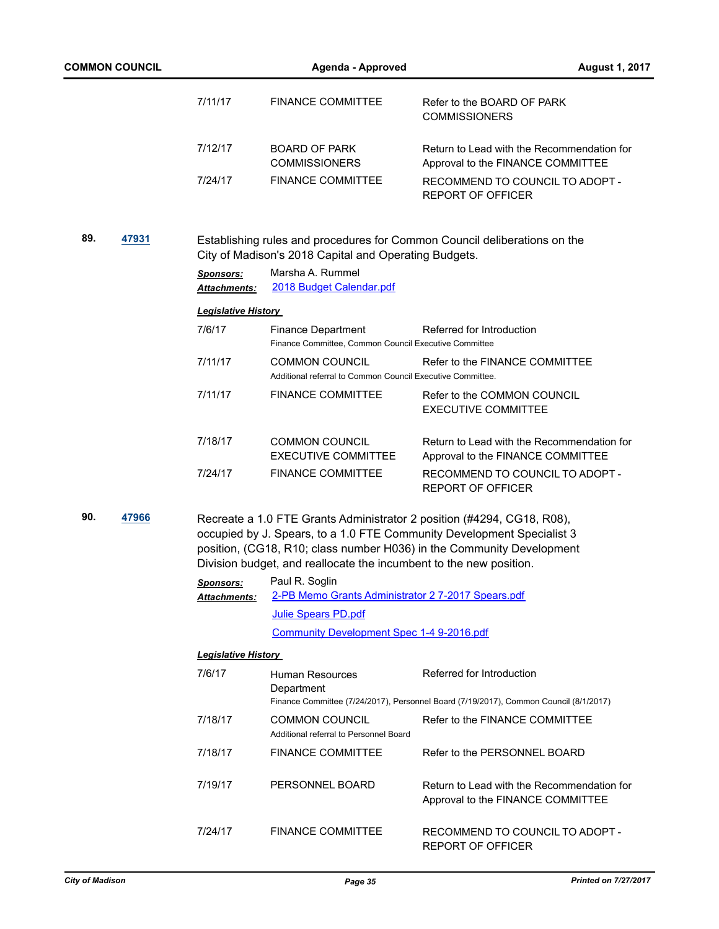| <b>COMMON COUNCIL</b> |       | <b>Agenda - Approved</b>                |                                                                                     |                                                                                                                                                                                                                           | <b>August 1, 2017</b> |  |
|-----------------------|-------|-----------------------------------------|-------------------------------------------------------------------------------------|---------------------------------------------------------------------------------------------------------------------------------------------------------------------------------------------------------------------------|-----------------------|--|
|                       |       | 7/11/17                                 | <b>FINANCE COMMITTEE</b>                                                            | Refer to the BOARD OF PARK<br><b>COMMISSIONERS</b>                                                                                                                                                                        |                       |  |
|                       |       | 7/12/17                                 | <b>BOARD OF PARK</b><br><b>COMMISSIONERS</b>                                        | Return to Lead with the Recommendation for<br>Approval to the FINANCE COMMITTEE                                                                                                                                           |                       |  |
|                       |       | 7/24/17                                 | <b>FINANCE COMMITTEE</b>                                                            | RECOMMEND TO COUNCIL TO ADOPT -<br><b>REPORT OF OFFICER</b>                                                                                                                                                               |                       |  |
| 89.                   | 47931 |                                         | City of Madison's 2018 Capital and Operating Budgets.                               | Establishing rules and procedures for Common Council deliberations on the                                                                                                                                                 |                       |  |
|                       |       | <b>Sponsors:</b><br><b>Attachments:</b> | Marsha A. Rummel<br>2018 Budget Calendar.pdf                                        |                                                                                                                                                                                                                           |                       |  |
|                       |       | <b>Legislative History</b>              |                                                                                     |                                                                                                                                                                                                                           |                       |  |
|                       |       | 7/6/17                                  | <b>Finance Department</b><br>Finance Committee, Common Council Executive Committee  | Referred for Introduction                                                                                                                                                                                                 |                       |  |
|                       |       | 7/11/17                                 | <b>COMMON COUNCIL</b><br>Additional referral to Common Council Executive Committee. | Refer to the FINANCE COMMITTEE                                                                                                                                                                                            |                       |  |
|                       |       | 7/11/17                                 | <b>FINANCE COMMITTEE</b>                                                            | Refer to the COMMON COUNCIL<br><b>EXECUTIVE COMMITTEE</b>                                                                                                                                                                 |                       |  |
|                       |       | 7/18/17                                 | <b>COMMON COUNCIL</b><br><b>EXECUTIVE COMMITTEE</b>                                 | Return to Lead with the Recommendation for<br>Approval to the FINANCE COMMITTEE                                                                                                                                           |                       |  |
|                       |       | 7/24/17                                 | <b>FINANCE COMMITTEE</b>                                                            | RECOMMEND TO COUNCIL TO ADOPT -<br><b>REPORT OF OFFICER</b>                                                                                                                                                               |                       |  |
| 90.                   | 47966 |                                         | Division budget, and reallocate the incumbent to the new position.                  | Recreate a 1.0 FTE Grants Administrator 2 position (#4294, CG18, R08),<br>occupied by J. Spears, to a 1.0 FTE Community Development Specialist 3<br>position, (CG18, R10; class number H036) in the Community Development |                       |  |
|                       |       | <u>Sponsors:</u>                        | Paul R. Soglin                                                                      |                                                                                                                                                                                                                           |                       |  |
|                       |       | <b>Attachments:</b>                     | 2-PB Memo Grants Administrator 2 7-2017 Spears.pdf                                  |                                                                                                                                                                                                                           |                       |  |
|                       |       |                                         | Julie Spears PD.pdf                                                                 |                                                                                                                                                                                                                           |                       |  |
|                       |       |                                         | Community Development Spec 1-4 9-2016.pdf                                           |                                                                                                                                                                                                                           |                       |  |
|                       |       | <u> Legislative History</u>             |                                                                                     |                                                                                                                                                                                                                           |                       |  |
|                       |       | 7/6/17                                  | Human Resources<br>Department                                                       | Referred for Introduction                                                                                                                                                                                                 |                       |  |
|                       |       | 7/18/17                                 | <b>COMMON COUNCIL</b>                                                               | Finance Committee (7/24/2017), Personnel Board (7/19/2017), Common Council (8/1/2017)<br>Refer to the FINANCE COMMITTEE                                                                                                   |                       |  |
|                       |       |                                         | Additional referral to Personnel Board                                              |                                                                                                                                                                                                                           |                       |  |
|                       |       | 7/18/17                                 | <b>FINANCE COMMITTEE</b>                                                            | Refer to the PERSONNEL BOARD                                                                                                                                                                                              |                       |  |
|                       |       | 7/19/17                                 | PERSONNEL BOARD                                                                     | Return to Lead with the Recommendation for<br>Approval to the FINANCE COMMITTEE                                                                                                                                           |                       |  |
|                       |       | 7/24/17                                 | <b>FINANCE COMMITTEE</b>                                                            | RECOMMEND TO COUNCIL TO ADOPT -<br>REPORT OF OFFICER                                                                                                                                                                      |                       |  |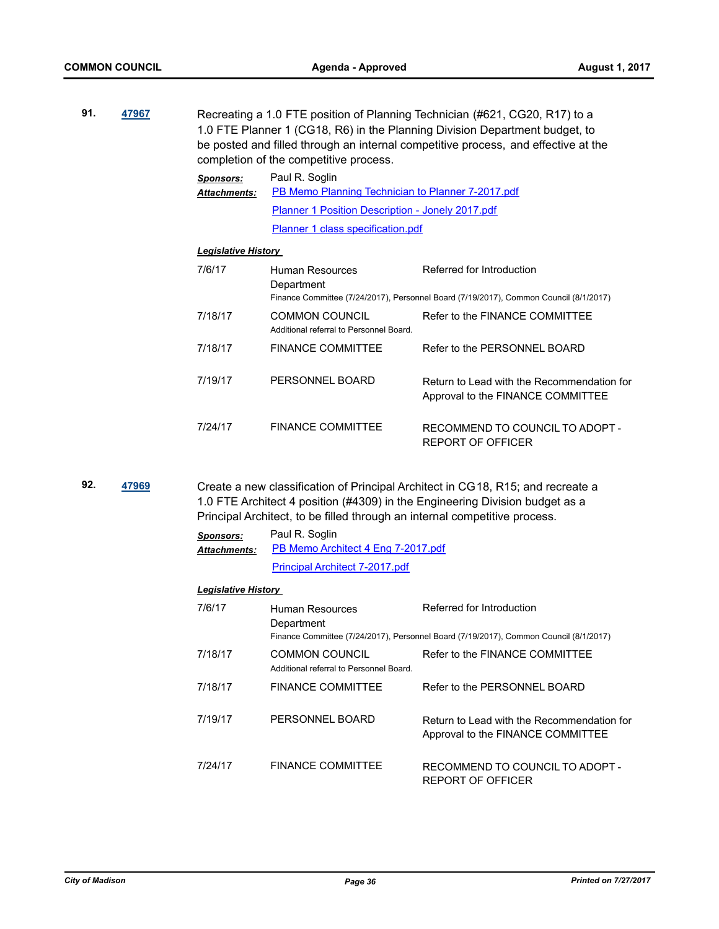| 91. | 47967 |                                         | completion of the competitive process.                              | Recreating a 1.0 FTE position of Planning Technician (#621, CG20, R17) to a<br>1.0 FTE Planner 1 (CG18, R6) in the Planning Division Department budget, to<br>be posted and filled through an internal competitive process, and effective at the |
|-----|-------|-----------------------------------------|---------------------------------------------------------------------|--------------------------------------------------------------------------------------------------------------------------------------------------------------------------------------------------------------------------------------------------|
|     |       | <b>Sponsors:</b><br><b>Attachments:</b> | Paul R. Soglin<br>PB Memo Planning Technician to Planner 7-2017.pdf |                                                                                                                                                                                                                                                  |
|     |       |                                         | Planner 1 Position Description - Jonely 2017.pdf                    |                                                                                                                                                                                                                                                  |
|     |       |                                         | Planner 1 class specification.pdf                                   |                                                                                                                                                                                                                                                  |
|     |       | <b>Legislative History</b>              |                                                                     |                                                                                                                                                                                                                                                  |
|     |       | 7/6/17                                  | Human Resources<br>Department                                       | Referred for Introduction<br>Finance Committee (7/24/2017), Personnel Board (7/19/2017), Common Council (8/1/2017)                                                                                                                               |
|     |       | 7/18/17                                 | <b>COMMON COUNCIL</b><br>Additional referral to Personnel Board.    | Refer to the FINANCE COMMITTEE                                                                                                                                                                                                                   |
|     |       | 7/18/17                                 | <b>FINANCE COMMITTEE</b>                                            | Refer to the PERSONNEL BOARD                                                                                                                                                                                                                     |
|     |       | 7/19/17                                 | PERSONNEL BOARD                                                     | Return to Lead with the Recommendation for<br>Approval to the FINANCE COMMITTEE                                                                                                                                                                  |
|     |       | 7/24/17                                 | <b>FINANCE COMMITTEE</b>                                            | RECOMMEND TO COUNCIL TO ADOPT -<br>REPORT OF OFFICER                                                                                                                                                                                             |

**92. [47969](http://madison.legistar.com/gateway.aspx?m=l&id=/matter.aspx?key=51907)** Create a new classification of Principal Architect in CG18, R15; and recreate a 1.0 FTE Architect 4 position (#4309) in the Engineering Division budget as a Principal Architect, to be filled through an internal competitive process.

| <b>Sponsors:</b>    | Paul R. Soglin                     |
|---------------------|------------------------------------|
| <b>Attachments:</b> | PB Memo Architect 4 Eng 7-2017.pdf |
|                     | Principal Architect 7-2017.pdf     |

| 7/6/17  | Human Resources<br>Department                                    | Referred for Introduction<br>Finance Committee (7/24/2017), Personnel Board (7/19/2017), Common Council (8/1/2017) |
|---------|------------------------------------------------------------------|--------------------------------------------------------------------------------------------------------------------|
| 7/18/17 | <b>COMMON COUNCIL</b><br>Additional referral to Personnel Board. | Refer to the FINANCE COMMITTEE                                                                                     |
| 7/18/17 | <b>FINANCE COMMITTEE</b>                                         | Refer to the PERSONNEL BOARD                                                                                       |
| 7/19/17 | PERSONNEL BOARD                                                  | Return to Lead with the Recommendation for<br>Approval to the FINANCE COMMITTEE                                    |
| 7/24/17 | FINANCE COMMITTEE                                                | RECOMMEND TO COUNCIL TO ADOPT -<br>REPORT OF OFFICER                                                               |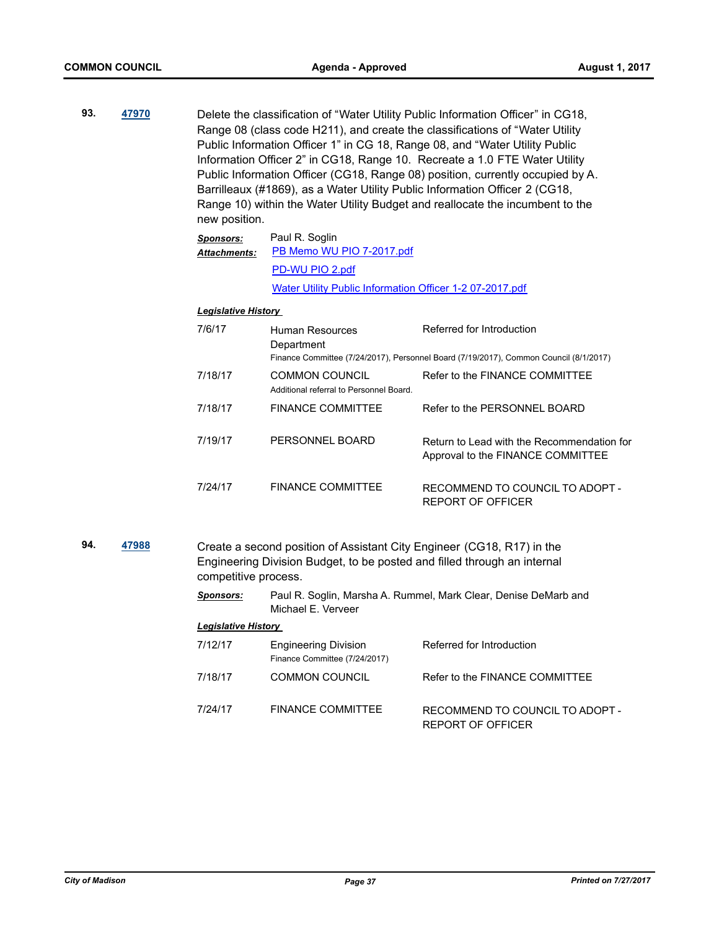**93. [47970](http://madison.legistar.com/gateway.aspx?m=l&id=/matter.aspx?key=51908)** Delete the classification of "Water Utility Public Information Officer" in CG18, Range 08 (class code H211), and create the classifications of "Water Utility Public Information Officer 1" in CG 18, Range 08, and "Water Utility Public Information Officer 2" in CG18, Range 10. Recreate a 1.0 FTE Water Utility Public Information Officer (CG18, Range 08) position, currently occupied by A. Barrilleaux (#1869), as a Water Utility Public Information Officer 2 (CG18, Range 10) within the Water Utility Budget and reallocate the incumbent to the new position.

| <b>Sponsors:</b>    | Paul R. Soglin                                           |  |
|---------------------|----------------------------------------------------------|--|
| <b>Attachments:</b> | PB Memo WU PIO 7-2017.pdf                                |  |
|                     | PD-WU PIO 2.pdf                                          |  |
|                     | Water Utility Public Information Officer 1-2 07-2017.pdf |  |

# *Legislative History*

| 7/6/17  | Human Resources<br>Department                                    | Referred for Introduction<br>Finance Committee (7/24/2017), Personnel Board (7/19/2017), Common Council (8/1/2017) |
|---------|------------------------------------------------------------------|--------------------------------------------------------------------------------------------------------------------|
| 7/18/17 | <b>COMMON COUNCIL</b><br>Additional referral to Personnel Board. | Refer to the FINANCE COMMITTEE                                                                                     |
| 7/18/17 | <b>FINANCE COMMITTEE</b>                                         | Refer to the PERSONNEL BOARD                                                                                       |
| 7/19/17 | PERSONNEL BOARD                                                  | Return to Lead with the Recommendation for<br>Approval to the FINANCE COMMITTEE                                    |
| 7/24/17 | <b>FINANCE COMMITTEE</b>                                         | RECOMMEND TO COUNCIL TO ADOPT -<br>REPORT OF OFFICER                                                               |

- **94. [47988](http://madison.legistar.com/gateway.aspx?m=l&id=/matter.aspx?key=51926)** Create a second position of Assistant City Engineer (CG18, R17) in the Engineering Division Budget, to be posted and filled through an internal competitive process.
	- *Sponsors:* Paul R. Soglin, Marsha A. Rummel, Mark Clear, Denise DeMarb and Michael E. Verveer

| 7/12/17 | <b>Engineering Division</b><br>Finance Committee (7/24/2017) | Referred for Introduction                            |
|---------|--------------------------------------------------------------|------------------------------------------------------|
| 7/18/17 | <b>COMMON COUNCIL</b>                                        | Refer to the FINANCE COMMITTEE                       |
| 7/24/17 | <b>FINANCE COMMITTEE</b>                                     | RECOMMEND TO COUNCIL TO ADOPT -<br>REPORT OF OFFICER |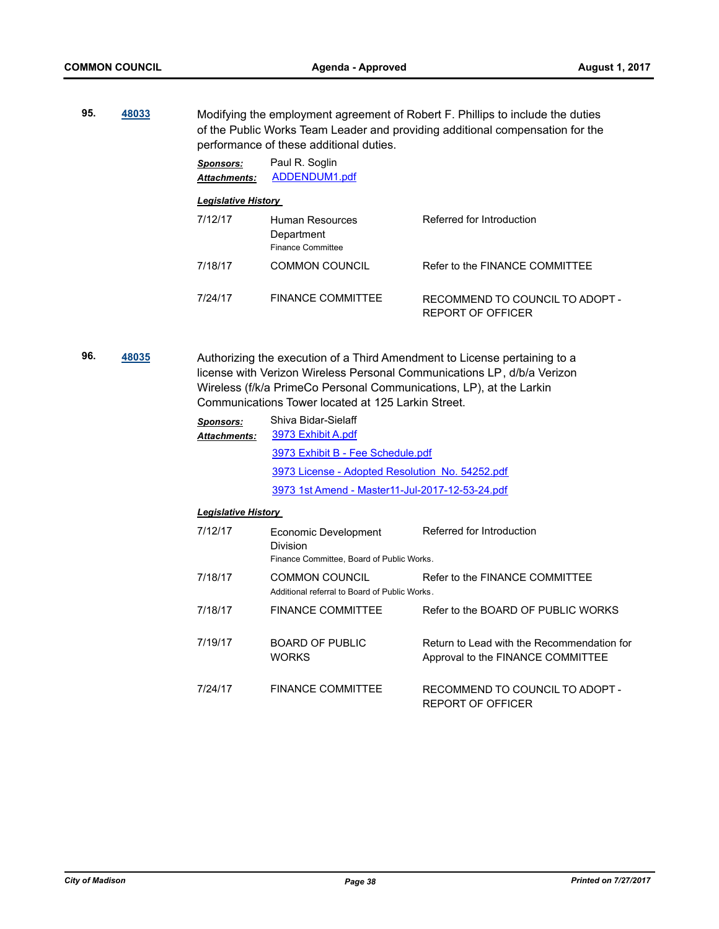**95. [48033](http://madison.legistar.com/gateway.aspx?m=l&id=/matter.aspx?key=51971)** Modifying the employment agreement of Robert F. Phillips to include the duties of the Public Works Team Leader and providing additional compensation for the performance of these additional duties.

> *Sponsors:* Paul R. Soglin *Attachments:* [ADDENDUM1.pdf](http://madison.legistar.com/gateway.aspx?M=F&ID=5050e635-797d-45a2-8b4d-7b27290fae35.pdf) *Legislative History*  7/12/17 Human Resources **Department** Referred for Introduction Finance Committee 7/18/17 COMMON COUNCIL Refer to the FINANCE COMMITTEE 7/24/17 FINANCE COMMITTEE RECOMMEND TO COUNCIL TO ADOPT - REPORT OF OFFICER

**96. [48035](http://madison.legistar.com/gateway.aspx?m=l&id=/matter.aspx?key=51973)** Authorizing the execution of a Third Amendment to License pertaining to a license with Verizon Wireless Personal Communications LP, d/b/a Verizon Wireless (f/k/a PrimeCo Personal Communications, LP), at the Larkin Communications Tower located at 125 Larkin Street.

| <b>Sponsors:</b><br><b>Attachments:</b> | Shiva Bidar-Sielaff<br>3973 Exhibit A.pdf                                     |                                                                                 |  |
|-----------------------------------------|-------------------------------------------------------------------------------|---------------------------------------------------------------------------------|--|
|                                         | 3973 Exhibit B - Fee Schedule.pdf                                             |                                                                                 |  |
|                                         | 3973 License - Adopted Resolution No. 54252.pdf                               |                                                                                 |  |
|                                         | 3973 1st Amend - Master11-Jul-2017-12-53-24.pdf                               |                                                                                 |  |
| <b>Legislative History</b>              |                                                                               |                                                                                 |  |
| 7/12/17                                 | Economic Development<br>Division<br>Finance Committee, Board of Public Works. | Referred for Introduction                                                       |  |
| 7/18/17                                 | COMMON COUNCIL<br>Additional referral to Board of Public Works.               | Refer to the FINANCE COMMITTEE                                                  |  |
| 7/18/17                                 | <b>FINANCE COMMITTEE</b>                                                      | Refer to the BOARD OF PUBLIC WORKS                                              |  |
| 7/19/17                                 | <b>BOARD OF PUBLIC</b><br><b>WORKS</b>                                        | Return to Lead with the Recommendation for<br>Approval to the FINANCE COMMITTEE |  |
| 7/24/17                                 | <b>FINANCE COMMITTEE</b>                                                      | RECOMMEND TO COUNCIL TO ADOPT -                                                 |  |

REPORT OF OFFICER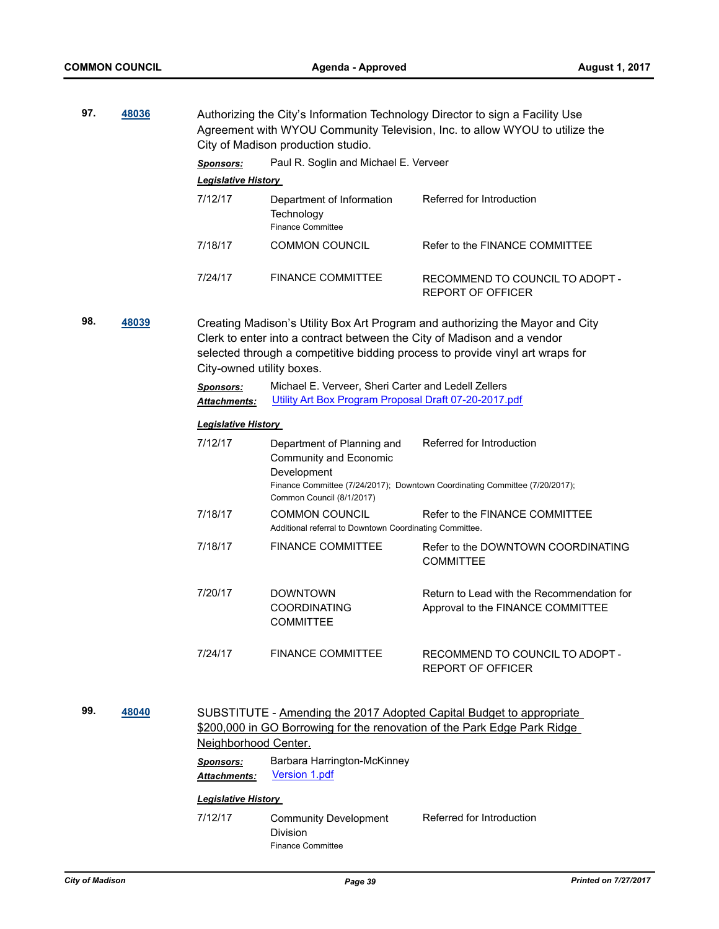| 97. | 48036 |                                                                                                                                                                                                                                                                        | City of Madison production studio.                                                                           | Authorizing the City's Information Technology Director to sign a Facility Use<br>Agreement with WYOU Community Television, Inc. to allow WYOU to utilize the |  |
|-----|-------|------------------------------------------------------------------------------------------------------------------------------------------------------------------------------------------------------------------------------------------------------------------------|--------------------------------------------------------------------------------------------------------------|--------------------------------------------------------------------------------------------------------------------------------------------------------------|--|
|     |       | <b>Sponsors:</b>                                                                                                                                                                                                                                                       | Paul R. Soglin and Michael E. Verveer                                                                        |                                                                                                                                                              |  |
|     |       | Legislative History                                                                                                                                                                                                                                                    |                                                                                                              |                                                                                                                                                              |  |
|     |       | 7/12/17                                                                                                                                                                                                                                                                | Department of Information<br>Technology<br><b>Finance Committee</b>                                          | Referred for Introduction                                                                                                                                    |  |
|     |       | 7/18/17                                                                                                                                                                                                                                                                | <b>COMMON COUNCIL</b>                                                                                        | Refer to the FINANCE COMMITTEE                                                                                                                               |  |
|     |       | 7/24/17                                                                                                                                                                                                                                                                | <b>FINANCE COMMITTEE</b>                                                                                     | RECOMMEND TO COUNCIL TO ADOPT -<br>REPORT OF OFFICER                                                                                                         |  |
| 98. | 48039 | Creating Madison's Utility Box Art Program and authorizing the Mayor and City<br>Clerk to enter into a contract between the City of Madison and a vendor<br>selected through a competitive bidding process to provide vinyl art wraps for<br>City-owned utility boxes. |                                                                                                              |                                                                                                                                                              |  |
|     |       | <b>Sponsors:</b><br><u> Attachments:</u>                                                                                                                                                                                                                               | Michael E. Verveer, Sheri Carter and Ledell Zellers<br>Utility Art Box Program Proposal Draft 07-20-2017.pdf |                                                                                                                                                              |  |
|     |       | <b>Legislative History</b>                                                                                                                                                                                                                                             |                                                                                                              |                                                                                                                                                              |  |
|     |       | 7/12/17                                                                                                                                                                                                                                                                | Department of Planning and<br>Community and Economic<br>Development                                          | Referred for Introduction                                                                                                                                    |  |
|     |       |                                                                                                                                                                                                                                                                        | Common Council (8/1/2017)                                                                                    | Finance Committee (7/24/2017); Downtown Coordinating Committee (7/20/2017);                                                                                  |  |
|     |       | 7/18/17                                                                                                                                                                                                                                                                | <b>COMMON COUNCIL</b><br>Additional referral to Downtown Coordinating Committee.                             | Refer to the FINANCE COMMITTEE                                                                                                                               |  |
|     |       | 7/18/17                                                                                                                                                                                                                                                                | <b>FINANCE COMMITTEE</b>                                                                                     | Refer to the DOWNTOWN COORDINATING<br><b>COMMITTEE</b>                                                                                                       |  |
|     |       | 7/20/17                                                                                                                                                                                                                                                                | <b>DOWNTOWN</b><br><b>COORDINATING</b><br><b>COMMITTEE</b>                                                   | Return to Lead with the Recommendation for<br>Approval to the FINANCE COMMITTEE                                                                              |  |
|     |       | 7/24/17                                                                                                                                                                                                                                                                | <b>FINANCE COMMITTEE</b>                                                                                     | RECOMMEND TO COUNCIL TO ADOPT -<br><b>REPORT OF OFFICER</b>                                                                                                  |  |

**99. [48040](http://madison.legistar.com/gateway.aspx?m=l&id=/matter.aspx?key=51978)** SUBSTITUTE - Amending the 2017 Adopted Capital Budget to appropriate \$200,000 in GO Borrowing for the renovation of the Park Edge Park Ridge Neighborhood Center.

> *Sponsors:* Barbara Harrington-McKinney *Attachments:* [Version 1.pdf](http://madison.legistar.com/gateway.aspx?M=F&ID=bac09eaf-9050-48eb-aca0-898e8fd0f790.pdf)

#### *Legislative History*

7/12/17 Community Development Division Referred for Introduction Finance Committee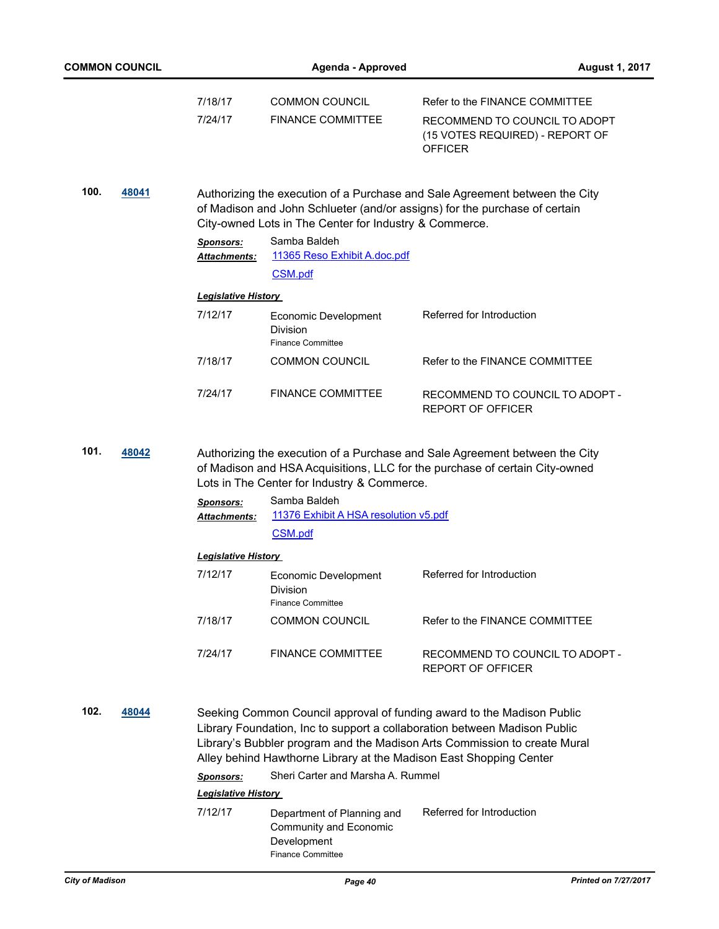| <b>COMMON COUNCIL</b> |       | <b>Agenda - Approved</b>         |                                                                                                                                                                                                                                                                                                        |                                                                                                                      | <b>August 1, 2017</b> |
|-----------------------|-------|----------------------------------|--------------------------------------------------------------------------------------------------------------------------------------------------------------------------------------------------------------------------------------------------------------------------------------------------------|----------------------------------------------------------------------------------------------------------------------|-----------------------|
|                       |       | 7/18/17<br>7/24/17               | <b>COMMON COUNCIL</b><br><b>FINANCE COMMITTEE</b>                                                                                                                                                                                                                                                      | Refer to the FINANCE COMMITTEE<br>RECOMMEND TO COUNCIL TO ADOPT<br>(15 VOTES REQUIRED) - REPORT OF<br><b>OFFICER</b> |                       |
| 100.                  | 48041 |                                  | Authorizing the execution of a Purchase and Sale Agreement between the City<br>of Madison and John Schlueter (and/or assigns) for the purchase of certain<br>City-owned Lots in The Center for Industry & Commerce.                                                                                    |                                                                                                                      |                       |
|                       |       | Sponsors:<br><b>Attachments:</b> | Samba Baldeh<br>11365 Reso Exhibit A.doc.pdf<br>CSM.pdf                                                                                                                                                                                                                                                |                                                                                                                      |                       |
|                       |       | <b>Legislative History</b>       |                                                                                                                                                                                                                                                                                                        |                                                                                                                      |                       |
|                       |       | 7/12/17                          | Economic Development<br>Division<br><b>Finance Committee</b>                                                                                                                                                                                                                                           | Referred for Introduction                                                                                            |                       |
|                       |       | 7/18/17                          | <b>COMMON COUNCIL</b>                                                                                                                                                                                                                                                                                  | Refer to the FINANCE COMMITTEE                                                                                       |                       |
|                       |       | 7/24/17                          | <b>FINANCE COMMITTEE</b>                                                                                                                                                                                                                                                                               | RECOMMEND TO COUNCIL TO ADOPT -<br><b>REPORT OF OFFICER</b>                                                          |                       |
| 101.                  | 48042 |                                  | Authorizing the execution of a Purchase and Sale Agreement between the City<br>of Madison and HSA Acquisitions, LLC for the purchase of certain City-owned<br>Lots in The Center for Industry & Commerce.                                                                                              |                                                                                                                      |                       |
|                       |       | <b>Sponsors:</b><br>Attachments: | Samba Baldeh<br>11376 Exhibit A HSA resolution v5.pdf                                                                                                                                                                                                                                                  |                                                                                                                      |                       |
|                       |       |                                  | CSM.pdf                                                                                                                                                                                                                                                                                                |                                                                                                                      |                       |
|                       |       | <u> Legislative History </u>     |                                                                                                                                                                                                                                                                                                        |                                                                                                                      |                       |
|                       |       | 7/12/17                          | Economic Development<br>Division<br><b>Finance Committee</b>                                                                                                                                                                                                                                           | Referred for Introduction                                                                                            |                       |
|                       |       | 7/18/17                          | <b>COMMON COUNCIL</b>                                                                                                                                                                                                                                                                                  | Refer to the FINANCE COMMITTEE                                                                                       |                       |
|                       |       | 7/24/17                          | <b>FINANCE COMMITTEE</b>                                                                                                                                                                                                                                                                               | RECOMMEND TO COUNCIL TO ADOPT -<br><b>REPORT OF OFFICER</b>                                                          |                       |
| 102.                  | 48044 |                                  | Seeking Common Council approval of funding award to the Madison Public<br>Library Foundation, Inc to support a collaboration between Madison Public<br>Library's Bubbler program and the Madison Arts Commission to create Mural<br>Alley behind Hawthorne Library at the Madison East Shopping Center |                                                                                                                      |                       |
|                       |       | <b>Sponsors:</b>                 | Sheri Carter and Marsha A. Rummel                                                                                                                                                                                                                                                                      |                                                                                                                      |                       |
|                       |       | <b>Legislative History</b>       |                                                                                                                                                                                                                                                                                                        |                                                                                                                      |                       |
|                       |       | 7/12/17                          | Department of Planning and<br>Community and Economic<br>Development<br><b>Finance Committee</b>                                                                                                                                                                                                        | Referred for Introduction                                                                                            |                       |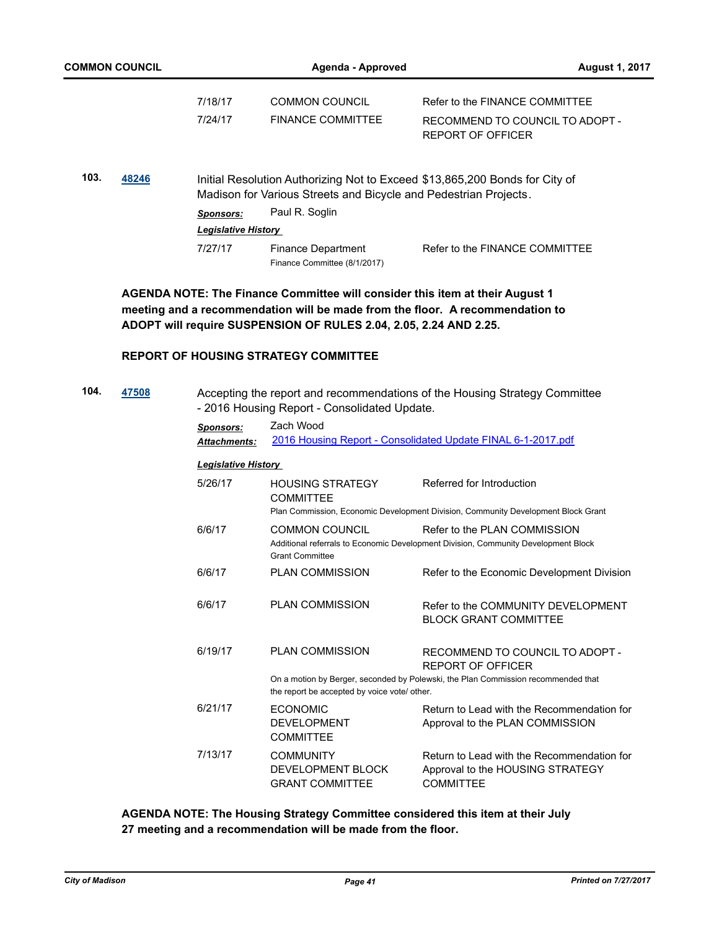| <b>COMMON COUNCIL</b> | Agenda - Approved          |                                                                  | <b>August 1, 2017</b>                                                       |
|-----------------------|----------------------------|------------------------------------------------------------------|-----------------------------------------------------------------------------|
|                       | 7/18/17                    | <b>COMMON COUNCIL</b>                                            | Refer to the FINANCE COMMITTEE                                              |
|                       | 7/24/17                    | <b>FINANCE COMMITTEE</b>                                         | RECOMMEND TO COUNCIL TO ADOPT -<br>REPORT OF OFFICER                        |
| 103.<br>48246         |                            | Madison for Various Streets and Bicycle and Pedestrian Projects. | Initial Resolution Authorizing Not to Exceed \$13,865,200 Bonds for City of |
|                       | <b>Sponsors:</b>           | Paul R. Soglin                                                   |                                                                             |
|                       | <b>Legislative History</b> |                                                                  |                                                                             |
|                       | 7/27/17                    | <b>Finance Department</b><br>Finance Committee (8/1/2017)        | Refer to the FINANCE COMMITTEE                                              |

**AGENDA NOTE: The Finance Committee will consider this item at their August 1 meeting and a recommendation will be made from the floor. A recommendation to ADOPT will require SUSPENSION OF RULES 2.04, 2.05, 2.24 AND 2.25.**

# **REPORT OF HOUSING STRATEGY COMMITTEE**

| 104. | 47508 |                            | - 2016 Housing Report - Consolidated Update.                           | Accepting the report and recommendations of the Housing Strategy Committee                                         |
|------|-------|----------------------------|------------------------------------------------------------------------|--------------------------------------------------------------------------------------------------------------------|
|      |       | <b>Sponsors:</b>           | Zach Wood                                                              |                                                                                                                    |
|      |       | <b>Attachments:</b>        |                                                                        | 2016 Housing Report - Consolidated Update FINAL 6-1-2017.pdf                                                       |
|      |       | <b>Legislative History</b> |                                                                        |                                                                                                                    |
|      |       | 5/26/17                    | <b>HOUSING STRATEGY</b><br><b>COMMITTEE</b>                            | Referred for Introduction                                                                                          |
|      |       |                            |                                                                        | Plan Commission, Economic Development Division, Community Development Block Grant                                  |
|      |       | 6/6/17                     | <b>COMMON COUNCIL</b><br><b>Grant Committee</b>                        | Refer to the PLAN COMMISSION<br>Additional referrals to Economic Development Division, Community Development Block |
|      |       | 6/6/17                     | <b>PLAN COMMISSION</b>                                                 | Refer to the Economic Development Division                                                                         |
|      |       | 6/6/17                     | <b>PLAN COMMISSION</b>                                                 | Refer to the COMMUNITY DEVELOPMENT<br><b>BLOCK GRANT COMMITTEE</b>                                                 |
|      |       | 6/19/17                    | <b>PLAN COMMISSION</b>                                                 | RECOMMEND TO COUNCIL TO ADOPT -<br><b>REPORT OF OFFICER</b>                                                        |
|      |       |                            | the report be accepted by voice vote/ other.                           | On a motion by Berger, seconded by Polewski, the Plan Commission recommended that                                  |
|      |       | 6/21/17                    | <b>ECONOMIC</b><br><b>DEVELOPMENT</b><br><b>COMMITTEE</b>              | Return to Lead with the Recommendation for<br>Approval to the PLAN COMMISSION                                      |
|      |       | 7/13/17                    | <b>COMMUNITY</b><br><b>DEVELOPMENT BLOCK</b><br><b>GRANT COMMITTEE</b> | Return to Lead with the Recommendation for<br>Approval to the HOUSING STRATEGY<br><b>COMMITTEE</b>                 |

**AGENDA NOTE: The Housing Strategy Committee considered this item at their July 27 meeting and a recommendation will be made from the floor.**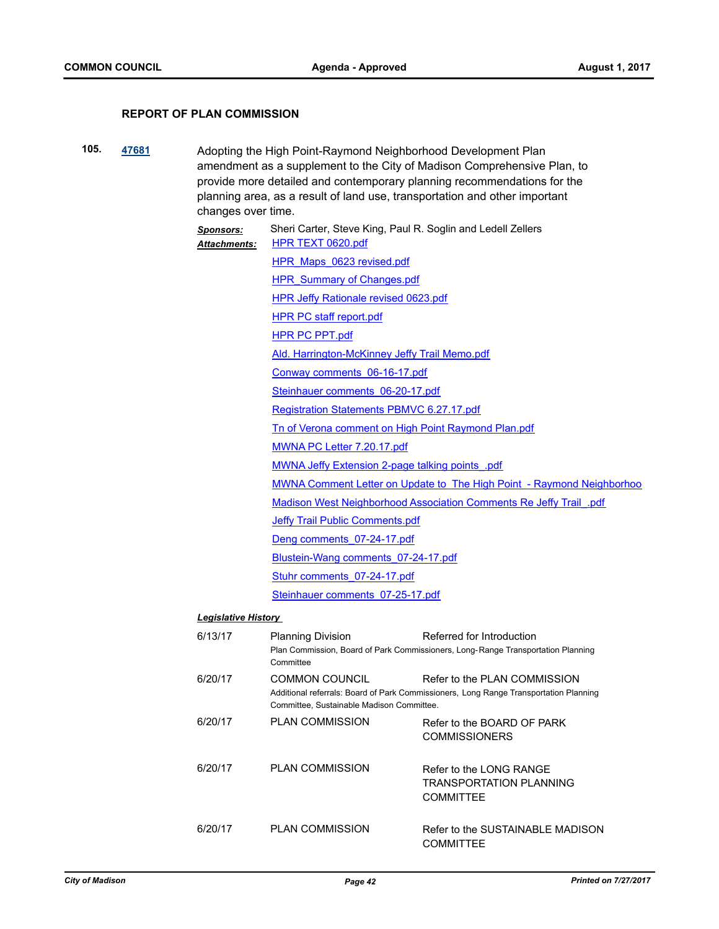#### **REPORT OF PLAN COMMISSION**

**105. [47681](http://madison.legistar.com/gateway.aspx?m=l&id=/matter.aspx?key=51637)** Adopting the High Point-Raymond Neighborhood Development Plan amendment as a supplement to the City of Madison Comprehensive Plan, to provide more detailed and contemporary planning recommendations for the planning area, as a result of land use, transportation and other important changes over time.

*Sponsors:* Sheri Carter, Steve King, Paul R. Soglin and Ledell Zellers [HPR TEXT 0620.pdf](http://madison.legistar.com/gateway.aspx?M=F&ID=578683aa-133e-49a9-a79d-b092b77cbf40.pdf) HPR Maps 0623 revised.pdf **HPR** Summary of Changes.pdf **[HPR Jeffy Rationale revised 0623.pdf](http://madison.legistar.com/gateway.aspx?M=F&ID=6f61c342-085c-4c74-97a1-304881abe793.pdf) [HPR PC staff report.pdf](http://madison.legistar.com/gateway.aspx?M=F&ID=dacb8165-c904-4e18-9c50-ac5312a77af7.pdf)** [HPR PC PPT.pdf](http://madison.legistar.com/gateway.aspx?M=F&ID=f2083b3e-93b0-4537-a60a-957f2f1c062b.pdf) [Ald. Harrington-McKinney Jeffy Trail Memo.pdf](http://madison.legistar.com/gateway.aspx?M=F&ID=b243b77f-c5c1-4066-b251-f810b3f6d75c.pdf) [Conway comments\\_06-16-17.pdf](http://madison.legistar.com/gateway.aspx?M=F&ID=20de4217-3811-499f-9443-803e538913d6.pdf) [Steinhauer comments\\_06-20-17.pdf](http://madison.legistar.com/gateway.aspx?M=F&ID=d21e4bce-18b8-4eeb-8b19-2bf2eda25482.pdf) [Registration Statements PBMVC 6.27.17.pdf](http://madison.legistar.com/gateway.aspx?M=F&ID=2f19fd86-32fe-43e0-9120-79dc833b9300.pdf) [Tn of Verona comment on High Point Raymond Plan.pdf](http://madison.legistar.com/gateway.aspx?M=F&ID=4be4d592-a531-411c-a59e-f4bdd08f4858.pdf) [MWNA PC Letter 7.20.17.pdf](http://madison.legistar.com/gateway.aspx?M=F&ID=20ecc694-4910-45be-a6e2-fa18a99c4be8.pdf) [MWNA Jeffy Extension 2-page talking points\\_.pdf](http://madison.legistar.com/gateway.aspx?M=F&ID=d2dce77f-049d-42e1-b4e6-af9143dc8c8f.pdf) [MWNA Comment Letter on Update to The High Point - Raymond Neighborhoo](http://madison.legistar.com/gateway.aspx?M=F&ID=753b82da-5e71-4733-b5f1-2620d2bb72ed.pdf) [Madison West Neighborhood Association Comments Re Jeffy Trail\\_.pdf](http://madison.legistar.com/gateway.aspx?M=F&ID=0c3015b7-8c7f-4cde-bc12-5dc8a75d4c32.pdf) [Jeffy Trail Public Comments.pdf](http://madison.legistar.com/gateway.aspx?M=F&ID=d6145bc9-1b33-45ec-9453-cb653d3c2ec5.pdf) [Deng comments\\_07-24-17.pdf](http://madison.legistar.com/gateway.aspx?M=F&ID=e74d0030-0ede-4e2f-95be-8500662c46a4.pdf) [Blustein-Wang comments\\_07-24-17.pdf](http://madison.legistar.com/gateway.aspx?M=F&ID=6a391d03-5edc-439a-90f5-9a5b41cff57c.pdf) [Stuhr comments\\_07-24-17.pdf](http://madison.legistar.com/gateway.aspx?M=F&ID=182f23ca-3cbc-4d62-9326-7c3500a257a9.pdf) [Steinhauer comments\\_07-25-17.pdf](http://madison.legistar.com/gateway.aspx?M=F&ID=4a34754f-e051-41b3-a86a-6b434d2b10b3.pdf) *Attachments: Legislative History* 

|  | <b>Legislative History</b> |
|--|----------------------------|
|  |                            |

| 6/13/17 | <b>Planning Division</b><br>Committee                       | Referred for Introduction<br>Plan Commission, Board of Park Commissioners, Long-Range Transportation Planning         |
|---------|-------------------------------------------------------------|-----------------------------------------------------------------------------------------------------------------------|
| 6/20/17 | COMMON COUNCIL<br>Committee, Sustainable Madison Committee. | Refer to the PLAN COMMISSION<br>Additional referrals: Board of Park Commissioners, Long Range Transportation Planning |
| 6/20/17 | <b>PLAN COMMISSION</b>                                      | Refer to the BOARD OF PARK<br><b>COMMISSIONERS</b>                                                                    |
| 6/20/17 | <b>PLAN COMMISSION</b>                                      | Refer to the LONG RANGE<br>TRANSPORTATION PLANNING<br><b>COMMITTEE</b>                                                |
| 6/20/17 | <b>PLAN COMMISSION</b>                                      | Refer to the SUSTAINABLE MADISON<br><b>COMMITTEE</b>                                                                  |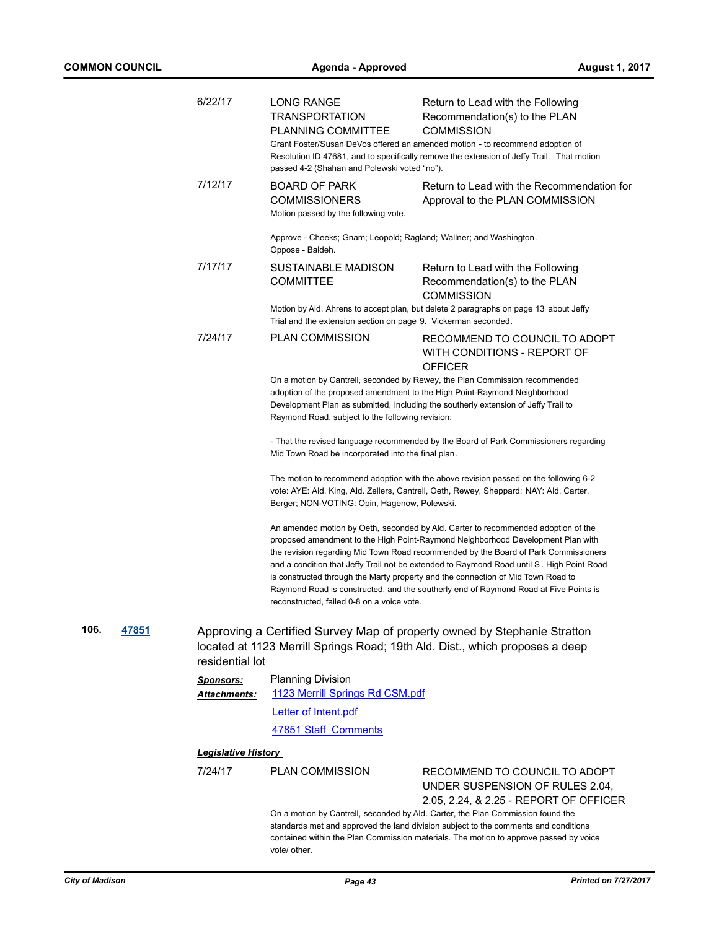|                      | 6/22/17                    | <b>LONG RANGE</b><br><b>TRANSPORTATION</b><br>PLANNING COMMITTEE<br>passed 4-2 (Shahan and Polewski voted "no").              | Return to Lead with the Following<br>Recommendation(s) to the PLAN<br><b>COMMISSION</b><br>Grant Foster/Susan DeVos offered an amended motion - to recommend adoption of<br>Resolution ID 47681, and to specifically remove the extension of Jeffy Trail. That motion                                                                                                                                                                                                                                                                |
|----------------------|----------------------------|-------------------------------------------------------------------------------------------------------------------------------|--------------------------------------------------------------------------------------------------------------------------------------------------------------------------------------------------------------------------------------------------------------------------------------------------------------------------------------------------------------------------------------------------------------------------------------------------------------------------------------------------------------------------------------|
|                      | 7/12/17                    | <b>BOARD OF PARK</b><br><b>COMMISSIONERS</b><br>Motion passed by the following vote.                                          | Return to Lead with the Recommendation for<br>Approval to the PLAN COMMISSION                                                                                                                                                                                                                                                                                                                                                                                                                                                        |
|                      |                            | Approve - Cheeks; Gnam; Leopold; Ragland; Wallner; and Washington.<br>Oppose - Baldeh.                                        |                                                                                                                                                                                                                                                                                                                                                                                                                                                                                                                                      |
|                      | 7/17/17                    | SUSTAINABLE MADISON<br><b>COMMITTEE</b>                                                                                       | Return to Lead with the Following<br>Recommendation(s) to the PLAN<br><b>COMMISSION</b>                                                                                                                                                                                                                                                                                                                                                                                                                                              |
|                      |                            | Trial and the extension section on page 9. Vickerman seconded.                                                                | Motion by Ald. Ahrens to accept plan, but delete 2 paragraphs on page 13 about Jeffy                                                                                                                                                                                                                                                                                                                                                                                                                                                 |
|                      | 7/24/17                    | <b>PLAN COMMISSION</b>                                                                                                        | RECOMMEND TO COUNCIL TO ADOPT<br>WITH CONDITIONS - REPORT OF<br><b>OFFICER</b>                                                                                                                                                                                                                                                                                                                                                                                                                                                       |
|                      |                            | adoption of the proposed amendment to the High Point-Raymond Neighborhood<br>Raymond Road, subject to the following revision: | On a motion by Cantrell, seconded by Rewey, the Plan Commission recommended<br>Development Plan as submitted, including the southerly extension of Jeffy Trail to                                                                                                                                                                                                                                                                                                                                                                    |
|                      |                            | Mid Town Road be incorporated into the final plan.                                                                            | - That the revised language recommended by the Board of Park Commissioners regarding                                                                                                                                                                                                                                                                                                                                                                                                                                                 |
|                      |                            | Berger; NON-VOTING: Opin, Hagenow, Polewski.                                                                                  | The motion to recommend adoption with the above revision passed on the following 6-2<br>vote: AYE: Ald. King, Ald. Zellers, Cantrell, Oeth, Rewey, Sheppard; NAY: Ald. Carter,                                                                                                                                                                                                                                                                                                                                                       |
|                      |                            | reconstructed, failed 0-8 on a voice vote.                                                                                    | An amended motion by Oeth, seconded by Ald. Carter to recommended adoption of the<br>proposed amendment to the High Point-Raymond Neighborhood Development Plan with<br>the revision regarding Mid Town Road recommended by the Board of Park Commissioners<br>and a condition that Jeffy Trail not be extended to Raymond Road until S. High Point Road<br>is constructed through the Marty property and the connection of Mid Town Road to<br>Raymond Road is constructed, and the southerly end of Raymond Road at Five Points is |
| 106.<br><u>47851</u> | residential lot            |                                                                                                                               | Approving a Certified Survey Map of property owned by Stephanie Stratton<br>located at 1123 Merrill Springs Road; 19th Ald. Dist., which proposes a deep                                                                                                                                                                                                                                                                                                                                                                             |
|                      | Sponsors:<br>Attachments:  | <b>Planning Division</b><br>1123 Merrill Springs Rd CSM.pdf                                                                   |                                                                                                                                                                                                                                                                                                                                                                                                                                                                                                                                      |
|                      |                            | Letter of Intent.pdf                                                                                                          |                                                                                                                                                                                                                                                                                                                                                                                                                                                                                                                                      |
|                      |                            | 47851 Staff Comments                                                                                                          |                                                                                                                                                                                                                                                                                                                                                                                                                                                                                                                                      |
|                      | <b>Legislative History</b> |                                                                                                                               |                                                                                                                                                                                                                                                                                                                                                                                                                                                                                                                                      |
|                      | 7/24/17                    | <b>PLAN COMMISSION</b>                                                                                                        | RECOMMEND TO COUNCIL TO ADOPT<br>UNDER SUSPENSION OF RULES 2.04,<br>2.05, 2.24, & 2.25 - REPORT OF OFFICER                                                                                                                                                                                                                                                                                                                                                                                                                           |
|                      |                            | vote/ other.                                                                                                                  | On a motion by Cantrell, seconded by Ald. Carter, the Plan Commission found the<br>standards met and approved the land division subject to the comments and conditions<br>contained within the Plan Commission materials. The motion to approve passed by voice                                                                                                                                                                                                                                                                      |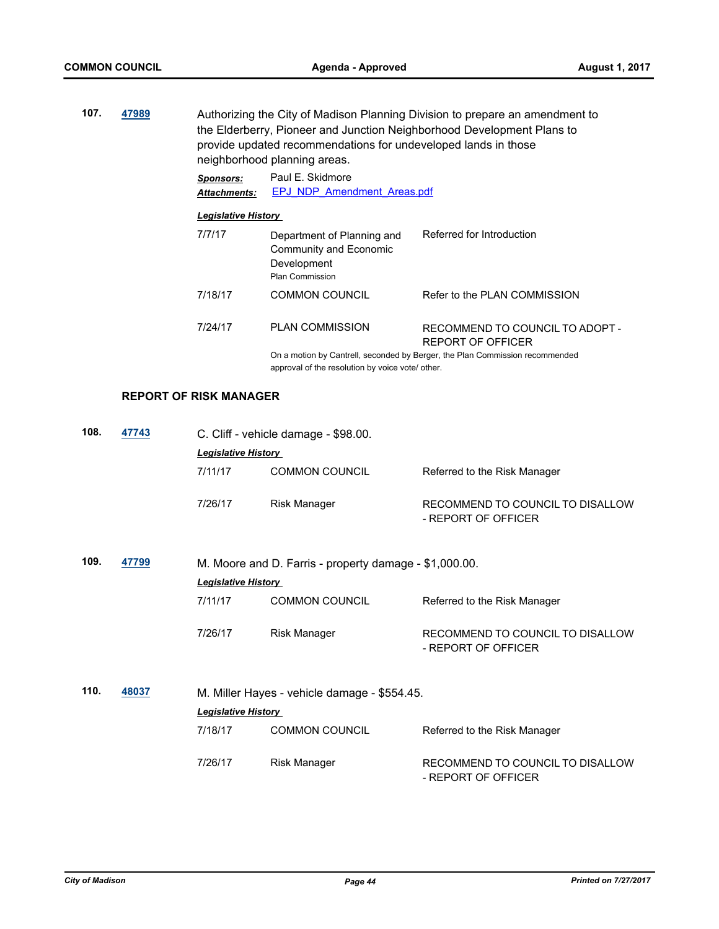**107. [47989](http://madison.legistar.com/gateway.aspx?m=l&id=/matter.aspx?key=51927)** Authorizing the City of Madison Planning Division to prepare an amendment to the Elderberry, Pioneer and Junction Neighborhood Development Plans to provide updated recommendations for undeveloped lands in those neighborhood planning areas.

> *Sponsors:* Paul E. Skidmore *Attachments:* [EPJ\\_NDP\\_Amendment\\_Areas.pdf](http://madison.legistar.com/gateway.aspx?M=F&ID=2d0911b3-be9b-4975-a0a7-7d98bf8509c9.pdf)

#### *Legislative History*

| 7/7/17  | Department of Planning and<br>Community and Economic<br>Development<br><b>Plan Commission</b> | Referred for Introduction                                                    |
|---------|-----------------------------------------------------------------------------------------------|------------------------------------------------------------------------------|
| 7/18/17 | <b>COMMON COUNCIL</b>                                                                         | Refer to the PLAN COMMISSION                                                 |
| 7/24/17 | <b>PLAN COMMISSION</b>                                                                        | RECOMMEND TO COUNCIL TO ADOPT -<br>REPORT OF OFFICER                         |
|         |                                                                                               | On a motion by Cantrell, seconded by Berger, the Plan Commission recommended |

On a motion by Cantrell, seconded by Berger, the Plan Commission recommended approval of the resolution by voice vote/ other.

# **REPORT OF RISK MANAGER**

| 108. | 47743 | C. Cliff - vehicle damage - \$98.00.                                                 |                                              |                                                         |  |  |
|------|-------|--------------------------------------------------------------------------------------|----------------------------------------------|---------------------------------------------------------|--|--|
|      |       | <b>Legislative History</b>                                                           |                                              |                                                         |  |  |
|      |       | 7/11/17                                                                              | <b>COMMON COUNCIL</b>                        | Referred to the Risk Manager                            |  |  |
|      |       | 7/26/17                                                                              | <b>Risk Manager</b>                          | RECOMMEND TO COUNCIL TO DISALLOW<br>- REPORT OF OFFICER |  |  |
| 109. | 47799 | M. Moore and D. Farris - property damage - \$1,000.00.<br><b>Legislative History</b> |                                              |                                                         |  |  |
|      |       | 7/11/17                                                                              | <b>COMMON COUNCIL</b>                        | Referred to the Risk Manager                            |  |  |
|      |       | 7/26/17                                                                              | <b>Risk Manager</b>                          | RECOMMEND TO COUNCIL TO DISALLOW<br>- REPORT OF OFFICER |  |  |
| 110. | 48037 |                                                                                      | M. Miller Hayes - vehicle damage - \$554.45. |                                                         |  |  |
|      |       | <b>Legislative History</b>                                                           |                                              |                                                         |  |  |
|      |       | 7/18/17                                                                              | <b>COMMON COUNCIL</b>                        | Referred to the Risk Manager                            |  |  |
|      |       | 7/26/17                                                                              | <b>Risk Manager</b>                          | RECOMMEND TO COUNCIL TO DISALLOW<br>- REPORT OF OFFICER |  |  |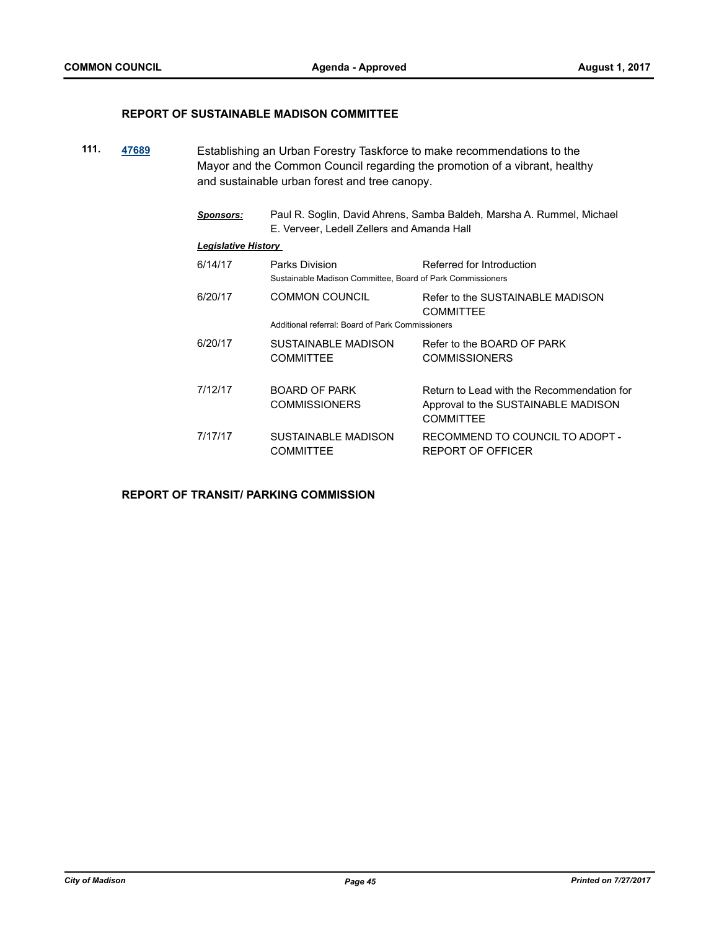#### **REPORT OF SUSTAINABLE MADISON COMMITTEE**

- **111. [47689](http://madison.legistar.com/gateway.aspx?m=l&id=/matter.aspx?key=51641)** Establishing an Urban Forestry Taskforce to make recommendations to the Mayor and the Common Council regarding the promotion of a vibrant, healthy and sustainable urban forest and tree canopy.
	- *Sponsors:* Paul R. Soglin, David Ahrens, Samba Baldeh, Marsha A. Rummel, Michael E. Verveer, Ledell Zellers and Amanda Hall

#### *Legislative History*

| 6/14/17 | Parks Division<br>Sustainable Madison Committee, Board of Park Commissioners | Referred for Introduction                                                                      |
|---------|------------------------------------------------------------------------------|------------------------------------------------------------------------------------------------|
| 6/20/17 | <b>COMMON COUNCIL</b><br>Additional referral: Board of Park Commissioners    | Refer to the SUSTAINABLE MADISON<br><b>COMMITTEE</b>                                           |
| 6/20/17 | SUSTAINABLE MADISON<br><b>COMMITTEE</b>                                      | Refer to the BOARD OF PARK<br><b>COMMISSIONERS</b>                                             |
| 7/12/17 | BOARD OF PARK<br><b>COMMISSIONERS</b>                                        | Return to Lead with the Recommendation for<br>Approval to the SUSTAINABLE MADISON<br>COMMITTEE |
| 7/17/17 | <b>SUSTAINABLE MADISON</b><br>COMMITTEE                                      | RECOMMEND TO COUNCIL TO ADOPT -<br>REPORT OF OFFICER                                           |

#### **REPORT OF TRANSIT/ PARKING COMMISSION**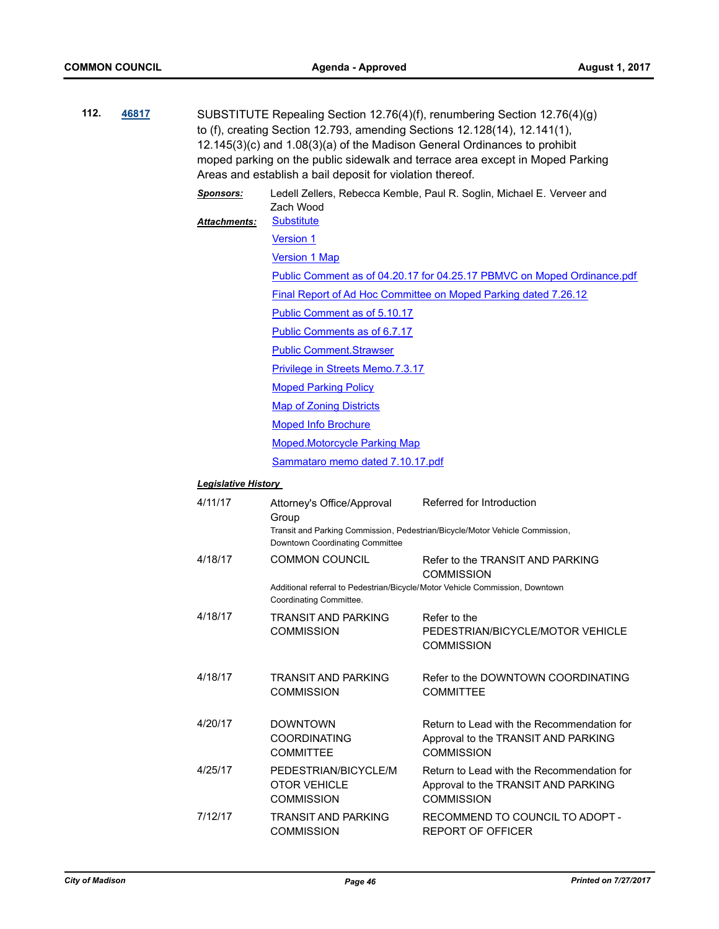| 112. | 46817 |                                  | Areas and establish a bail deposit for violation thereof.        | SUBSTITUTE Repealing Section 12.76(4)(f), renumbering Section 12.76(4)(g)<br>to (f), creating Section 12.793, amending Sections 12.128(14), 12.141(1),<br>12.145(3)(c) and 1.08(3)(a) of the Madison General Ordinances to prohibit<br>moped parking on the public sidewalk and terrace area except in Moped Parking |
|------|-------|----------------------------------|------------------------------------------------------------------|----------------------------------------------------------------------------------------------------------------------------------------------------------------------------------------------------------------------------------------------------------------------------------------------------------------------|
|      |       | <b>Sponsors:</b><br>Attachments: | Zach Wood<br><b>Substitute</b>                                   | Ledell Zellers, Rebecca Kemble, Paul R. Soglin, Michael E. Verveer and                                                                                                                                                                                                                                               |
|      |       |                                  | <b>Version 1</b>                                                 |                                                                                                                                                                                                                                                                                                                      |
|      |       |                                  | <b>Version 1 Map</b>                                             |                                                                                                                                                                                                                                                                                                                      |
|      |       |                                  |                                                                  | Public Comment as of 04.20.17 for 04.25.17 PBMVC on Moped Ordinance.pdf                                                                                                                                                                                                                                              |
|      |       |                                  |                                                                  | Final Report of Ad Hoc Committee on Moped Parking dated 7.26.12                                                                                                                                                                                                                                                      |
|      |       |                                  | Public Comment as of 5.10.17                                     |                                                                                                                                                                                                                                                                                                                      |
|      |       |                                  | Public Comments as of 6.7.17                                     |                                                                                                                                                                                                                                                                                                                      |
|      |       |                                  | <b>Public Comment.Strawser</b>                                   |                                                                                                                                                                                                                                                                                                                      |
|      |       |                                  | <b>Privilege in Streets Memo.7.3.17</b>                          |                                                                                                                                                                                                                                                                                                                      |
|      |       |                                  | <b>Moped Parking Policy</b>                                      |                                                                                                                                                                                                                                                                                                                      |
|      |       |                                  | <b>Map of Zoning Districts</b>                                   |                                                                                                                                                                                                                                                                                                                      |
|      |       |                                  | <b>Moped Info Brochure</b>                                       |                                                                                                                                                                                                                                                                                                                      |
|      |       |                                  | Moped.Motorcycle Parking Map                                     |                                                                                                                                                                                                                                                                                                                      |
|      |       |                                  | Sammataro memo dated 7.10.17.pdf                                 |                                                                                                                                                                                                                                                                                                                      |
|      |       | Legislative History              |                                                                  |                                                                                                                                                                                                                                                                                                                      |
|      |       | 4/11/17                          | Attorney's Office/Approval                                       | Referred for Introduction                                                                                                                                                                                                                                                                                            |
|      |       |                                  | Group<br>Downtown Coordinating Committee                         | Transit and Parking Commission, Pedestrian/Bicycle/Motor Vehicle Commission,                                                                                                                                                                                                                                         |
|      |       | 4/18/17                          | <b>COMMON COUNCIL</b>                                            | Refer to the TRANSIT AND PARKING<br><b>COMMISSION</b>                                                                                                                                                                                                                                                                |
|      |       |                                  | Coordinating Committee.                                          | Additional referral to Pedestrian/Bicycle/Motor Vehicle Commission, Downtown                                                                                                                                                                                                                                         |
|      |       | 4/18/17                          | TRANSIT AND PARKING<br><b>COMMISSION</b>                         | Refer to the<br>PEDESTRIAN/BICYCLE/MOTOR VEHICLE<br><b>COMMISSION</b>                                                                                                                                                                                                                                                |
|      |       | 4/18/17                          | <b>TRANSIT AND PARKING</b><br><b>COMMISSION</b>                  | Refer to the DOWNTOWN COORDINATING<br><b>COMMITTEE</b>                                                                                                                                                                                                                                                               |
|      |       | 4/20/17                          | <b>DOWNTOWN</b><br><b>COORDINATING</b><br><b>COMMITTEE</b>       | Return to Lead with the Recommendation for<br>Approval to the TRANSIT AND PARKING<br><b>COMMISSION</b>                                                                                                                                                                                                               |
|      |       | 4/25/17                          | PEDESTRIAN/BICYCLE/M<br><b>OTOR VEHICLE</b><br><b>COMMISSION</b> | Return to Lead with the Recommendation for<br>Approval to the TRANSIT AND PARKING<br><b>COMMISSION</b>                                                                                                                                                                                                               |
|      |       | 7/12/17                          | TRANSIT AND PARKING<br><b>COMMISSION</b>                         | RECOMMEND TO COUNCIL TO ADOPT -<br>REPORT OF OFFICER                                                                                                                                                                                                                                                                 |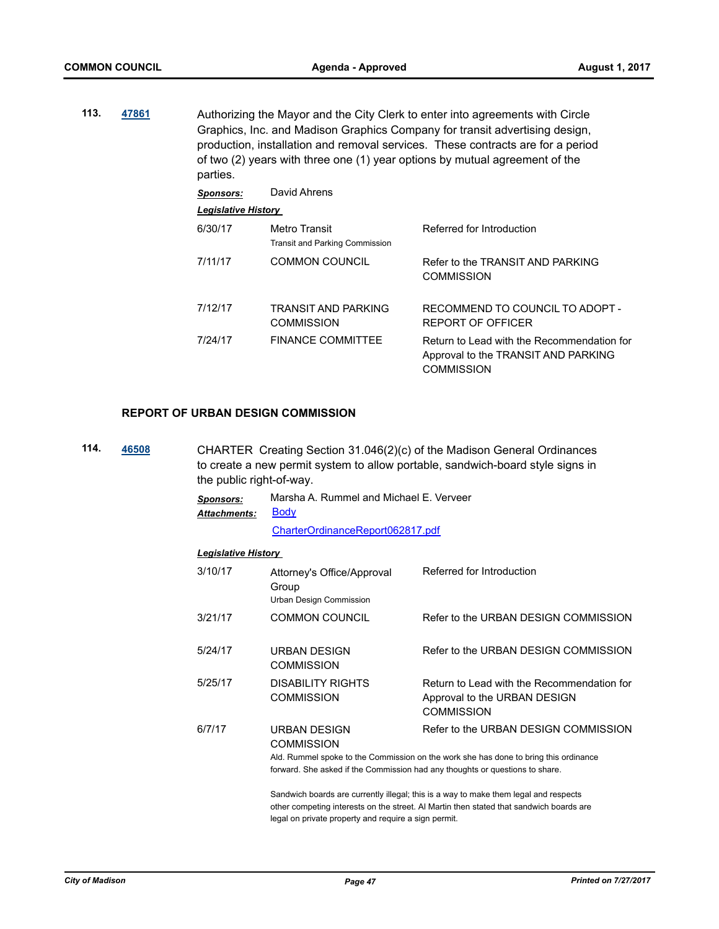**113. [47861](http://madison.legistar.com/gateway.aspx?m=l&id=/matter.aspx?key=51809)** Authorizing the Mayor and the City Clerk to enter into agreements with Circle Graphics, Inc. and Madison Graphics Company for transit advertising design, production, installation and removal services. These contracts are for a period of two (2) years with three one (1) year options by mutual agreement of the parties. *Sponsors:* David Ahrens *Legislative History*  6/30/17 Metro Transit Referred for Introduction Transit and Parking Commission 7/11/17 COMMON COUNCIL Refer to the TRANSIT AND PARKING **COMMISSION** 7/12/17 TRANSIT AND PARKING **COMMISSION** RECOMMEND TO COUNCIL TO ADOPT - REPORT OF OFFICER

7/24/17 FINANCE COMMITTEE Return to Lead with the Recommendation for Approval to the TRANSIT AND PARKING **COMMISSION** 

#### **REPORT OF URBAN DESIGN COMMISSION**

**114. [46508](http://madison.legistar.com/gateway.aspx?m=l&id=/matter.aspx?key=50522)** CHARTER Creating Section 31.046(2)(c) of the Madison General Ordinances to create a new permit system to allow portable, sandwich-board style signs in the public right-of-way.

| Sponsors:    | Marsha A. Rummel and Michael E. Verveer |
|--------------|-----------------------------------------|
| Attachments: | <b>Body</b>                             |

[CharterOrdinanceReport062817.pdf](http://madison.legistar.com/gateway.aspx?M=F&ID=26166981-89ed-43b9-b02a-d91b83398f00.pdf)

#### *Legislative History*

| 3/10/17 | Attorney's Office/Approval<br>Group<br>Urban Design Commission                                                           | Referred for Introduction                                                                                                    |
|---------|--------------------------------------------------------------------------------------------------------------------------|------------------------------------------------------------------------------------------------------------------------------|
| 3/21/17 | <b>COMMON COUNCIL</b>                                                                                                    | Refer to the URBAN DESIGN COMMISSION                                                                                         |
| 5/24/17 | URBAN DESIGN<br><b>COMMISSION</b>                                                                                        | Refer to the URBAN DESIGN COMMISSION                                                                                         |
| 5/25/17 | DISABILITY RIGHTS<br><b>COMMISSION</b>                                                                                   | Return to Lead with the Recommendation for<br>Approval to the URBAN DESIGN<br><b>COMMISSION</b>                              |
| 6/7/17  | <b>URBAN DESIGN</b><br><b>COMMISSION</b><br>forward. She asked if the Commission had any thoughts or questions to share. | Refer to the URBAN DESIGN COMMISSION<br>Ald. Rummel spoke to the Commission on the work she has done to bring this ordinance |

Sandwich boards are currently illegal; this is a way to make them legal and respects

other competing interests on the street. Al Martin then stated that sandwich boards are legal on private property and require a sign permit.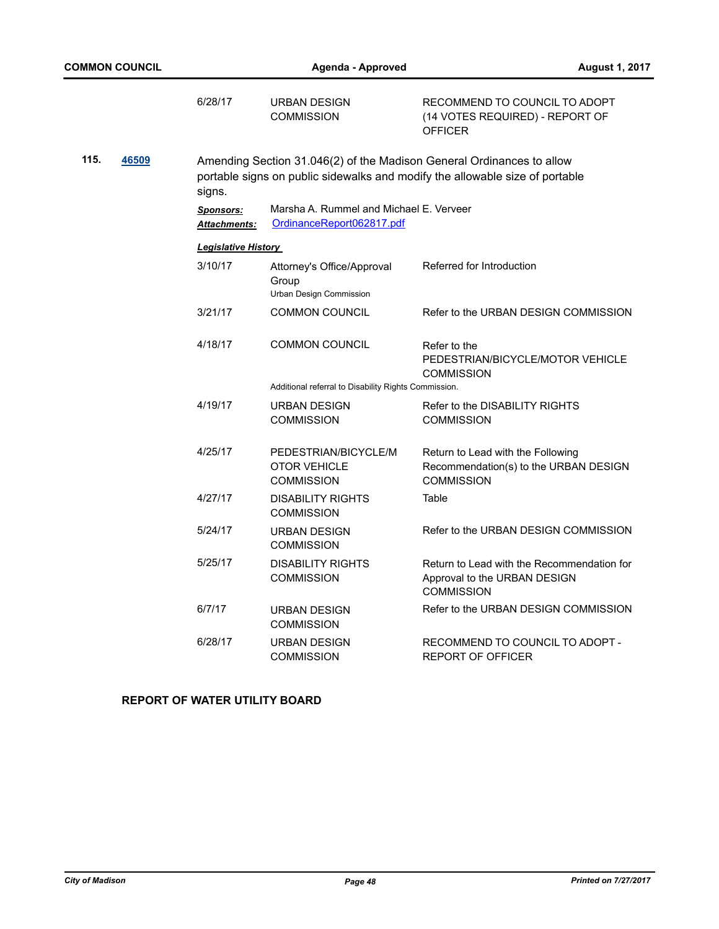|      |       | 6/28/17                                  | <b>URBAN DESIGN</b><br><b>COMMISSION</b>                                                                                                              | RECOMMEND TO COUNCIL TO ADOPT<br>(14 VOTES REQUIRED) - REPORT OF<br><b>OFFICER</b>              |  |  |  |
|------|-------|------------------------------------------|-------------------------------------------------------------------------------------------------------------------------------------------------------|-------------------------------------------------------------------------------------------------|--|--|--|
| 115. | 46509 | signs.                                   | Amending Section 31.046(2) of the Madison General Ordinances to allow<br>portable signs on public sidewalks and modify the allowable size of portable |                                                                                                 |  |  |  |
|      |       | <b>Sponsors:</b><br><u> Attachments:</u> | Marsha A. Rummel and Michael E. Verveer<br>OrdinanceReport062817.pdf                                                                                  |                                                                                                 |  |  |  |
|      |       | <b>Legislative History</b>               |                                                                                                                                                       |                                                                                                 |  |  |  |
|      |       | 3/10/17                                  | Attorney's Office/Approval<br>Group<br>Urban Design Commission                                                                                        | Referred for Introduction                                                                       |  |  |  |
|      |       | 3/21/17                                  | <b>COMMON COUNCIL</b>                                                                                                                                 | Refer to the URBAN DESIGN COMMISSION                                                            |  |  |  |
|      |       | 4/18/17                                  | <b>COMMON COUNCIL</b>                                                                                                                                 | Refer to the<br>PEDESTRIAN/BICYCLE/MOTOR VEHICLE<br><b>COMMISSION</b>                           |  |  |  |
|      |       |                                          | Additional referral to Disability Rights Commission.                                                                                                  |                                                                                                 |  |  |  |
|      |       | 4/19/17                                  | URBAN DESIGN<br><b>COMMISSION</b>                                                                                                                     | Refer to the DISABILITY RIGHTS<br><b>COMMISSION</b>                                             |  |  |  |
|      |       | 4/25/17                                  | PEDESTRIAN/BICYCLE/M<br><b>OTOR VEHICLE</b><br><b>COMMISSION</b>                                                                                      | Return to Lead with the Following<br>Recommendation(s) to the URBAN DESIGN<br><b>COMMISSION</b> |  |  |  |
|      |       | 4/27/17                                  | <b>DISABILITY RIGHTS</b><br><b>COMMISSION</b>                                                                                                         | Table                                                                                           |  |  |  |
|      |       | 5/24/17                                  | <b>URBAN DESIGN</b><br><b>COMMISSION</b>                                                                                                              | Refer to the URBAN DESIGN COMMISSION                                                            |  |  |  |
|      |       | 5/25/17                                  | <b>DISABILITY RIGHTS</b><br><b>COMMISSION</b>                                                                                                         | Return to Lead with the Recommendation for<br>Approval to the URBAN DESIGN<br><b>COMMISSION</b> |  |  |  |
|      |       | 6/7/17                                   | URBAN DESIGN<br><b>COMMISSION</b>                                                                                                                     | Refer to the URBAN DESIGN COMMISSION                                                            |  |  |  |
|      |       | 6/28/17                                  | <b>URBAN DESIGN</b><br><b>COMMISSION</b>                                                                                                              | RECOMMEND TO COUNCIL TO ADOPT -<br><b>REPORT OF OFFICER</b>                                     |  |  |  |

# **REPORT OF WATER UTILITY BOARD**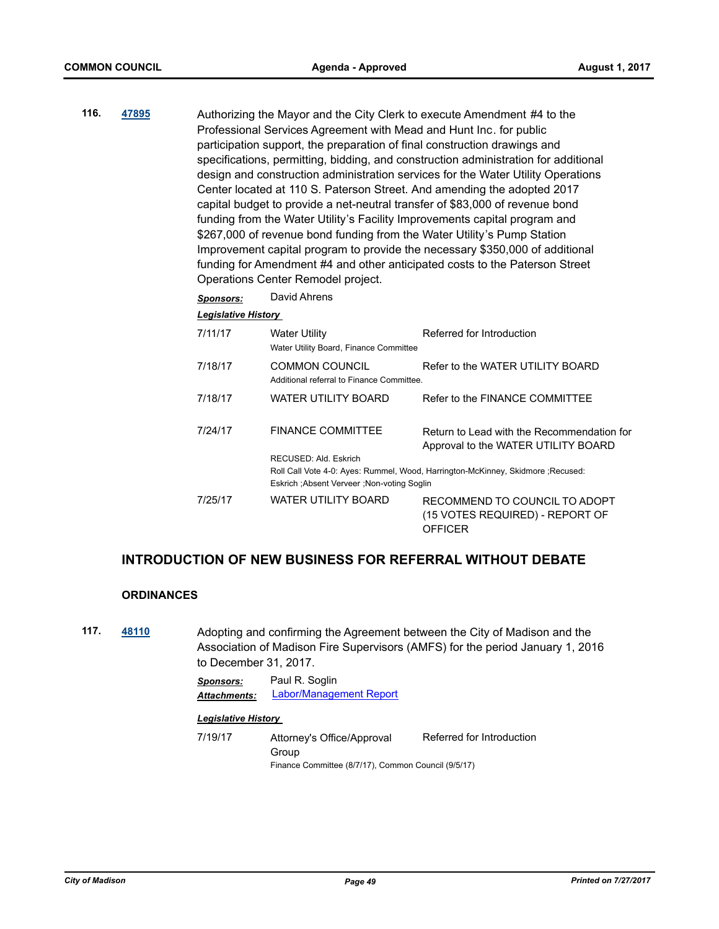**116. [47895](http://madison.legistar.com/gateway.aspx?m=l&id=/matter.aspx?key=51840)** Authorizing the Mayor and the City Clerk to execute Amendment #4 to the Professional Services Agreement with Mead and Hunt Inc. for public participation support, the preparation of final construction drawings and specifications, permitting, bidding, and construction administration for additional design and construction administration services for the Water Utility Operations Center located at 110 S. Paterson Street. And amending the adopted 2017 capital budget to provide a net-neutral transfer of \$83,000 of revenue bond funding from the Water Utility's Facility Improvements capital program and \$267,000 of revenue bond funding from the Water Utility's Pump Station Improvement capital program to provide the necessary \$350,000 of additional funding for Amendment #4 and other anticipated costs to the Paterson Street Operations Center Remodel project.

| David Ahrens<br><b>Sponsors:</b> |
|----------------------------------|
|----------------------------------|

*Legislative History* 

| 7/11/17 | <b>Water Utility</b><br>Water Utility Board, Finance Committee | Referred for Introduction                                                         |
|---------|----------------------------------------------------------------|-----------------------------------------------------------------------------------|
| 7/18/17 | COMMON COUNCIL<br>Additional referral to Finance Committee.    | Refer to the WATER UTILITY BOARD                                                  |
| 7/18/17 | WATER UTILITY BOARD                                            | Refer to the FINANCE COMMITTEE                                                    |
| 7/24/17 | <b>FINANCE COMMITTEE</b><br>RECUSED: Ald. Eskrich              | Return to Lead with the Recommendation for<br>Approval to the WATER UTILITY BOARD |
|         | Eskrich ; Absent Verveer ; Non-voting Soglin                   | Roll Call Vote 4-0: Ayes: Rummel, Wood, Harrington-McKinney, Skidmore ; Recused:  |
| 7/25/17 | <b>WATER UTILITY BOARD</b>                                     | RECOMMEND TO COUNCIL TO ADOPT<br>(15 VOTES REQUIRED) - REPORT OF<br>OFFICER       |

# **INTRODUCTION OF NEW BUSINESS FOR REFERRAL WITHOUT DEBATE**

#### **ORDINANCES**

**117. [48110](http://madison.legistar.com/gateway.aspx?m=l&id=/matter.aspx?key=52034)** Adopting and confirming the Agreement between the City of Madison and the Association of Madison Fire Supervisors (AMFS) for the period January 1, 2016 to December 31, 2017.

> *Sponsors:* Paul R. Soglin *Attachments:* [Labor/Management Report](http://madison.legistar.com/gateway.aspx?M=F&ID=f6cda823-9e84-4f38-bb29-ba9f19184e45.doc)

#### *Legislative History*

7/19/17 Attorney's Office/Approval Group Referred for Introduction Finance Committee (8/7/17), Common Council (9/5/17)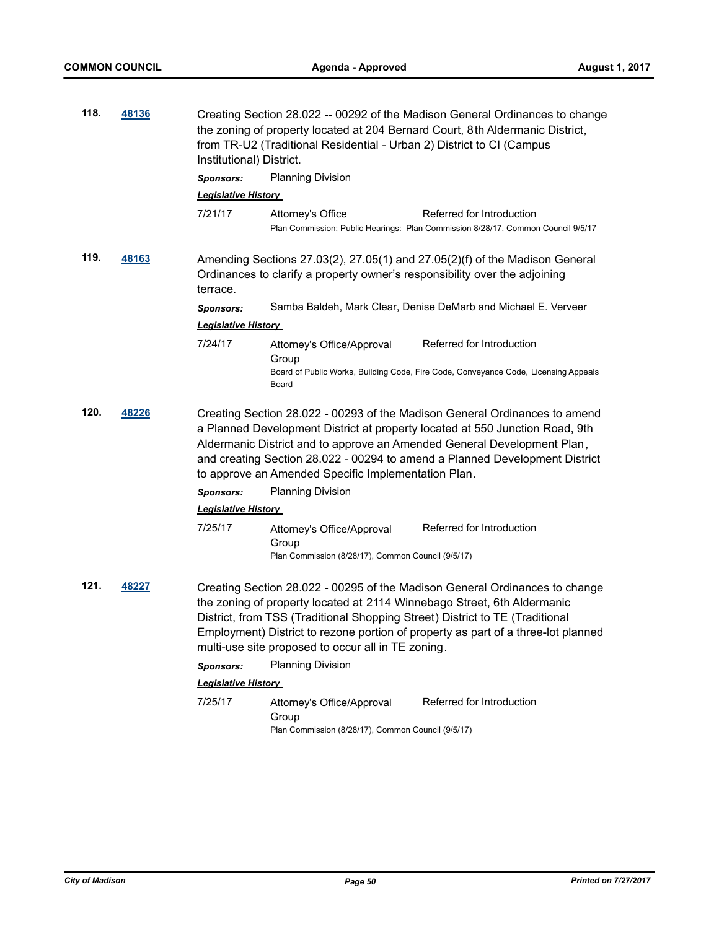| 118.          | 48136        | Creating Section 28.022 -- 00292 of the Madison General Ordinances to change<br>the zoning of property located at 204 Bernard Court, 8th Aldermanic District,<br>from TR-U2 (Traditional Residential - Urban 2) District to CI (Campus<br>Institutional) District. |                                                                                           |                                                                                                                                                                                                                                                                                                                             |  |
|---------------|--------------|--------------------------------------------------------------------------------------------------------------------------------------------------------------------------------------------------------------------------------------------------------------------|-------------------------------------------------------------------------------------------|-----------------------------------------------------------------------------------------------------------------------------------------------------------------------------------------------------------------------------------------------------------------------------------------------------------------------------|--|
|               |              | <b>Sponsors:</b>                                                                                                                                                                                                                                                   | <b>Planning Division</b>                                                                  |                                                                                                                                                                                                                                                                                                                             |  |
|               |              | <b>Legislative History</b>                                                                                                                                                                                                                                         |                                                                                           |                                                                                                                                                                                                                                                                                                                             |  |
|               |              | 7/21/17                                                                                                                                                                                                                                                            | Attorney's Office                                                                         | Referred for Introduction<br>Plan Commission; Public Hearings: Plan Commission 8/28/17, Common Council 9/5/17                                                                                                                                                                                                               |  |
| 119.          | <u>48163</u> | Amending Sections 27.03(2), 27.05(1) and 27.05(2)(f) of the Madison General<br>Ordinances to clarify a property owner's responsibility over the adjoining<br>terrace.                                                                                              |                                                                                           |                                                                                                                                                                                                                                                                                                                             |  |
|               |              | <b>Sponsors:</b>                                                                                                                                                                                                                                                   |                                                                                           | Samba Baldeh, Mark Clear, Denise DeMarb and Michael E. Verveer                                                                                                                                                                                                                                                              |  |
|               |              | <b>Legislative History</b>                                                                                                                                                                                                                                         |                                                                                           |                                                                                                                                                                                                                                                                                                                             |  |
|               |              | 7/24/17                                                                                                                                                                                                                                                            | Attorney's Office/Approval<br>Group<br>Board                                              | Referred for Introduction<br>Board of Public Works, Building Code, Fire Code, Conveyance Code, Licensing Appeals                                                                                                                                                                                                            |  |
| 120.<br>48226 |              |                                                                                                                                                                                                                                                                    | to approve an Amended Specific Implementation Plan.                                       | Creating Section 28.022 - 00293 of the Madison General Ordinances to amend<br>a Planned Development District at property located at 550 Junction Road, 9th<br>Aldermanic District and to approve an Amended General Development Plan,<br>and creating Section 28.022 - 00294 to amend a Planned Development District        |  |
|               |              | <b>Sponsors:</b>                                                                                                                                                                                                                                                   | <b>Planning Division</b>                                                                  |                                                                                                                                                                                                                                                                                                                             |  |
|               |              | <b>Legislative History</b>                                                                                                                                                                                                                                         |                                                                                           |                                                                                                                                                                                                                                                                                                                             |  |
|               |              | 7/25/17                                                                                                                                                                                                                                                            | Attorney's Office/Approval<br>Group<br>Plan Commission (8/28/17), Common Council (9/5/17) | Referred for Introduction                                                                                                                                                                                                                                                                                                   |  |
| 121.          | 48227        |                                                                                                                                                                                                                                                                    | multi-use site proposed to occur all in TE zoning.                                        | Creating Section 28.022 - 00295 of the Madison General Ordinances to change<br>the zoning of property located at 2114 Winnebago Street, 6th Aldermanic<br>District, from TSS (Traditional Shopping Street) District to TE (Traditional<br>Employment) District to rezone portion of property as part of a three-lot planned |  |
|               |              | <b>Sponsors:</b>                                                                                                                                                                                                                                                   | Planning Division                                                                         |                                                                                                                                                                                                                                                                                                                             |  |
|               |              | Legislative History                                                                                                                                                                                                                                                |                                                                                           |                                                                                                                                                                                                                                                                                                                             |  |
|               |              | 7/25/17                                                                                                                                                                                                                                                            | Attorney's Office/Approval<br>Group<br>Plan Commission (8/28/17), Common Council (9/5/17) | Referred for Introduction                                                                                                                                                                                                                                                                                                   |  |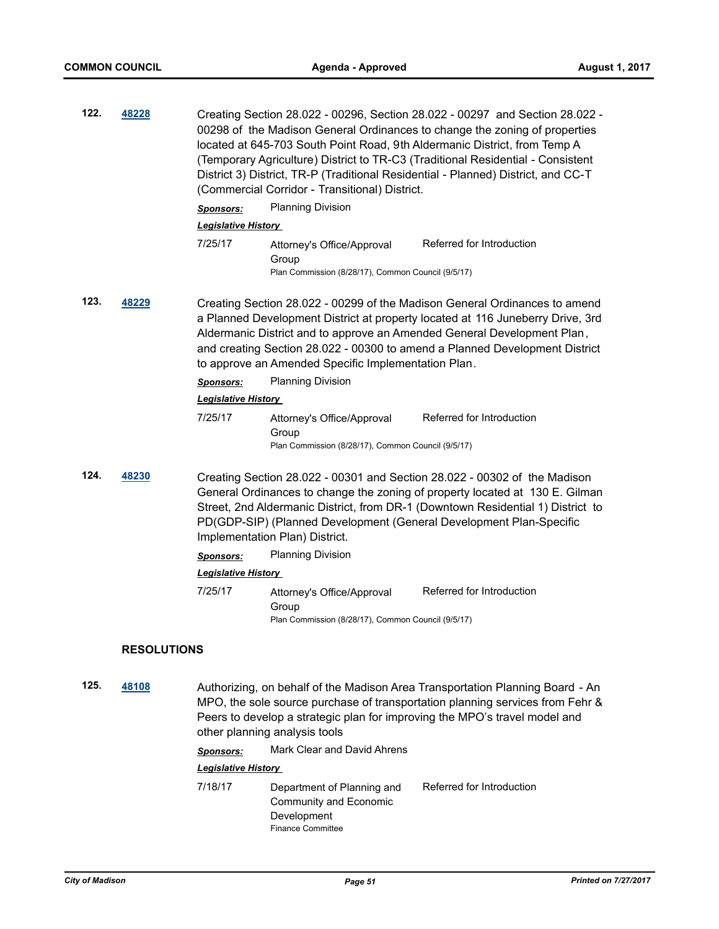| 122.                                                                                                                                            | 48228              | Creating Section 28.022 - 00296, Section 28.022 - 00297 and Section 28.022 -<br>00298 of the Madison General Ordinances to change the zoning of properties<br>located at 645-703 South Point Road, 9th Aldermanic District, from Temp A<br>(Temporary Agriculture) District to TR-C3 (Traditional Residential - Consistent<br>District 3) District, TR-P (Traditional Residential - Planned) District, and CC-T<br>(Commercial Corridor - Transitional) District. |                                                                                           |                                                                                                                                                                                                                                                                                                                     |  |  |
|-------------------------------------------------------------------------------------------------------------------------------------------------|--------------------|-------------------------------------------------------------------------------------------------------------------------------------------------------------------------------------------------------------------------------------------------------------------------------------------------------------------------------------------------------------------------------------------------------------------------------------------------------------------|-------------------------------------------------------------------------------------------|---------------------------------------------------------------------------------------------------------------------------------------------------------------------------------------------------------------------------------------------------------------------------------------------------------------------|--|--|
|                                                                                                                                                 |                    | <b>Sponsors:</b>                                                                                                                                                                                                                                                                                                                                                                                                                                                  | <b>Planning Division</b>                                                                  |                                                                                                                                                                                                                                                                                                                     |  |  |
|                                                                                                                                                 |                    | <b>Legislative History</b>                                                                                                                                                                                                                                                                                                                                                                                                                                        |                                                                                           |                                                                                                                                                                                                                                                                                                                     |  |  |
|                                                                                                                                                 |                    | 7/25/17                                                                                                                                                                                                                                                                                                                                                                                                                                                           | Attorney's Office/Approval<br>Group<br>Plan Commission (8/28/17), Common Council (9/5/17) | Referred for Introduction                                                                                                                                                                                                                                                                                           |  |  |
| 123.<br>48229<br>Aldermanic District and to approve an Amended General Development Plan,<br>to approve an Amended Specific Implementation Plan. |                    |                                                                                                                                                                                                                                                                                                                                                                                                                                                                   |                                                                                           | Creating Section 28.022 - 00299 of the Madison General Ordinances to amend<br>a Planned Development District at property located at 116 Juneberry Drive, 3rd<br>and creating Section 28.022 - 00300 to amend a Planned Development District                                                                         |  |  |
|                                                                                                                                                 |                    | <b>Sponsors:</b>                                                                                                                                                                                                                                                                                                                                                                                                                                                  | <b>Planning Division</b>                                                                  |                                                                                                                                                                                                                                                                                                                     |  |  |
|                                                                                                                                                 |                    | <b>Legislative History</b>                                                                                                                                                                                                                                                                                                                                                                                                                                        |                                                                                           |                                                                                                                                                                                                                                                                                                                     |  |  |
|                                                                                                                                                 |                    | 7/25/17                                                                                                                                                                                                                                                                                                                                                                                                                                                           | Attorney's Office/Approval<br>Group<br>Plan Commission (8/28/17), Common Council (9/5/17) | Referred for Introduction                                                                                                                                                                                                                                                                                           |  |  |
| 124.                                                                                                                                            | 48230              |                                                                                                                                                                                                                                                                                                                                                                                                                                                                   | Implementation Plan) District.                                                            | Creating Section 28.022 - 00301 and Section 28.022 - 00302 of the Madison<br>General Ordinances to change the zoning of property located at 130 E. Gilman<br>Street, 2nd Aldermanic District, from DR-1 (Downtown Residential 1) District to<br>PD(GDP-SIP) (Planned Development (General Development Plan-Specific |  |  |
|                                                                                                                                                 |                    | Sponsors:                                                                                                                                                                                                                                                                                                                                                                                                                                                         | <b>Planning Division</b>                                                                  |                                                                                                                                                                                                                                                                                                                     |  |  |
|                                                                                                                                                 |                    | <b>Legislative History</b>                                                                                                                                                                                                                                                                                                                                                                                                                                        |                                                                                           |                                                                                                                                                                                                                                                                                                                     |  |  |
|                                                                                                                                                 |                    | 7/25/17                                                                                                                                                                                                                                                                                                                                                                                                                                                           | Attorney's Office/Approval<br>Group<br>Plan Commission (8/28/17), Common Council (9/5/17) | Referred for Introduction                                                                                                                                                                                                                                                                                           |  |  |
|                                                                                                                                                 | <b>RESOLUTIONS</b> |                                                                                                                                                                                                                                                                                                                                                                                                                                                                   |                                                                                           |                                                                                                                                                                                                                                                                                                                     |  |  |
| 125.                                                                                                                                            | 48108              | Sponsors:                                                                                                                                                                                                                                                                                                                                                                                                                                                         | other planning analysis tools<br>Mark Clear and David Ahrens                              | Authorizing, on behalf of the Madison Area Transportation Planning Board - An<br>MPO, the sole source purchase of transportation planning services from Fehr &<br>Peers to develop a strategic plan for improving the MPO's travel model and                                                                        |  |  |
|                                                                                                                                                 |                    | <b>Legislative History</b>                                                                                                                                                                                                                                                                                                                                                                                                                                        |                                                                                           |                                                                                                                                                                                                                                                                                                                     |  |  |
|                                                                                                                                                 |                    |                                                                                                                                                                                                                                                                                                                                                                                                                                                                   |                                                                                           |                                                                                                                                                                                                                                                                                                                     |  |  |

7/18/17 Department of Planning and Community and Economic Development Referred for Introduction Finance Committee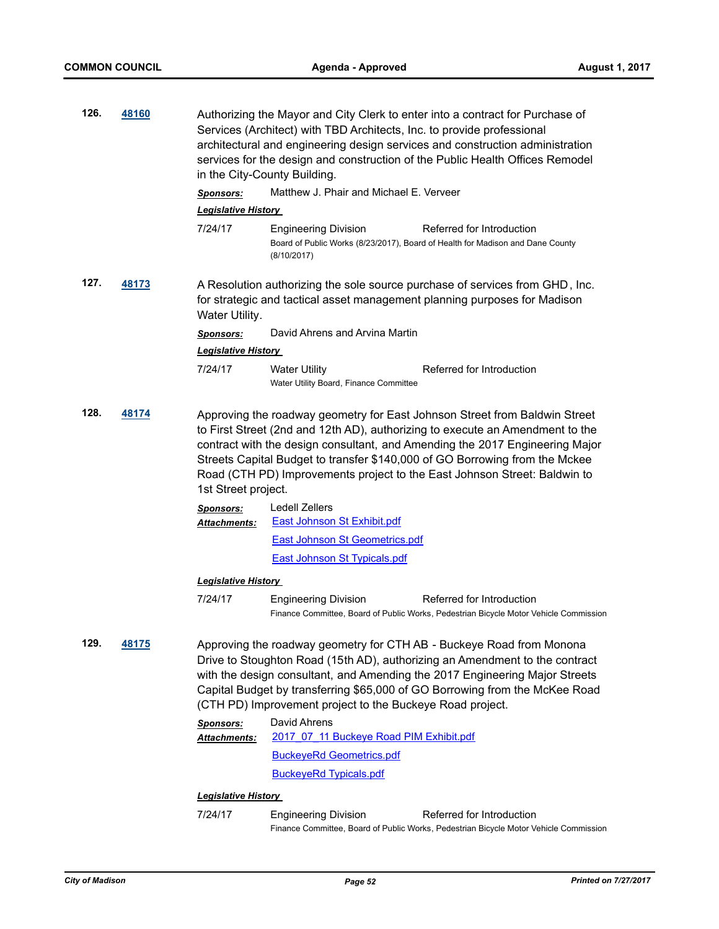| 126. | 48160        |                                         | Authorizing the Mayor and City Clerk to enter into a contract for Purchase of<br>Services (Architect) with TBD Architects, Inc. to provide professional<br>architectural and engineering design services and construction administration<br>services for the design and construction of the Public Health Offices Remodel<br>in the City-County Building.                                               |                                                                                                                                                                                                                                                                                                                   |  |  |
|------|--------------|-----------------------------------------|---------------------------------------------------------------------------------------------------------------------------------------------------------------------------------------------------------------------------------------------------------------------------------------------------------------------------------------------------------------------------------------------------------|-------------------------------------------------------------------------------------------------------------------------------------------------------------------------------------------------------------------------------------------------------------------------------------------------------------------|--|--|
|      |              | <b>Sponsors:</b>                        | Matthew J. Phair and Michael E. Verveer                                                                                                                                                                                                                                                                                                                                                                 |                                                                                                                                                                                                                                                                                                                   |  |  |
|      |              | <b>Legislative History</b>              |                                                                                                                                                                                                                                                                                                                                                                                                         |                                                                                                                                                                                                                                                                                                                   |  |  |
|      |              | 7/24/17                                 | <b>Engineering Division</b><br>(8/10/2017)                                                                                                                                                                                                                                                                                                                                                              | Referred for Introduction<br>Board of Public Works (8/23/2017), Board of Health for Madison and Dane County                                                                                                                                                                                                       |  |  |
| 127. | <u>48173</u> | Water Utility.                          |                                                                                                                                                                                                                                                                                                                                                                                                         | A Resolution authorizing the sole source purchase of services from GHD, Inc.<br>for strategic and tactical asset management planning purposes for Madison                                                                                                                                                         |  |  |
|      |              | <b>Sponsors:</b>                        | David Ahrens and Arvina Martin                                                                                                                                                                                                                                                                                                                                                                          |                                                                                                                                                                                                                                                                                                                   |  |  |
|      |              | <b>Legislative History</b>              |                                                                                                                                                                                                                                                                                                                                                                                                         |                                                                                                                                                                                                                                                                                                                   |  |  |
|      |              | 7/24/17                                 | <b>Water Utility</b><br>Water Utility Board, Finance Committee                                                                                                                                                                                                                                                                                                                                          | Referred for Introduction                                                                                                                                                                                                                                                                                         |  |  |
| 128. | 48174        | 1st Street project.<br><b>Sponsors:</b> | Approving the roadway geometry for East Johnson Street from Baldwin Street<br>to First Street (2nd and 12th AD), authorizing to execute an Amendment to the<br>contract with the design consultant, and Amending the 2017 Engineering Major<br>Streets Capital Budget to transfer \$140,000 of GO Borrowing from the Mckee<br>Road (CTH PD) Improvements project to the East Johnson Street: Baldwin to |                                                                                                                                                                                                                                                                                                                   |  |  |
|      |              | Attachments:                            | <b>Ledell Zellers</b><br><b>East Johnson St Exhibit.pdf</b>                                                                                                                                                                                                                                                                                                                                             |                                                                                                                                                                                                                                                                                                                   |  |  |
|      |              |                                         | East Johnson St Geometrics.pdf                                                                                                                                                                                                                                                                                                                                                                          |                                                                                                                                                                                                                                                                                                                   |  |  |
|      |              |                                         | <b>East Johnson St Typicals.pdf</b>                                                                                                                                                                                                                                                                                                                                                                     |                                                                                                                                                                                                                                                                                                                   |  |  |
|      |              | <u> Legislative History</u>             |                                                                                                                                                                                                                                                                                                                                                                                                         |                                                                                                                                                                                                                                                                                                                   |  |  |
|      |              | 7/24/17                                 | <b>Engineering Division</b>                                                                                                                                                                                                                                                                                                                                                                             | Referred for Introduction<br>Finance Committee, Board of Public Works, Pedestrian Bicycle Motor Vehicle Commission                                                                                                                                                                                                |  |  |
| 129. | 48175        |                                         | (CTH PD) Improvement project to the Buckeye Road project.                                                                                                                                                                                                                                                                                                                                               | Approving the roadway geometry for CTH AB - Buckeye Road from Monona<br>Drive to Stoughton Road (15th AD), authorizing an Amendment to the contract<br>with the design consultant, and Amending the 2017 Engineering Major Streets<br>Capital Budget by transferring \$65,000 of GO Borrowing from the McKee Road |  |  |
|      |              | <b>Sponsors:</b>                        | David Ahrens                                                                                                                                                                                                                                                                                                                                                                                            |                                                                                                                                                                                                                                                                                                                   |  |  |
|      |              | Attachments:                            | 2017 07 11 Buckeye Road PIM Exhibit.pdf                                                                                                                                                                                                                                                                                                                                                                 |                                                                                                                                                                                                                                                                                                                   |  |  |
|      |              |                                         | <b>BuckeyeRd Geometrics.pdf</b>                                                                                                                                                                                                                                                                                                                                                                         |                                                                                                                                                                                                                                                                                                                   |  |  |
|      |              |                                         | <b>BuckeyeRd Typicals.pdf</b>                                                                                                                                                                                                                                                                                                                                                                           |                                                                                                                                                                                                                                                                                                                   |  |  |
|      |              | <b>Legislative History</b>              |                                                                                                                                                                                                                                                                                                                                                                                                         |                                                                                                                                                                                                                                                                                                                   |  |  |
|      |              | 7/24/17                                 | <b>Engineering Division</b>                                                                                                                                                                                                                                                                                                                                                                             | Referred for Introduction                                                                                                                                                                                                                                                                                         |  |  |

Finance Committee, Board of Public Works, Pedestrian Bicycle Motor Vehicle Commission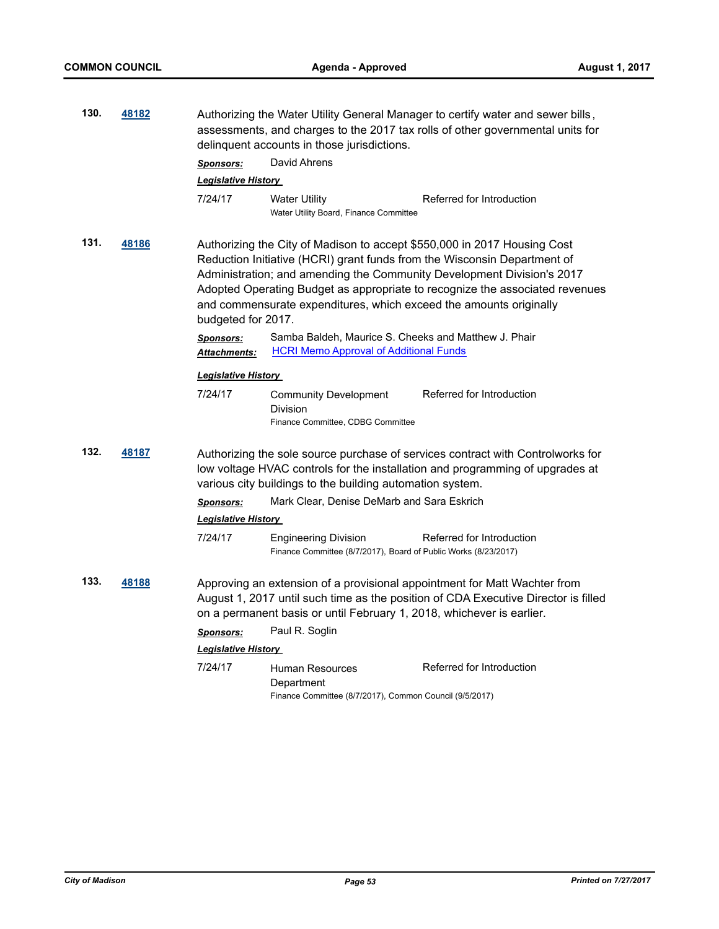| 130.                                       | 48182        |                                                                    | Authorizing the Water Utility General Manager to certify water and sewer bills,<br>assessments, and charges to the 2017 tax rolls of other governmental units for<br>delinquent accounts in those jurisdictions.                                                                                               |                                                                                                                                                                  |  |
|--------------------------------------------|--------------|--------------------------------------------------------------------|----------------------------------------------------------------------------------------------------------------------------------------------------------------------------------------------------------------------------------------------------------------------------------------------------------------|------------------------------------------------------------------------------------------------------------------------------------------------------------------|--|
|                                            |              | <b>Sponsors:</b>                                                   | David Ahrens                                                                                                                                                                                                                                                                                                   |                                                                                                                                                                  |  |
|                                            |              | <b>Legislative History</b>                                         |                                                                                                                                                                                                                                                                                                                |                                                                                                                                                                  |  |
|                                            |              | 7/24/17                                                            | <b>Water Utility</b><br>Water Utility Board, Finance Committee                                                                                                                                                                                                                                                 | Referred for Introduction                                                                                                                                        |  |
| 131.<br><u>48186</u><br>budgeted for 2017. |              | and commensurate expenditures, which exceed the amounts originally | Authorizing the City of Madison to accept \$550,000 in 2017 Housing Cost<br>Reduction Initiative (HCRI) grant funds from the Wisconsin Department of<br>Administration; and amending the Community Development Division's 2017<br>Adopted Operating Budget as appropriate to recognize the associated revenues |                                                                                                                                                                  |  |
|                                            |              | <b>Sponsors:</b><br><b>Attachments:</b>                            | Samba Baldeh, Maurice S. Cheeks and Matthew J. Phair<br><b>HCRI Memo Approval of Additional Funds</b>                                                                                                                                                                                                          |                                                                                                                                                                  |  |
|                                            |              | <b>Legislative History</b>                                         |                                                                                                                                                                                                                                                                                                                |                                                                                                                                                                  |  |
|                                            |              | 7/24/17                                                            | <b>Community Development</b><br>Division<br>Finance Committee, CDBG Committee                                                                                                                                                                                                                                  | Referred for Introduction                                                                                                                                        |  |
| 132.                                       | <u>48187</u> |                                                                    | various city buildings to the building automation system.                                                                                                                                                                                                                                                      | Authorizing the sole source purchase of services contract with Controlworks for<br>low voltage HVAC controls for the installation and programming of upgrades at |  |
|                                            |              | <b>Sponsors:</b>                                                   | Mark Clear, Denise DeMarb and Sara Eskrich                                                                                                                                                                                                                                                                     |                                                                                                                                                                  |  |
|                                            |              | <b>Legislative History</b>                                         |                                                                                                                                                                                                                                                                                                                |                                                                                                                                                                  |  |
|                                            |              | 7/24/17                                                            | <b>Engineering Division</b><br>Finance Committee (8/7/2017), Board of Public Works (8/23/2017)                                                                                                                                                                                                                 | Referred for Introduction                                                                                                                                        |  |
| 133.                                       | <u>48188</u> |                                                                    | on a permanent basis or until February 1, 2018, whichever is earlier.                                                                                                                                                                                                                                          | Approving an extension of a provisional appointment for Matt Wachter from<br>August 1, 2017 until such time as the position of CDA Executive Director is filled  |  |
|                                            |              | <b>Sponsors:</b>                                                   | Paul R. Soglin                                                                                                                                                                                                                                                                                                 |                                                                                                                                                                  |  |
|                                            |              | <b>Legislative History</b>                                         |                                                                                                                                                                                                                                                                                                                |                                                                                                                                                                  |  |
|                                            |              | 7/24/17                                                            | <b>Human Resources</b><br>Department<br>Finance Committee (8/7/2017), Common Council (9/5/2017)                                                                                                                                                                                                                | Referred for Introduction                                                                                                                                        |  |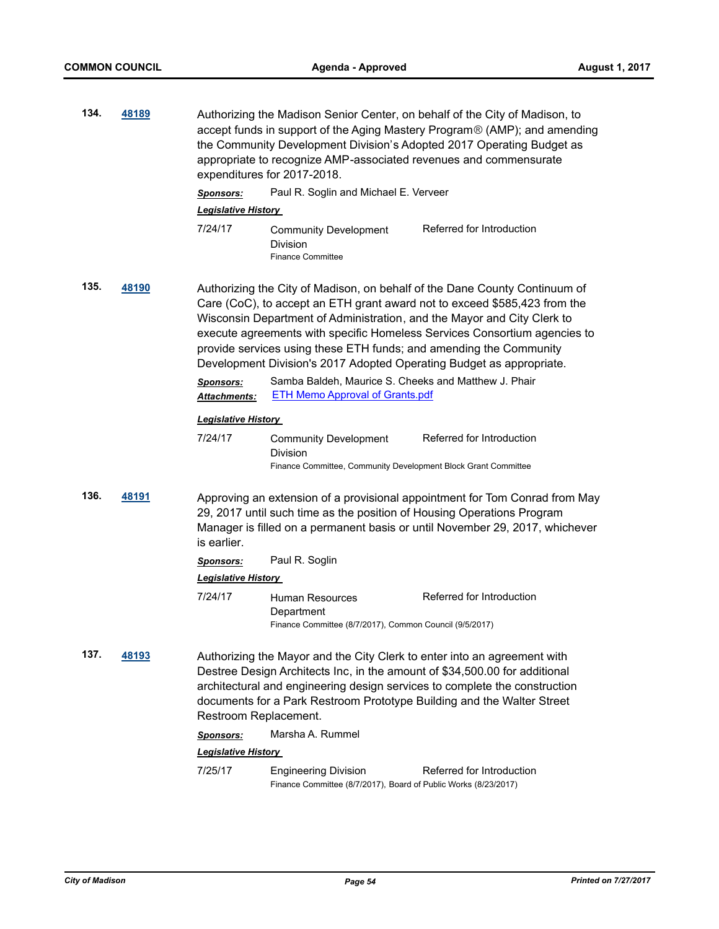| 134. | 48189 | Authorizing the Madison Senior Center, on behalf of the City of Madison, to<br>accept funds in support of the Aging Mastery Program® (AMP); and amending<br>the Community Development Division's Adopted 2017 Operating Budget as<br>appropriate to recognize AMP-associated revenues and commensurate<br>expenditures for 2017-2018. |                                                                                                                                                                                                                                              |                                                                                                                                                                                                                                                                                                                 |  |  |
|------|-------|---------------------------------------------------------------------------------------------------------------------------------------------------------------------------------------------------------------------------------------------------------------------------------------------------------------------------------------|----------------------------------------------------------------------------------------------------------------------------------------------------------------------------------------------------------------------------------------------|-----------------------------------------------------------------------------------------------------------------------------------------------------------------------------------------------------------------------------------------------------------------------------------------------------------------|--|--|
|      |       | <b>Sponsors:</b>                                                                                                                                                                                                                                                                                                                      | Paul R. Soglin and Michael E. Verveer                                                                                                                                                                                                        |                                                                                                                                                                                                                                                                                                                 |  |  |
|      |       | <b>Legislative History</b>                                                                                                                                                                                                                                                                                                            |                                                                                                                                                                                                                                              |                                                                                                                                                                                                                                                                                                                 |  |  |
|      |       | 7/24/17                                                                                                                                                                                                                                                                                                                               | <b>Community Development</b><br><b>Division</b><br><b>Finance Committee</b>                                                                                                                                                                  | Referred for Introduction                                                                                                                                                                                                                                                                                       |  |  |
| 135. | 48190 | <b>Sponsors:</b><br>Attachments:                                                                                                                                                                                                                                                                                                      | provide services using these ETH funds; and amending the Community<br>Development Division's 2017 Adopted Operating Budget as appropriate.<br>Samba Baldeh, Maurice S. Cheeks and Matthew J. Phair<br><b>ETH Memo Approval of Grants.pdf</b> | Authorizing the City of Madison, on behalf of the Dane County Continuum of<br>Care (CoC), to accept an ETH grant award not to exceed \$585,423 from the<br>Wisconsin Department of Administration, and the Mayor and City Clerk to<br>execute agreements with specific Homeless Services Consortium agencies to |  |  |
|      |       | <b>Legislative History</b>                                                                                                                                                                                                                                                                                                            |                                                                                                                                                                                                                                              |                                                                                                                                                                                                                                                                                                                 |  |  |
|      |       | 7/24/17                                                                                                                                                                                                                                                                                                                               | <b>Community Development</b><br>Division<br>Finance Committee, Community Development Block Grant Committee                                                                                                                                   | Referred for Introduction                                                                                                                                                                                                                                                                                       |  |  |
| 136. | 48191 | is earlier.                                                                                                                                                                                                                                                                                                                           | 29, 2017 until such time as the position of Housing Operations Program                                                                                                                                                                       | Approving an extension of a provisional appointment for Tom Conrad from May<br>Manager is filled on a permanent basis or until November 29, 2017, whichever                                                                                                                                                     |  |  |
|      |       | <b>Sponsors:</b>                                                                                                                                                                                                                                                                                                                      | Paul R. Soglin                                                                                                                                                                                                                               |                                                                                                                                                                                                                                                                                                                 |  |  |
|      |       | <b>Legislative History</b>                                                                                                                                                                                                                                                                                                            |                                                                                                                                                                                                                                              |                                                                                                                                                                                                                                                                                                                 |  |  |
|      |       | 7/24/17                                                                                                                                                                                                                                                                                                                               | <b>Human Resources</b><br>Department<br>Finance Committee (8/7/2017), Common Council (9/5/2017)                                                                                                                                              | Referred for Introduction                                                                                                                                                                                                                                                                                       |  |  |
| 137. | 48193 | Restroom Replacement.                                                                                                                                                                                                                                                                                                                 | Authorizing the Mayor and the City Clerk to enter into an agreement with<br>Destree Design Architects Inc, in the amount of \$34,500.00 for additional                                                                                       | architectural and engineering design services to complete the construction<br>documents for a Park Restroom Prototype Building and the Walter Street                                                                                                                                                            |  |  |
|      |       | <b>Sponsors:</b>                                                                                                                                                                                                                                                                                                                      | Marsha A. Rummel                                                                                                                                                                                                                             |                                                                                                                                                                                                                                                                                                                 |  |  |
|      |       | <b>Legislative History</b>                                                                                                                                                                                                                                                                                                            |                                                                                                                                                                                                                                              |                                                                                                                                                                                                                                                                                                                 |  |  |
|      |       | 7/25/17                                                                                                                                                                                                                                                                                                                               | <b>Engineering Division</b><br>Finance Committee (8/7/2017), Board of Public Works (8/23/2017)                                                                                                                                               | Referred for Introduction                                                                                                                                                                                                                                                                                       |  |  |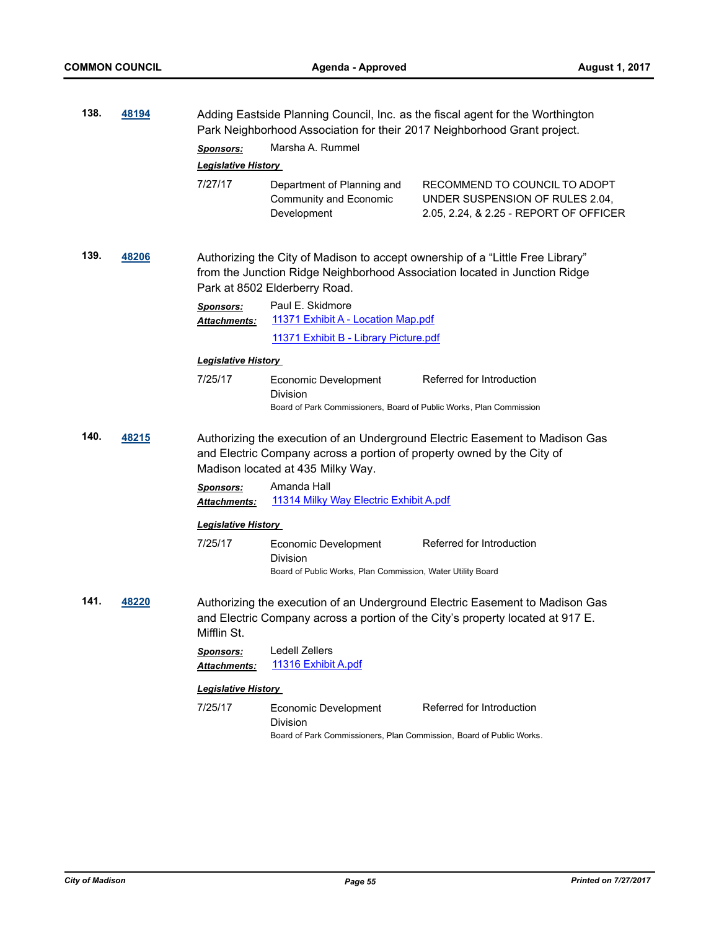| 138.          | 48194            |                                                                                                                                                                                               | Adding Eastside Planning Council, Inc. as the fiscal agent for the Worthington<br>Park Neighborhood Association for their 2017 Neighborhood Grant project. |                                                                                                                                                                |  |  |
|---------------|------------------|-----------------------------------------------------------------------------------------------------------------------------------------------------------------------------------------------|------------------------------------------------------------------------------------------------------------------------------------------------------------|----------------------------------------------------------------------------------------------------------------------------------------------------------------|--|--|
|               | <b>Sponsors:</b> |                                                                                                                                                                                               | Marsha A. Rummel                                                                                                                                           |                                                                                                                                                                |  |  |
|               |                  | <b>Legislative History</b>                                                                                                                                                                    |                                                                                                                                                            |                                                                                                                                                                |  |  |
|               |                  | 7/27/17                                                                                                                                                                                       | Department of Planning and<br>Community and Economic<br>Development                                                                                        | RECOMMEND TO COUNCIL TO ADOPT<br>UNDER SUSPENSION OF RULES 2.04,<br>2.05, 2.24, & 2.25 - REPORT OF OFFICER                                                     |  |  |
| 139.<br>48206 |                  | Authorizing the City of Madison to accept ownership of a "Little Free Library"<br>from the Junction Ridge Neighborhood Association located in Junction Ridge<br>Park at 8502 Elderberry Road. |                                                                                                                                                            |                                                                                                                                                                |  |  |
|               |                  | <b>Sponsors:</b><br>Attachments:                                                                                                                                                              | Paul E. Skidmore<br>11371 Exhibit A - Location Map.pdf                                                                                                     |                                                                                                                                                                |  |  |
|               |                  |                                                                                                                                                                                               | 11371 Exhibit B - Library Picture.pdf                                                                                                                      |                                                                                                                                                                |  |  |
|               |                  | <b>Legislative History</b>                                                                                                                                                                    |                                                                                                                                                            |                                                                                                                                                                |  |  |
|               |                  | 7/25/17                                                                                                                                                                                       | Economic Development<br>Division                                                                                                                           | Referred for Introduction                                                                                                                                      |  |  |
|               |                  |                                                                                                                                                                                               | Board of Park Commissioners, Board of Public Works, Plan Commission                                                                                        |                                                                                                                                                                |  |  |
| 140.          | 48215            |                                                                                                                                                                                               | and Electric Company across a portion of property owned by the City of<br>Madison located at 435 Milky Way.                                                | Authorizing the execution of an Underground Electric Easement to Madison Gas                                                                                   |  |  |
|               |                  | <b>Sponsors:</b><br>Attachments:                                                                                                                                                              | Amanda Hall<br>11314 Milky Way Electric Exhibit A.pdf                                                                                                      |                                                                                                                                                                |  |  |
|               |                  | <b>Legislative History</b>                                                                                                                                                                    |                                                                                                                                                            |                                                                                                                                                                |  |  |
|               |                  | 7/25/17                                                                                                                                                                                       | Economic Development<br><b>Division</b>                                                                                                                    | Referred for Introduction                                                                                                                                      |  |  |
|               |                  |                                                                                                                                                                                               | Board of Public Works, Plan Commission, Water Utility Board                                                                                                |                                                                                                                                                                |  |  |
| 141.          | 48220            | Mifflin St.                                                                                                                                                                                   |                                                                                                                                                            | Authorizing the execution of an Underground Electric Easement to Madison Gas<br>and Electric Company across a portion of the City's property located at 917 E. |  |  |
|               |                  | Sponsors:<br><u> Attachments:</u>                                                                                                                                                             | Ledell Zellers<br>11316 Exhibit A.pdf                                                                                                                      |                                                                                                                                                                |  |  |
|               |                  | <b>Legislative History</b>                                                                                                                                                                    |                                                                                                                                                            |                                                                                                                                                                |  |  |
|               |                  | 7/25/17                                                                                                                                                                                       | Economic Development<br>Division<br>Board of Park Commissioners, Plan Commission, Board of Public Works.                                                   | Referred for Introduction                                                                                                                                      |  |  |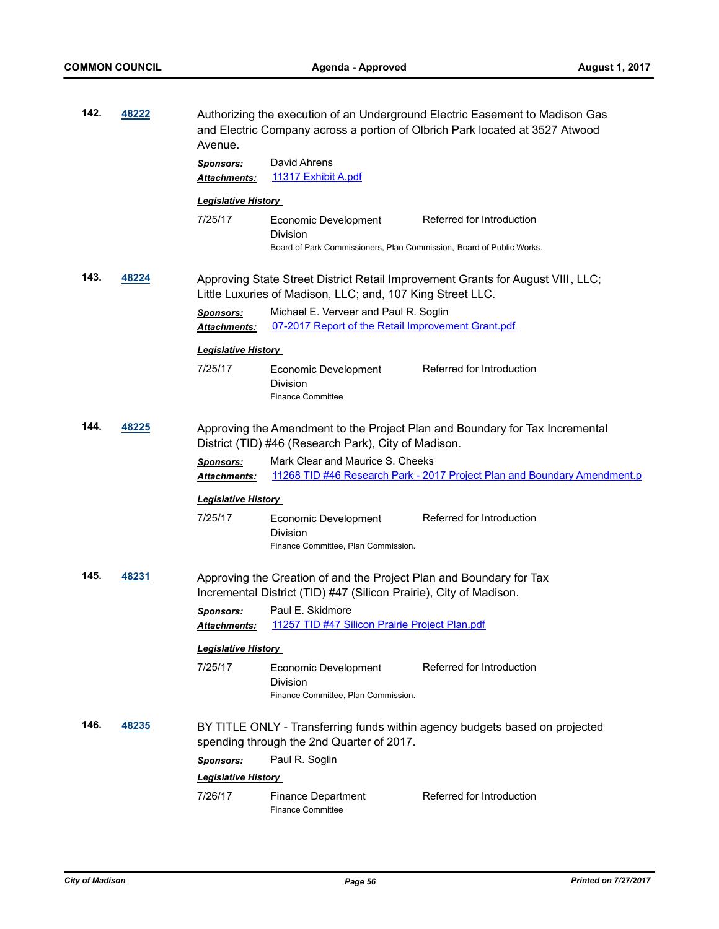| 142.                                                                                                                                                  | 48222 | Avenue.                                 | Authorizing the execution of an Underground Electric Easement to Madison Gas<br>and Electric Company across a portion of Olbrich Park located at 3527 Atwood |                                                                             |  |  |  |
|-------------------------------------------------------------------------------------------------------------------------------------------------------|-------|-----------------------------------------|--------------------------------------------------------------------------------------------------------------------------------------------------------------|-----------------------------------------------------------------------------|--|--|--|
|                                                                                                                                                       |       | <b>Sponsors:</b>                        | David Ahrens                                                                                                                                                 |                                                                             |  |  |  |
|                                                                                                                                                       |       | Attachments:                            | 11317 Exhibit A.pdf                                                                                                                                          |                                                                             |  |  |  |
|                                                                                                                                                       |       | <b>Legislative History</b>              |                                                                                                                                                              |                                                                             |  |  |  |
|                                                                                                                                                       |       | 7/25/17                                 | Economic Development                                                                                                                                         | Referred for Introduction                                                   |  |  |  |
|                                                                                                                                                       |       |                                         | Division                                                                                                                                                     |                                                                             |  |  |  |
|                                                                                                                                                       |       |                                         | Board of Park Commissioners, Plan Commission, Board of Public Works.                                                                                         |                                                                             |  |  |  |
| 143.                                                                                                                                                  | 48224 |                                         | Approving State Street District Retail Improvement Grants for August VIII, LLC;<br>Little Luxuries of Madison, LLC; and, 107 King Street LLC.                |                                                                             |  |  |  |
|                                                                                                                                                       |       | <b>Sponsors:</b>                        | Michael E. Verveer and Paul R. Soglin                                                                                                                        |                                                                             |  |  |  |
|                                                                                                                                                       |       | Attachments:                            | 07-2017 Report of the Retail Improvement Grant.pdf                                                                                                           |                                                                             |  |  |  |
|                                                                                                                                                       |       | <u> Legislative History</u>             |                                                                                                                                                              |                                                                             |  |  |  |
|                                                                                                                                                       |       | 7/25/17                                 | Economic Development                                                                                                                                         | Referred for Introduction                                                   |  |  |  |
|                                                                                                                                                       |       |                                         | Division<br><b>Finance Committee</b>                                                                                                                         |                                                                             |  |  |  |
| 144.<br>48225<br>Approving the Amendment to the Project Plan and Boundary for Tax Incremental<br>District (TID) #46 (Research Park), City of Madison. |       |                                         |                                                                                                                                                              |                                                                             |  |  |  |
|                                                                                                                                                       |       | Sponsors:<br><b>Attachments:</b>        | Mark Clear and Maurice S. Cheeks                                                                                                                             | 11268 TID #46 Research Park - 2017 Project Plan and Boundary Amendment.p    |  |  |  |
|                                                                                                                                                       |       | <b>Legislative History</b>              |                                                                                                                                                              |                                                                             |  |  |  |
|                                                                                                                                                       |       | 7/25/17                                 | Economic Development<br><b>Division</b><br>Finance Committee, Plan Commission.                                                                               | Referred for Introduction                                                   |  |  |  |
| 145.                                                                                                                                                  | 48231 |                                         | Approving the Creation of and the Project Plan and Boundary for Tax<br>Incremental District (TID) #47 (Silicon Prairie), City of Madison.                    |                                                                             |  |  |  |
|                                                                                                                                                       |       | <b>Sponsors:</b><br><b>Attachments:</b> | Paul E. Skidmore<br>11257 TID #47 Silicon Prairie Project Plan.pdf                                                                                           |                                                                             |  |  |  |
|                                                                                                                                                       |       |                                         | <b>Legislative History</b>                                                                                                                                   |                                                                             |  |  |  |
|                                                                                                                                                       |       | 7/25/17                                 | Economic Development<br>Division<br>Finance Committee, Plan Commission.                                                                                      | Referred for Introduction                                                   |  |  |  |
| 146.                                                                                                                                                  | 48235 |                                         | spending through the 2nd Quarter of 2017.                                                                                                                    | BY TITLE ONLY - Transferring funds within agency budgets based on projected |  |  |  |
|                                                                                                                                                       |       | <b>Sponsors:</b>                        | Paul R. Soglin                                                                                                                                               |                                                                             |  |  |  |
|                                                                                                                                                       |       | <b>Legislative History</b>              |                                                                                                                                                              |                                                                             |  |  |  |
|                                                                                                                                                       |       | 7/26/17                                 | <b>Finance Department</b><br><b>Finance Committee</b>                                                                                                        | Referred for Introduction                                                   |  |  |  |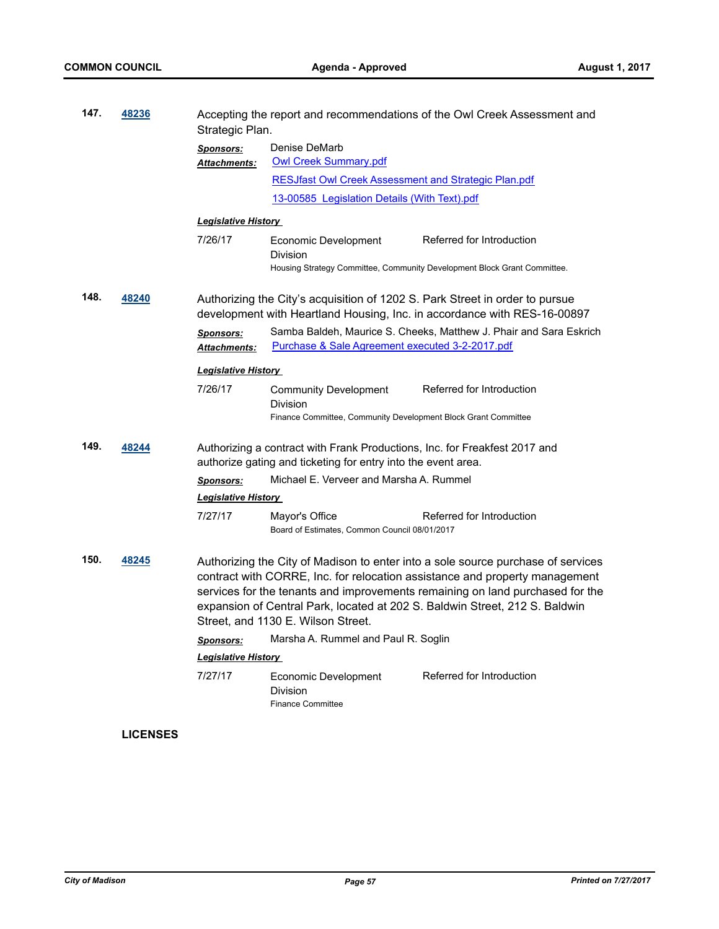| 147.                                                                                                                                                                                                              | 48236 | Strategic Plan.                                               | Accepting the report and recommendations of the Owl Creek Assessment and                                                                                          |                                                                                                                                                          |  |  |
|-------------------------------------------------------------------------------------------------------------------------------------------------------------------------------------------------------------------|-------|---------------------------------------------------------------|-------------------------------------------------------------------------------------------------------------------------------------------------------------------|----------------------------------------------------------------------------------------------------------------------------------------------------------|--|--|
|                                                                                                                                                                                                                   |       | <b>Sponsors:</b><br><b>Attachments:</b>                       | Denise DeMarb<br><b>Owl Creek Summary.pdf</b>                                                                                                                     |                                                                                                                                                          |  |  |
|                                                                                                                                                                                                                   |       |                                                               | <b>RESJfast Owl Creek Assessment and Strategic Plan.pdf</b>                                                                                                       |                                                                                                                                                          |  |  |
|                                                                                                                                                                                                                   |       |                                                               | 13-00585 Legislation Details (With Text).pdf                                                                                                                      |                                                                                                                                                          |  |  |
|                                                                                                                                                                                                                   |       | <b>Legislative History</b>                                    |                                                                                                                                                                   |                                                                                                                                                          |  |  |
|                                                                                                                                                                                                                   |       | 7/26/17                                                       | Economic Development<br>Division                                                                                                                                  | Referred for Introduction<br>Housing Strategy Committee, Community Development Block Grant Committee.                                                    |  |  |
| 148.                                                                                                                                                                                                              | 48240 |                                                               |                                                                                                                                                                   | Authorizing the City's acquisition of 1202 S. Park Street in order to pursue<br>development with Heartland Housing, Inc. in accordance with RES-16-00897 |  |  |
|                                                                                                                                                                                                                   |       | <b>Sponsors:</b><br><b>Attachments:</b>                       | Purchase & Sale Agreement executed 3-2-2017.pdf                                                                                                                   | Samba Baldeh, Maurice S. Cheeks, Matthew J. Phair and Sara Eskrich                                                                                       |  |  |
|                                                                                                                                                                                                                   |       | <b>Legislative History</b>                                    |                                                                                                                                                                   |                                                                                                                                                          |  |  |
|                                                                                                                                                                                                                   |       | 7/26/17                                                       | <b>Community Development</b><br>Division<br>Finance Committee, Community Development Block Grant Committee                                                        | Referred for Introduction                                                                                                                                |  |  |
| 149.<br>Authorizing a contract with Frank Productions, Inc. for Freakfest 2017 and<br>48244                                                                                                                       |       | authorize gating and ticketing for entry into the event area. |                                                                                                                                                                   |                                                                                                                                                          |  |  |
|                                                                                                                                                                                                                   |       | Sponsors:                                                     | Michael E. Verveer and Marsha A. Rummel                                                                                                                           |                                                                                                                                                          |  |  |
|                                                                                                                                                                                                                   |       | <b>Legislative History</b>                                    |                                                                                                                                                                   |                                                                                                                                                          |  |  |
|                                                                                                                                                                                                                   |       | 7/27/17                                                       | Mayor's Office<br>Board of Estimates, Common Council 08/01/2017                                                                                                   | Referred for Introduction                                                                                                                                |  |  |
| 150.<br>48245<br>contract with CORRE, Inc. for relocation assistance and property management<br>expansion of Central Park, located at 202 S. Baldwin Street, 212 S. Baldwin<br>Street, and 1130 E. Wilson Street. |       |                                                               | Authorizing the City of Madison to enter into a sole source purchase of services<br>services for the tenants and improvements remaining on land purchased for the |                                                                                                                                                          |  |  |
|                                                                                                                                                                                                                   |       | Sponsors:                                                     | Marsha A. Rummel and Paul R. Soglin                                                                                                                               |                                                                                                                                                          |  |  |
|                                                                                                                                                                                                                   |       | <b>Legislative History</b>                                    |                                                                                                                                                                   |                                                                                                                                                          |  |  |
|                                                                                                                                                                                                                   |       | 7/27/17                                                       | Economic Development<br>Division<br><b>Finance Committee</b>                                                                                                      | Referred for Introduction                                                                                                                                |  |  |

# **LICENSES**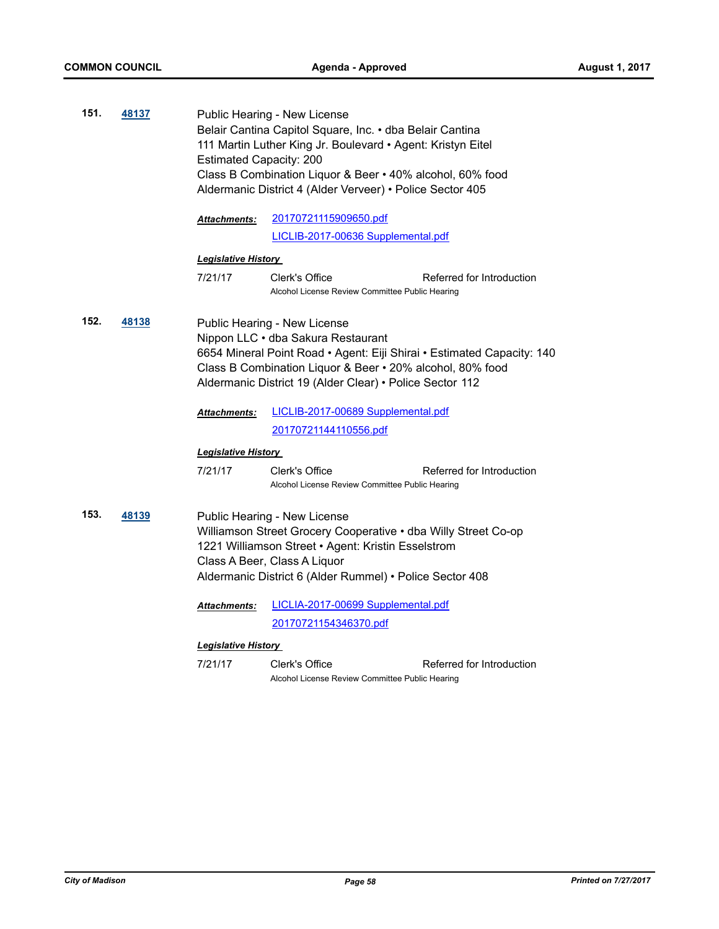| 151. | 48137 | Public Hearing - New License<br>Belair Cantina Capitol Square, Inc. • dba Belair Cantina<br>111 Martin Luther King Jr. Boulevard · Agent: Kristyn Eitel<br><b>Estimated Capacity: 200</b><br>Class B Combination Liquor & Beer . 40% alcohol, 60% food<br>Aldermanic District 4 (Alder Verveer) • Police Sector 405 |                                                                   |                           |  |  |
|------|-------|---------------------------------------------------------------------------------------------------------------------------------------------------------------------------------------------------------------------------------------------------------------------------------------------------------------------|-------------------------------------------------------------------|---------------------------|--|--|
|      |       | <b>Attachments:</b>                                                                                                                                                                                                                                                                                                 | 20170721115909650.pdf                                             |                           |  |  |
|      |       |                                                                                                                                                                                                                                                                                                                     | LICLIB-2017-00636 Supplemental.pdf                                |                           |  |  |
|      |       | <b>Legislative History</b>                                                                                                                                                                                                                                                                                          |                                                                   |                           |  |  |
|      |       | 7/21/17                                                                                                                                                                                                                                                                                                             | Clerk's Office<br>Alcohol License Review Committee Public Hearing | Referred for Introduction |  |  |
| 152. | 48138 | Public Hearing - New License<br>Nippon LLC · dba Sakura Restaurant<br>6654 Mineral Point Road • Agent: Eiji Shirai • Estimated Capacity: 140<br>Class B Combination Liquor & Beer . 20% alcohol, 80% food<br>Aldermanic District 19 (Alder Clear) · Police Sector 112                                               |                                                                   |                           |  |  |
|      |       | <b>Attachments:</b>                                                                                                                                                                                                                                                                                                 | LICLIB-2017-00689 Supplemental.pdf                                |                           |  |  |
|      |       |                                                                                                                                                                                                                                                                                                                     | <u>20170721144110556.pdf</u>                                      |                           |  |  |
|      |       | <b>Legislative History</b>                                                                                                                                                                                                                                                                                          |                                                                   |                           |  |  |
|      |       | 7/21/17                                                                                                                                                                                                                                                                                                             | Clerk's Office<br>Alcohol License Review Committee Public Hearing | Referred for Introduction |  |  |
| 153. | 48139 | Public Hearing - New License<br>Williamson Street Grocery Cooperative . dba Willy Street Co-op<br>1221 Williamson Street • Agent: Kristin Esselstrom<br>Class A Beer, Class A Liquor<br>Aldermanic District 6 (Alder Rummel) • Police Sector 408                                                                    |                                                                   |                           |  |  |
|      |       | <b>Attachments:</b>                                                                                                                                                                                                                                                                                                 | LICLIA-2017-00699 Supplemental.pdf                                |                           |  |  |
|      |       |                                                                                                                                                                                                                                                                                                                     | 20170721154346370.pdf                                             |                           |  |  |
|      |       | <b>Legislative History</b>                                                                                                                                                                                                                                                                                          |                                                                   |                           |  |  |
|      |       | 7/21/17                                                                                                                                                                                                                                                                                                             | Clerk's Office<br>Alcohol License Review Committee Public Hearing | Referred for Introduction |  |  |